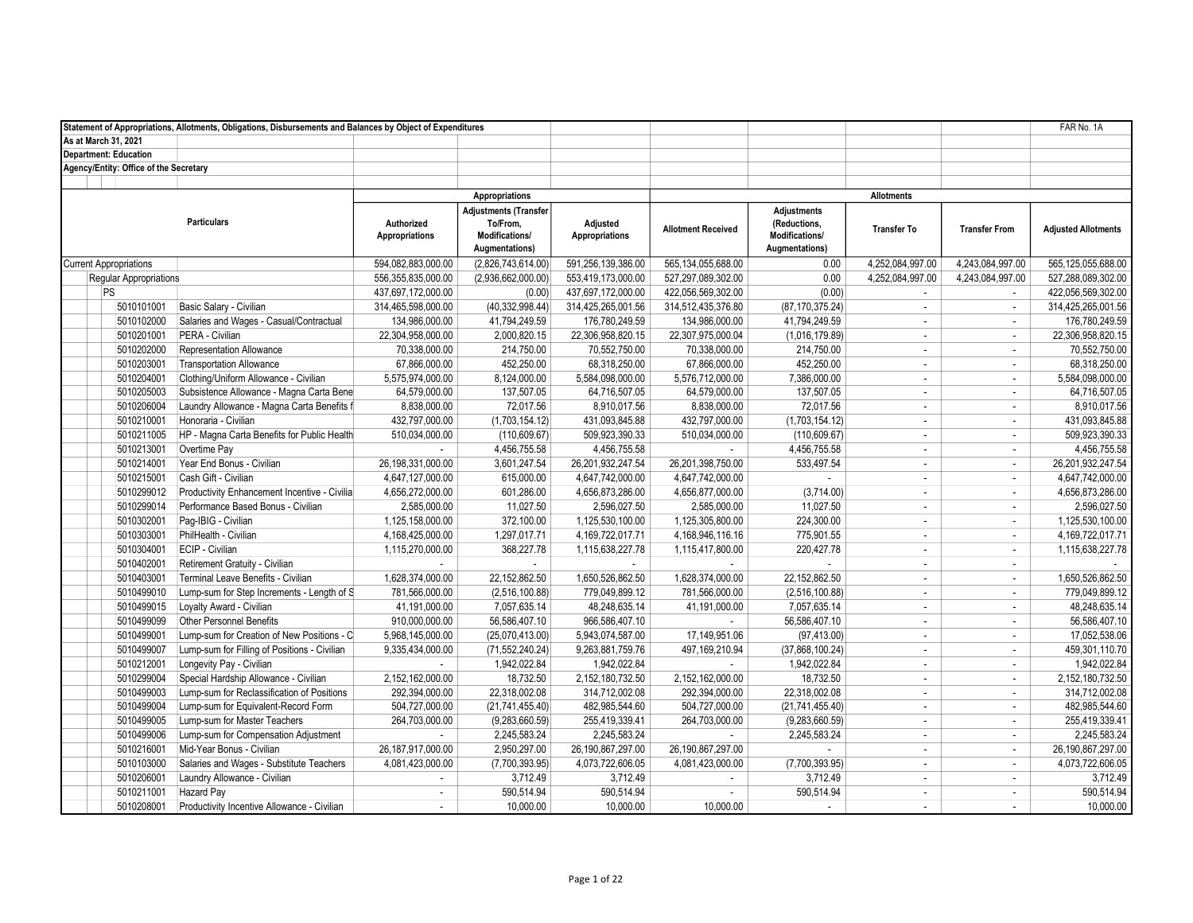|                                        | Statement of Appropriations, Allotments, Obligations, Disbursements and Balances by Object of Expenditures |                                     |                                                                       |                                   |                           |                                                                        |                    |                             | FAR No. 1A                 |
|----------------------------------------|------------------------------------------------------------------------------------------------------------|-------------------------------------|-----------------------------------------------------------------------|-----------------------------------|---------------------------|------------------------------------------------------------------------|--------------------|-----------------------------|----------------------------|
| As at March 31, 2021                   |                                                                                                            |                                     |                                                                       |                                   |                           |                                                                        |                    |                             |                            |
| <b>Department: Education</b>           |                                                                                                            |                                     |                                                                       |                                   |                           |                                                                        |                    |                             |                            |
| Agency/Entity: Office of the Secretary |                                                                                                            |                                     |                                                                       |                                   |                           |                                                                        |                    |                             |                            |
|                                        |                                                                                                            |                                     |                                                                       |                                   |                           |                                                                        |                    |                             |                            |
|                                        |                                                                                                            |                                     | Appropriations                                                        |                                   |                           |                                                                        | <b>Allotments</b>  |                             |                            |
|                                        | <b>Particulars</b>                                                                                         | Authorized<br><b>Appropriations</b> | Adjustments (Transfer<br>To/From,<br>Modifications/<br>Augmentations) | Adjusted<br><b>Appropriations</b> | <b>Allotment Received</b> | <b>Adjustments</b><br>(Reductions,<br>Modifications/<br>Augmentations) | <b>Transfer To</b> | <b>Transfer From</b>        | <b>Adjusted Allotments</b> |
| <b>Current Appropriations</b>          |                                                                                                            | 594,082,883,000.00                  | (2,826,743,614.00)                                                    | 591,256,139,386.00                | 565, 134, 055, 688.00     | 0.00                                                                   | 4,252,084,997.00   | 4,243,084,997.00            | 565,125,055,688.00         |
| <b>Reqular Appropriations</b>          |                                                                                                            | 556,355,835,000.00                  | (2,936,662,000.00)                                                    | 553,419,173,000.00                | 527,297,089,302.00        | 0.00                                                                   | 4,252,084,997.00   | 4,243,084,997.00            | 527,288,089,302.00         |
| PS                                     |                                                                                                            | 437,697,172,000.00                  | (0.00)                                                                | 437,697,172,000.00                | 422,056,569,302.00        | (0.00)                                                                 | $\sim$             | $\sim$                      | 422,056,569,302.00         |
| 5010101001                             | Basic Salary - Civilian                                                                                    | 314,465,598,000.00                  | (40, 332, 998.44)                                                     | 314,425,265,001.56                | 314,512,435,376.80        | (87, 170, 375.24)                                                      | $\sim$             | $\mathcal{L}_{\mathcal{A}}$ | 314,425,265,001.56         |
| 5010102000                             | Salaries and Wages - Casual/Contractual                                                                    | 134,986,000.00                      | 41,794,249.59                                                         | 176,780,249.59                    | 134,986,000.00            | 41,794,249.59                                                          | $\sim$             | ÷                           | 176,780,249.59             |
| 5010201001                             | PERA - Civilian                                                                                            | 22,304,958,000.00                   | 2,000,820.15                                                          | 22,306,958,820.15                 | 22,307,975,000.04         | (1,016,179.89)                                                         | $\sim$             | $\mathcal{L}_{\mathcal{A}}$ | 22,306,958,820.15          |
| 5010202000                             | Representation Allowance                                                                                   | 70,338,000.00                       | 214,750.00                                                            | 70,552,750.00                     | 70,338,000.00             | 214,750.00                                                             | $\sim$             | $\mathcal{L}_{\mathcal{A}}$ | 70,552,750.00              |
| 5010203001                             | <b>Transportation Allowance</b>                                                                            | 67,866,000.00                       | 452,250.00                                                            | 68,318,250.00                     | 67,866,000.00             | 452,250.00                                                             | $\sim$             | ÷.                          | 68,318,250.00              |
| 5010204001                             | Clothing/Uniform Allowance - Civilian                                                                      | 5,575,974,000.00                    | 8,124,000.00                                                          | 5,584,098,000.00                  | 5,576,712,000.00          | 7,386,000.00                                                           | $\sim$             | $\mathbf{r}$                | 5,584,098,000.00           |
| 5010205003                             | Subsistence Allowance - Magna Carta Bene                                                                   | 64,579,000.00                       | 137,507.05                                                            | 64,716,507.05                     | 64,579,000.00             | 137,507.05                                                             | $\sim$             | $\mathcal{L}$               | 64,716,507.05              |
| 5010206004                             | Laundry Allowance - Magna Carta Benefits f                                                                 | 8,838,000.00                        | 72,017.56                                                             | 8,910,017.56                      | 8,838,000.00              | 72,017.56                                                              | $\sim$             | ÷                           | 8,910,017.56               |
| 5010210001                             | Honoraria - Civilian                                                                                       | 432,797,000.00                      | (1,703,154.12)                                                        | 431,093,845.88                    | 432,797,000.00            | (1,703,154.12)                                                         | $\sim$             | $\sim$                      | 431,093,845.88             |
| 5010211005                             | HP - Magna Carta Benefits for Public Health                                                                | 510,034,000.00                      | (110, 609.67)                                                         | 509,923,390.33                    | 510,034,000.00            | (110, 609.67)                                                          | $\sim$             | $\mathcal{L}_{\mathcal{A}}$ | 509,923,390.33             |
| 5010213001                             | Overtime Pay                                                                                               |                                     | 4,456,755.58                                                          | 4,456,755.58                      | $\sim$                    | 4,456,755.58                                                           | $\sim$             | $\mathbf{r}$                | 4,456,755.58               |
| 5010214001                             | Year End Bonus - Civilian                                                                                  | 26,198,331,000.00                   | 3,601,247.54                                                          | 26,201,932,247.54                 | 26,201,398,750.00         | 533,497.54                                                             | $\sim$             | $\mathbf{r}$                | 26,201,932,247.54          |
| 5010215001                             | Cash Gift - Civilian                                                                                       | 4,647,127,000.00                    | 615,000.00                                                            | 4,647,742,000.00                  | 4,647,742,000.00          |                                                                        | $\sim$             | $\mathcal{L}$               | 4,647,742,000.00           |
| 5010299012                             | Productivity Enhancement Incentive - Civilia                                                               | 4,656,272,000.00                    | 601,286.00                                                            | 4,656,873,286.00                  | 4,656,877,000.00          | (3,714.00)                                                             | $\sim$             | $\mathcal{L}_{\mathcal{A}}$ | 4,656,873,286.00           |
| 5010299014                             | Performance Based Bonus - Civilian                                                                         | 2,585,000.00                        | 11,027.50                                                             | 2,596,027.50                      | 2,585,000.00              | 11,027.50                                                              | $\sim$             | $\mathbf{r}$                | 2,596,027.50               |
| 5010302001                             | Pag-IBIG - Civilian                                                                                        | 1,125,158,000.00                    | 372,100.00                                                            | 1,125,530,100.00                  | 1,125,305,800.00          | 224,300.00                                                             | $\sim$             | $\mathcal{L}_{\mathcal{A}}$ | 1,125,530,100.00           |
| 5010303001                             | PhilHealth - Civilian                                                                                      | 4,168,425,000.00                    | 1,297,017.71                                                          | 4, 169, 722, 017.71               | 4, 168, 946, 116. 16      | 775,901.55                                                             | $\sim$             | $\mathbf{r}$                | 4,169,722,017.71           |
| 5010304001                             | ECIP - Civilian                                                                                            | 1,115,270,000.00                    | 368,227.78                                                            | 1,115,638,227.78                  | 1,115,417,800.00          | 220,427.78                                                             | $\sim$             | $\mathcal{L}_{\mathcal{A}}$ | 1,115,638,227.78           |
| 5010402001                             | Retirement Gratuity - Civilian                                                                             | ٠                                   | $\sim$                                                                |                                   | $\sim$                    |                                                                        | $\mathcal{L}$      | $\mathcal{L}$               |                            |
| 5010403001                             | Terminal Leave Benefits - Civilian                                                                         | 1,628,374,000.00                    | 22,152,862.50                                                         | 1,650,526,862.50                  | 1,628,374,000.00          | 22, 152, 862.50                                                        | $\sim$             | $\sim$                      | 1,650,526,862.50           |
| 5010499010                             | Lump-sum for Step Increments - Length of S                                                                 | 781,566,000.00                      | (2,516,100.88)                                                        | 779,049,899.12                    | 781,566,000.00            | (2,516,100.88)                                                         | $\sim$             | $\sim$                      | 779,049,899.12             |
| 5010499015                             | Loyalty Award - Civilian                                                                                   | 41,191,000.00                       | 7,057,635.14                                                          | 48,248,635.14                     | 41,191,000.00             | 7,057,635.14                                                           | $\mathbb{Z}^2$     | $\sim$                      | 48,248,635.14              |
| 5010499099                             | Other Personnel Benefits                                                                                   | 910,000,000.00                      | 56,586,407.10                                                         | 966,586,407.10                    | $\sim$                    | 56,586,407.10                                                          | $\sim$             | $\mathbf{r}$                | 56,586,407.10              |
| 5010499001                             | Lump-sum for Creation of New Positions - C                                                                 | 5,968,145,000.00                    | (25,070,413.00)                                                       | 5,943,074,587.00                  | 17,149,951.06             | (97, 413.00)                                                           | $\sim$             | ÷                           | 17,052,538.06              |
| 5010499007                             | Lump-sum for Filling of Positions - Civilian                                                               | 9,335,434,000.00                    | (71, 552, 240.24)                                                     | 9,263,881,759.76                  | 497, 169, 210.94          | (37,868,100.24)                                                        | $\sim$             | $\mathbf{r}$                | 459,301,110.70             |
| 5010212001                             | Longevity Pay - Civilian                                                                                   | ÷.                                  | 1,942,022.84                                                          | 1,942,022.84                      |                           | 1,942,022.84                                                           | $\sim$             | $\mathbf{r}$                | 1,942,022.84               |
| 5010299004                             | Special Hardship Allowance - Civilian                                                                      | 2,152,162,000.00                    | 18,732.50                                                             | 2,152,180,732.50                  | 2,152,162,000.00          | 18,732.50                                                              | $\sim$             | $\mathbf{r}$                | 2,152,180,732.50           |
| 5010499003                             | Lump-sum for Reclassification of Positions                                                                 | 292,394,000.00                      | 22,318,002.08                                                         | 314,712,002.08                    | 292,394,000.00            | 22,318,002.08                                                          | $\sim$             | ÷                           | 314,712,002.08             |
| 5010499004                             | Lump-sum for Equivalent-Record Form                                                                        | 504,727,000.00                      | (21, 741, 455.40)                                                     | 482,985,544.60                    | 504,727,000.00            | (21,741,455.40)                                                        | $\sim$             | $\blacksquare$              | 482,985,544.60             |
| 5010499005                             | Lump-sum for Master Teachers                                                                               | 264,703,000.00                      | (9,283,660.59)                                                        | 255,419,339.41                    | 264,703,000.00            | (9,283,660.59)                                                         | $\sim$             | $\mathbf{r}$                | 255,419,339.41             |
| 5010499006                             | Lump-sum for Compensation Adjustment                                                                       |                                     | 2,245,583.24                                                          | 2,245,583.24                      |                           | 2,245,583.24                                                           | $\sim$             | $\mathcal{L}_{\mathcal{A}}$ | 2,245,583.24               |
| 5010216001                             | Mid-Year Bonus - Civilian                                                                                  | 26,187,917,000.00                   | 2,950,297.00                                                          | 26,190,867,297.00                 | 26,190,867,297.00         | ×.                                                                     | $\mathcal{L}$      | $\mathcal{L}_{\mathcal{A}}$ | 26,190,867,297.00          |
| 5010103000                             | Salaries and Wages - Substitute Teachers                                                                   | 4,081,423,000.00                    | (7,700,393.95)                                                        | 4,073,722,606.05                  | 4,081,423,000.00          | (7,700,393.95)                                                         | $\sim$             | $\sim$                      | 4,073,722,606.05           |
| 5010206001                             | Laundry Allowance - Civilian                                                                               | $\mathbf{r}$                        | 3,712.49                                                              | 3,712.49                          |                           | 3,712.49                                                               | $\sim$             | $\mathbf{r}$                | 3,712.49                   |
| 5010211001                             | Hazard Pay                                                                                                 | $\sim$                              | 590,514.94                                                            | 590,514.94                        | $\sim$                    | 590,514.94                                                             | $\sim$             | $\blacksquare$              | 590,514.94                 |
| 5010208001                             | Productivity Incentive Allowance - Civilian                                                                | $\sim$                              | 10.000.00                                                             | 10.000.00                         | 10.000.00                 | $\sim$                                                                 | $\sim$             | ÷                           | 10,000.00                  |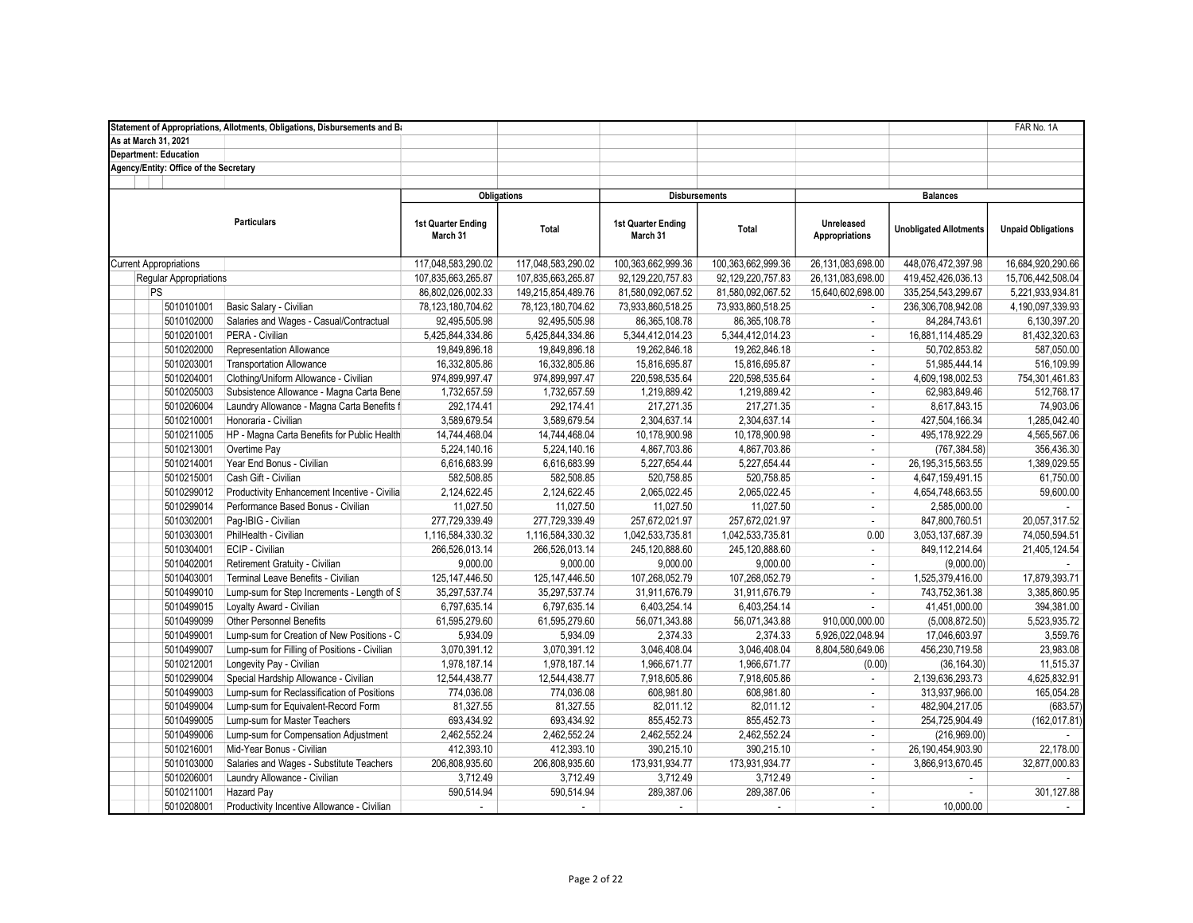|                                        | Statement of Appropriations, Allotments, Obligations, Disbursements and Ba |                                |                      |                                |                    |                                     |                               | FAR No. 1A                |
|----------------------------------------|----------------------------------------------------------------------------|--------------------------------|----------------------|--------------------------------|--------------------|-------------------------------------|-------------------------------|---------------------------|
| As at March 31, 2021                   |                                                                            |                                |                      |                                |                    |                                     |                               |                           |
| <b>Department: Education</b>           |                                                                            |                                |                      |                                |                    |                                     |                               |                           |
| Agency/Entity: Office of the Secretary |                                                                            |                                |                      |                                |                    |                                     |                               |                           |
|                                        |                                                                            |                                |                      |                                |                    |                                     |                               |                           |
|                                        |                                                                            | <b>Obligations</b>             |                      | <b>Disbursements</b>           |                    |                                     | <b>Balances</b>               |                           |
|                                        | <b>Particulars</b>                                                         | 1st Quarter Ending<br>March 31 | <b>Total</b>         | 1st Quarter Ending<br>March 31 | Total              | Unreleased<br><b>Appropriations</b> | <b>Unobligated Allotments</b> | <b>Unpaid Obligations</b> |
| <b>Current Appropriations</b>          |                                                                            | 117,048,583,290.02             | 117,048,583,290.02   | 100,363,662,999.36             | 100,363,662,999.36 | 26,131,083,698.00                   | 448,076,472,397.98            | 16,684,920,290.66         |
| Regular Appropriations                 |                                                                            | 107,835,663,265.87             | 107,835,663,265.87   | 92, 129, 220, 757.83           | 92,129,220,757.83  | 26,131,083,698.00                   | 419,452,426,036.13            | 15,706,442,508.04         |
| PS                                     |                                                                            | 86,802,026,002.33              | 149,215,854,489.76   | 81,580,092,067.52              | 81,580,092,067.52  | 15,640,602,698.00                   | 335,254,543,299.67            | 5,221,933,934.81          |
| 5010101001                             | Basic Salary - Civilian                                                    | 78,123,180,704.62              | 78, 123, 180, 704.62 | 73,933,860,518.25              | 73,933,860,518.25  | ÷.                                  | 236,306,708,942.08            | 4,190,097,339.93          |
| 5010102000                             | Salaries and Wages - Casual/Contractual                                    | 92,495,505.98                  | 92,495,505.98        | 86, 365, 108.78                | 86, 365, 108.78    | $\blacksquare$                      | 84,284,743.61                 | 6,130,397.20              |
| 5010201001                             | PERA - Civilian                                                            | 5,425,844,334.86               | 5,425,844,334.86     | 5,344,412,014.23               | 5,344,412,014.23   | $\omega$                            | 16,881,114,485.29             | 81,432,320.63             |
| 5010202000                             | <b>Representation Allowance</b>                                            | 19,849,896.18                  | 19,849,896.18        | 19,262,846.18                  | 19,262,846.18      | $\omega$                            | 50,702,853.82                 | 587,050.00                |
| 5010203001                             | <b>Transportation Allowance</b>                                            | 16,332,805.86                  | 16,332,805.86        | 15,816,695.87                  | 15,816,695.87      | $\mathcal{L}$                       | 51,985,444.14                 | 516,109.99                |
| 5010204001                             | Clothing/Uniform Allowance - Civilian                                      | 974,899,997.47                 | 974,899,997.47       | 220,598,535.64                 | 220,598,535.64     | $\omega$                            | 4,609,198,002.53              | 754,301,461.83            |
| 5010205003                             | Subsistence Allowance - Magna Carta Bene                                   | 1,732,657.59                   | 1,732,657.59         | 1,219,889.42                   | 1,219,889.42       | $\omega$                            | 62,983,849.46                 | 512,768.17                |
| 5010206004                             | Laundry Allowance - Magna Carta Benefits f                                 | 292,174.41                     | 292,174.41           | 217,271.35                     | 217,271.35         | $\sim$                              | 8,617,843.15                  | 74,903.06                 |
| 5010210001                             | Honoraria - Civilian                                                       | 3,589,679.54                   | 3,589,679.54         | 2,304,637.14                   | 2,304,637.14       | $\omega$                            | 427,504,166.34                | 1,285,042.40              |
| 5010211005                             | HP - Magna Carta Benefits for Public Health                                | 14,744,468.04                  | 14,744,468.04        | 10,178,900.98                  | 10,178,900.98      | $\sim$                              | 495,178,922.29                | 4,565,567.06              |
| 5010213001                             | Overtime Pay                                                               | 5,224,140.16                   | 5,224,140.16         | 4,867,703.86                   | 4,867,703.86       | $\blacksquare$                      | (767, 384.58)                 | 356,436.30                |
| 5010214001                             | Year End Bonus - Civilian                                                  | 6,616,683.99                   | 6,616,683.99         | 5,227,654.44                   | 5,227,654.44       | $\sim$                              | 26, 195, 315, 563.55          | 1,389,029.55              |
| 5010215001                             | Cash Gift - Civilian                                                       | 582,508.85                     | 582,508.85           | 520,758.85                     | 520,758.85         | $\sim$                              | 4,647,159,491.15              | 61,750.00                 |
| 5010299012                             | Productivity Enhancement Incentive - Civilia                               | 2,124,622.45                   | 2,124,622.45         | 2,065,022.45                   | 2,065,022.45       | $\omega$                            | 4,654,748,663.55              | 59,600.00                 |
| 5010299014                             | Performance Based Bonus - Civilian                                         | 11,027.50                      | 11,027.50            | 11,027.50                      | 11,027.50          | $\sim$                              | 2,585,000.00                  |                           |
| 5010302001                             | Paq-IBIG - Civilian                                                        | 277,729,339.49                 | 277.729.339.49       | 257,672,021.97                 | 257,672,021.97     | $\omega$                            | 847.800.760.51                | 20,057,317.52             |
| 5010303001                             | PhilHealth - Civilian                                                      | 1,116,584,330.32               | 1,116,584,330.32     | 1,042,533,735.81               | 1,042,533,735.81   | 0.00                                | 3,053,137,687.39              | 74,050,594.51             |
| 5010304001                             | ECIP - Civilian                                                            | 266,526,013.14                 | 266,526,013.14       | 245,120,888.60                 | 245,120,888.60     | $\mathcal{L}_{\mathcal{A}}$         | 849,112,214.64                | 21,405,124.54             |
| 5010402001                             | Retirement Gratuity - Civilian                                             | 9,000.00                       | 9,000.00             | 9,000.00                       | 9,000.00           | $\sim$                              | (9,000.00)                    |                           |
| 5010403001                             | Terminal Leave Benefits - Civilian                                         | 125, 147, 446.50               | 125, 147, 446.50     | 107,268,052.79                 | 107,268,052.79     | $\omega$                            | 1,525,379,416.00              | 17,879,393.71             |
| 5010499010                             | Lump-sum for Step Increments - Length of S                                 | 35,297,537.74                  | 35,297,537.74        | 31,911,676.79                  | 31,911,676.79      | $\mathcal{L}$                       | 743,752,361.38                | 3,385,860.95              |
| 5010499015                             | Loyalty Award - Civilian                                                   | 6,797,635.14                   | 6,797,635.14         | 6,403,254.14                   | 6,403,254.14       | $\sim$                              | 41,451,000.00                 | 394,381.00                |
| 5010499099                             | Other Personnel Benefits                                                   | 61,595,279.60                  | 61,595,279.60        | 56,071,343.88                  | 56,071,343.88      | 910,000,000.00                      | (5,008,872.50)                | 5,523,935.72              |
| 5010499001                             | Lump-sum for Creation of New Positions - C                                 | 5,934.09                       | 5,934.09             | 2,374.33                       | 2,374.33           | 5,926,022,048.94                    | 17,046,603.97                 | 3,559.76                  |
| 5010499007                             | Lump-sum for Filling of Positions - Civilian                               | 3,070,391.12                   | 3,070,391.12         | 3,046,408.04                   | 3,046,408.04       | 8,804,580,649.06                    | 456,230,719.58                | 23,983.08                 |
| 5010212001                             | Longevity Pay - Civilian                                                   | 1,978,187.14                   | 1,978,187.14         | 1,966,671.77                   | 1,966,671.77       | (0.00)                              | (36, 164.30)                  | 11,515.37                 |
| 5010299004                             | Special Hardship Allowance - Civilian                                      | 12,544,438.77                  | 12,544,438.77        | 7,918,605.86                   | 7,918,605.86       | $\omega$                            | 2,139,636,293.73              | 4,625,832.91              |
| 5010499003                             | Lump-sum for Reclassification of Positions                                 | 774,036.08                     | 774,036.08           | 608,981.80                     | 608,981.80         | $\sim$                              | 313,937,966.00                | 165,054.28                |
| 5010499004                             | Lump-sum for Equivalent-Record Form                                        | 81,327.55                      | 81,327.55            | 82,011.12                      | 82,011.12          | $\omega$                            | 482,904,217.05                | (683.57)                  |
| 5010499005                             | Lump-sum for Master Teachers                                               | 693,434.92                     | 693,434.92           | 855,452.73                     | 855,452.73         | ÷.                                  | 254,725,904.49                | (162, 017.81)             |
| 5010499006                             | Lump-sum for Compensation Adjustment                                       | 2,462,552.24                   | 2,462,552.24         | 2,462,552.24                   | 2,462,552.24       | $\blacksquare$                      | (216,969.00)                  |                           |
| 5010216001                             | Mid-Year Bonus - Civilian                                                  | 412,393.10                     | 412,393.10           | 390,215.10                     | 390,215.10         | $\sim$                              | 26, 190, 454, 903. 90         | 22,178.00                 |
| 5010103000                             | Salaries and Wages - Substitute Teachers                                   | 206,808,935.60                 | 206,808,935.60       | 173,931,934.77                 | 173,931,934.77     | $\omega$                            | 3,866,913,670.45              | 32,877,000.83             |
| 5010206001                             | Laundry Allowance - Civilian                                               | 3,712.49                       | 3,712.49             | 3,712.49                       | 3,712.49           | $\omega$                            |                               |                           |
| 5010211001                             | <b>Hazard Pay</b>                                                          | 590,514.94                     | 590,514.94           | 289,387.06                     | 289,387.06         | $\sim$                              | $\sim$                        | 301,127.88                |
| 5010208001                             | Productivity Incentive Allowance - Civilian                                | $\sim$                         | $\sim$               | $\sim$                         | ÷.                 | $\sim$                              | 10.000.00                     | $\sim$                    |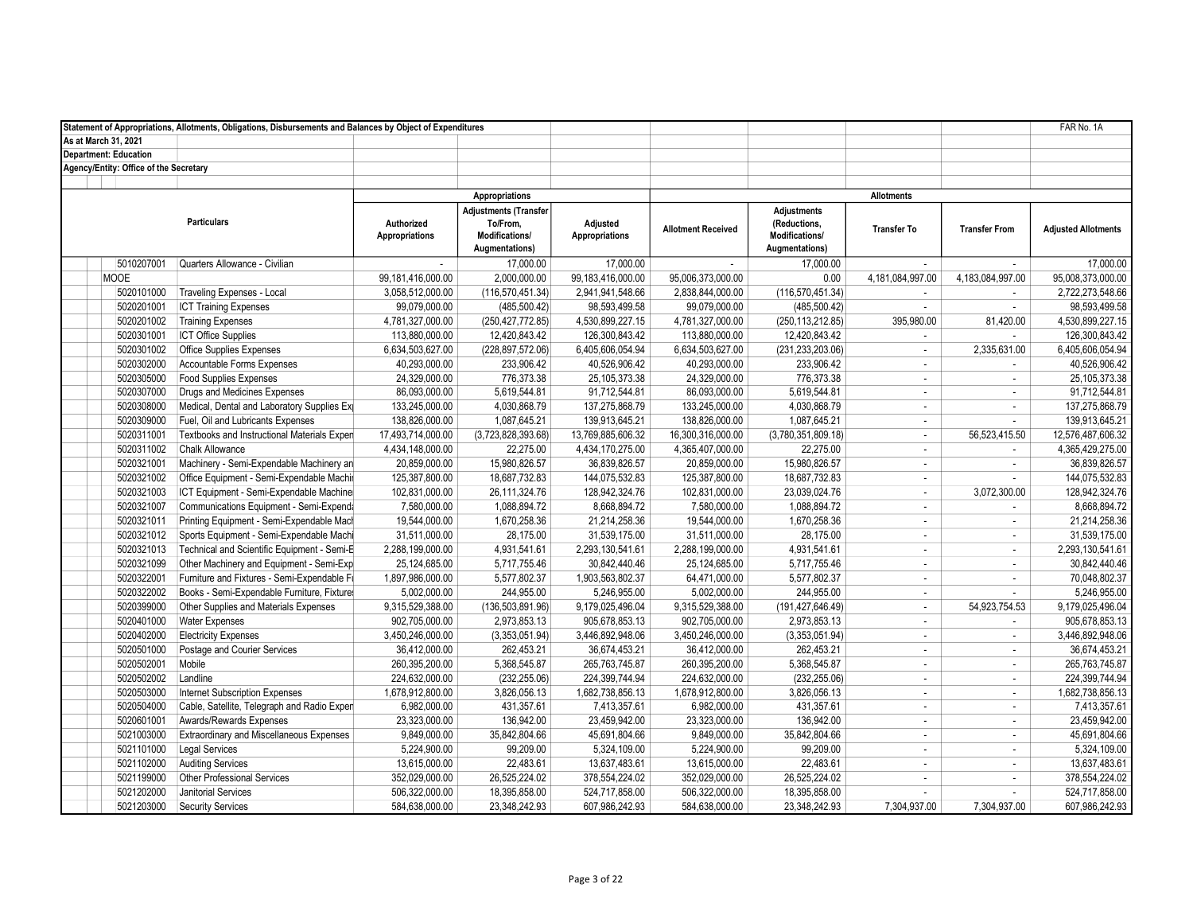|                                        | Statement of Appropriations, Allotments, Obligations, Disbursements and Balances by Object of Expenditures |                                     |                                                                              |                                   |                           |                                                                        |                    |                             | FAR No. 1A                 |
|----------------------------------------|------------------------------------------------------------------------------------------------------------|-------------------------------------|------------------------------------------------------------------------------|-----------------------------------|---------------------------|------------------------------------------------------------------------|--------------------|-----------------------------|----------------------------|
| As at March 31, 2021                   |                                                                                                            |                                     |                                                                              |                                   |                           |                                                                        |                    |                             |                            |
| <b>Department: Education</b>           |                                                                                                            |                                     |                                                                              |                                   |                           |                                                                        |                    |                             |                            |
| Agency/Entity: Office of the Secretary |                                                                                                            |                                     |                                                                              |                                   |                           |                                                                        |                    |                             |                            |
|                                        |                                                                                                            |                                     |                                                                              |                                   |                           |                                                                        |                    |                             |                            |
|                                        |                                                                                                            |                                     | Appropriations                                                               |                                   |                           |                                                                        | <b>Allotments</b>  |                             |                            |
|                                        | <b>Particulars</b>                                                                                         | Authorized<br><b>Appropriations</b> | <b>Adjustments (Transfer</b><br>To/From,<br>Modifications/<br>Augmentations) | Adjusted<br><b>Appropriations</b> | <b>Allotment Received</b> | <b>Adjustments</b><br>(Reductions,<br>Modifications/<br>Augmentations) | <b>Transfer To</b> | <b>Transfer From</b>        | <b>Adjusted Allotments</b> |
| 5010207001                             | Quarters Allowance - Civilian                                                                              |                                     | 17.000.00                                                                    | 17.000.00                         | $\sim$                    | 17.000.00                                                              | $\sim$             | ÷                           | 17.000.00                  |
| <b>MOOE</b>                            |                                                                                                            | 99,181,416,000.00                   | 2,000,000.00                                                                 | 99,183,416,000.00                 | 95,006,373,000.00         | 0.00                                                                   | 4,181,084,997.00   | 4,183,084,997.00            | 95,008,373,000.00          |
| 5020101000                             | <b>Traveling Expenses - Local</b>                                                                          | 3,058,512,000.00                    | (116, 570, 451.34)                                                           | 2,941,941,548.66                  | 2,838,844,000.00          | (116, 570, 451.34)                                                     | $\sim$             | $\overline{\phantom{a}}$    | 2,722,273,548.66           |
| 5020201001                             | <b>ICT Training Expenses</b>                                                                               | 99,079,000.00                       | (485, 500.42)                                                                | 98,593,499.58                     | 99,079,000.00             | (485, 500.42)                                                          | $\sim$             | $\mathbf{r}$                | 98,593,499.58              |
| 5020201002                             | <b>Training Expenses</b>                                                                                   | 4,781,327,000.00                    | (250, 427, 772.85)                                                           | 4,530,899,227.15                  | 4,781,327,000.00          | (250, 113, 212.85)                                                     | 395,980.00         | 81,420.00                   | 4,530,899,227.15           |
| 5020301001                             | <b>ICT Office Supplies</b>                                                                                 | 113,880,000.00                      | 12,420,843.42                                                                | 126,300,843.42                    | 113,880,000.00            | 12,420,843.42                                                          | $\mathbb{Z}^2$     |                             | 126,300,843.42             |
| 5020301002                             | <b>Office Supplies Expenses</b>                                                                            | 6,634,503,627.00                    | (228, 897, 572.06)                                                           | 6,405,606,054.94                  | 6,634,503,627.00          | (231, 233, 203.06)                                                     | $\sim$             | 2,335,631.00                | 6,405,606,054.94           |
| 5020302000                             | Accountable Forms Expenses                                                                                 | 40,293,000.00                       | 233,906.42                                                                   | 40,526,906.42                     | 40,293,000.00             | 233,906.42                                                             | $\sim$             | $\mathcal{L}_{\mathcal{A}}$ | 40,526,906.42              |
| 5020305000                             | <b>Food Supplies Expenses</b>                                                                              | 24,329,000.00                       | 776,373.38                                                                   | 25, 105, 373. 38                  | 24,329,000.00             | 776,373.38                                                             | $\mathbb{Z}^2$     | $\mathbf{r}$                | 25, 105, 373. 38           |
| 5020307000                             | Drugs and Medicines Expenses                                                                               | 86,093,000.00                       | 5,619,544.81                                                                 | 91,712,544.81                     | 86,093,000.00             | 5,619,544.81                                                           | $\sim$             | $\sim$                      | 91,712,544.81              |
| 5020308000                             | Medical, Dental and Laboratory Supplies Ex                                                                 | 133,245,000.00                      | 4,030,868.79                                                                 | 137,275,868.79                    | 133,245,000.00            | 4,030,868.79                                                           | $\sim$             | $\mathbf{r}$                | 137,275,868.79             |
| 5020309000                             | Fuel, Oil and Lubricants Expenses                                                                          | 138,826,000.00                      | 1,087,645.21                                                                 | 139,913,645.21                    | 138,826,000.00            | 1,087,645.21                                                           | $\sim$             | $\mathcal{L}_{\mathcal{A}}$ | 139,913,645.21             |
| 5020311001                             | Textbooks and Instructional Materials Exper                                                                | 17,493,714,000.00                   | (3,723,828,393.68)                                                           | 13,769,885,606.32                 | 16,300,316,000.00         | (3,780,351,809.18)                                                     | $\sim$             | 56,523,415.50               | 12,576,487,606.32          |
| 5020311002                             | <b>Chalk Allowance</b>                                                                                     | 4,434,148,000.00                    | 22,275.00                                                                    | 4,434,170,275.00                  | 4,365,407,000.00          | 22,275.00                                                              | $\sim$             | $\mathbf{r}$                | 4,365,429,275.00           |
| 5020321001                             | Machinery - Semi-Expendable Machinery an                                                                   | 20,859,000.00                       | 15,980,826.57                                                                | 36,839,826.57                     | 20,859,000.00             | 15,980,826.57                                                          | $\sim$             | $\mathcal{L}_{\mathcal{A}}$ | 36,839,826.57              |
| 5020321002                             | Office Equipment - Semi-Expendable Machin                                                                  | 125,387,800.00                      | 18,687,732.83                                                                | 144,075,532.83                    | 125,387,800.00            | 18,687,732.83                                                          | $\sim$             | ×.                          | 144,075,532.83             |
| 5020321003                             | ICT Equipment - Semi-Expendable Machine                                                                    | 102,831,000.00                      | 26,111,324.76                                                                | 128,942,324.76                    | 102,831,000.00            | 23,039,024.76                                                          | $\sim$             | 3,072,300.00                | 128,942,324.76             |
| 5020321007                             | Communications Equipment - Semi-Expenda                                                                    | 7,580,000.00                        | 1,088,894.72                                                                 | 8,668,894.72                      | 7,580,000.00              | 1,088,894.72                                                           | $\sim$             | $\mathbf{r}$                | 8,668,894.72               |
| 5020321011                             | Printing Equipment - Semi-Expendable Mach                                                                  | 19,544,000.00                       | 1,670,258.36                                                                 | 21,214,258.36                     | 19,544,000.00             | 1,670,258.36                                                           | $\sim$             | $\mathbf{r}$                | 21,214,258.36              |
| 5020321012                             | Sports Equipment - Semi-Expendable Machi                                                                   | 31,511,000.00                       | 28,175.00                                                                    | 31,539,175.00                     | 31,511,000.00             | 28,175.00                                                              | $\sim$             | $\overline{\phantom{a}}$    | 31,539,175.00              |
| 5020321013                             | Technical and Scientific Equipment - Semi-E                                                                | 2,288,199,000.00                    | 4,931,541.61                                                                 | 2,293,130,541.61                  | 2,288,199,000.00          | 4,931,541.61                                                           | $\sim$             | $\mathbf{r}$                | 2,293,130,541.61           |
| 5020321099                             | Other Machinery and Equipment - Semi-Exp                                                                   | 25,124,685.00                       | 5,717,755.46                                                                 | 30,842,440.46                     | 25,124,685.00             | 5,717,755.46                                                           | $\sim$             | $\mathbf{r}$                | 30,842,440.46              |
| 5020322001                             | Furniture and Fixtures - Semi-Expendable Fi                                                                | 1,897,986,000.00                    | 5,577,802.37                                                                 | 1,903,563,802.37                  | 64,471,000.00             | 5,577,802.37                                                           | $\sim$             | ÷.                          | 70,048,802.37              |
| 5020322002                             | Books - Semi-Expendable Furniture, Fixture                                                                 | 5,002,000.00                        | 244,955.00                                                                   | 5,246,955.00                      | 5,002,000.00              | 244,955.00                                                             | $\sim$             | ÷.                          | 5,246,955.00               |
| 5020399000                             | Other Supplies and Materials Expenses                                                                      | 9,315,529,388.00                    | (136, 503, 891.96)                                                           | 9,179,025,496.04                  | 9,315,529,388.00          | (191,427,646.49)                                                       | $\sim$             | 54,923,754.53               | 9,179,025,496.04           |
| 5020401000                             | <b>Water Expenses</b>                                                                                      | 902,705,000.00                      | 2,973,853.13                                                                 | 905,678,853.13                    | 902,705,000.00            | 2,973,853.13                                                           | $\sim$             | $\sim$                      | 905,678,853.13             |
| 5020402000                             | <b>Electricity Expenses</b>                                                                                | 3,450,246,000.00                    | (3,353,051.94)                                                               | 3,446,892,948.06                  | 3,450,246,000.00          | (3,353,051.94)                                                         | $\sim$             | $\mathbf{r}$                | 3,446,892,948.06           |
| 5020501000                             | Postage and Courier Services                                                                               | 36,412,000.00                       | 262,453.21                                                                   | 36,674,453.21                     | 36,412,000.00             | 262,453.21                                                             | $\sim$             | $\mathbf{r}$                | 36,674,453.21              |
| 5020502001                             | Mobile                                                                                                     | 260,395,200.00                      | 5,368,545.87                                                                 | 265,763,745.87                    | 260,395,200.00            | 5,368,545.87                                                           | $\sim$             | $\mathcal{L}_{\mathcal{A}}$ | 265,763,745.87             |
| 5020502002                             | Landline                                                                                                   | 224,632,000.00                      | (232, 255.06)                                                                | 224,399,744.94                    | 224,632,000.00            | (232, 255.06)                                                          | $\sim$             | $\mathcal{L}_{\mathcal{A}}$ | 224,399,744.94             |
| 5020503000                             | <b>Internet Subscription Expenses</b>                                                                      | 1,678,912,800.00                    | 3,826,056.13                                                                 | 1,682,738,856.13                  | 1,678,912,800.00          | 3,826,056.13                                                           | $\sim$             | ÷                           | 1,682,738,856.13           |
| 5020504000                             | Cable, Satellite, Telegraph and Radio Exper                                                                | 6,982,000.00                        | 431,357.61                                                                   | 7,413,357.61                      | 6,982,000.00              | 431,357.61                                                             | $\sim$             | $\mathcal{L}_{\mathcal{A}}$ | 7,413,357.61               |
| 5020601001                             | Awards/Rewards Expenses                                                                                    | 23,323,000.00                       | 136,942.00                                                                   | 23,459,942.00                     | 23,323,000.00             | 136,942.00                                                             | $\sim$             | $\mathbf{r}$                | 23,459,942.00              |
| 5021003000                             | <b>Extraordinary and Miscellaneous Expenses</b>                                                            | 9,849,000.00                        | 35,842,804.66                                                                | 45,691,804.66                     | 9,849,000.00              | 35,842,804.66                                                          | $\sim$             | $\mathcal{L}_{\mathcal{A}}$ | 45,691,804.66              |
| 5021101000                             | <b>Legal Services</b>                                                                                      | 5,224,900.00                        | 99,209.00                                                                    | 5,324,109.00                      | 5,224,900.00              | 99,209.00                                                              | $\mathbb{Z}^2$     | $\mathcal{L}_{\mathcal{A}}$ | 5,324,109.00               |
| 5021102000                             | <b>Auditing Services</b>                                                                                   | 13,615,000.00                       | 22,483.61                                                                    | 13,637,483.61                     | 13,615,000.00             | 22,483.61                                                              | $\sim$             | $\blacksquare$              | 13,637,483.61              |
| 5021199000                             | <b>Other Professional Services</b>                                                                         | 352,029,000.00                      | 26,525,224.02                                                                | 378,554,224.02                    | 352,029,000.00            | 26,525,224.02                                                          | $\sim$             | ÷                           | 378,554,224.02             |
| 5021202000                             | Janitorial Services                                                                                        | 506,322,000.00                      | 18,395,858.00                                                                | 524,717,858.00                    | 506,322,000.00            | 18,395,858.00                                                          | $\sim$             | $\mathbf{r}$                | 524,717,858.00             |
| 5021203000                             | Security Services                                                                                          | 584,638,000.00                      | 23,348,242.93                                                                | 607.986.242.93                    | 584,638,000.00            | 23,348,242.93                                                          | 7.304.937.00       | 7.304.937.00                | 607,986,242.93             |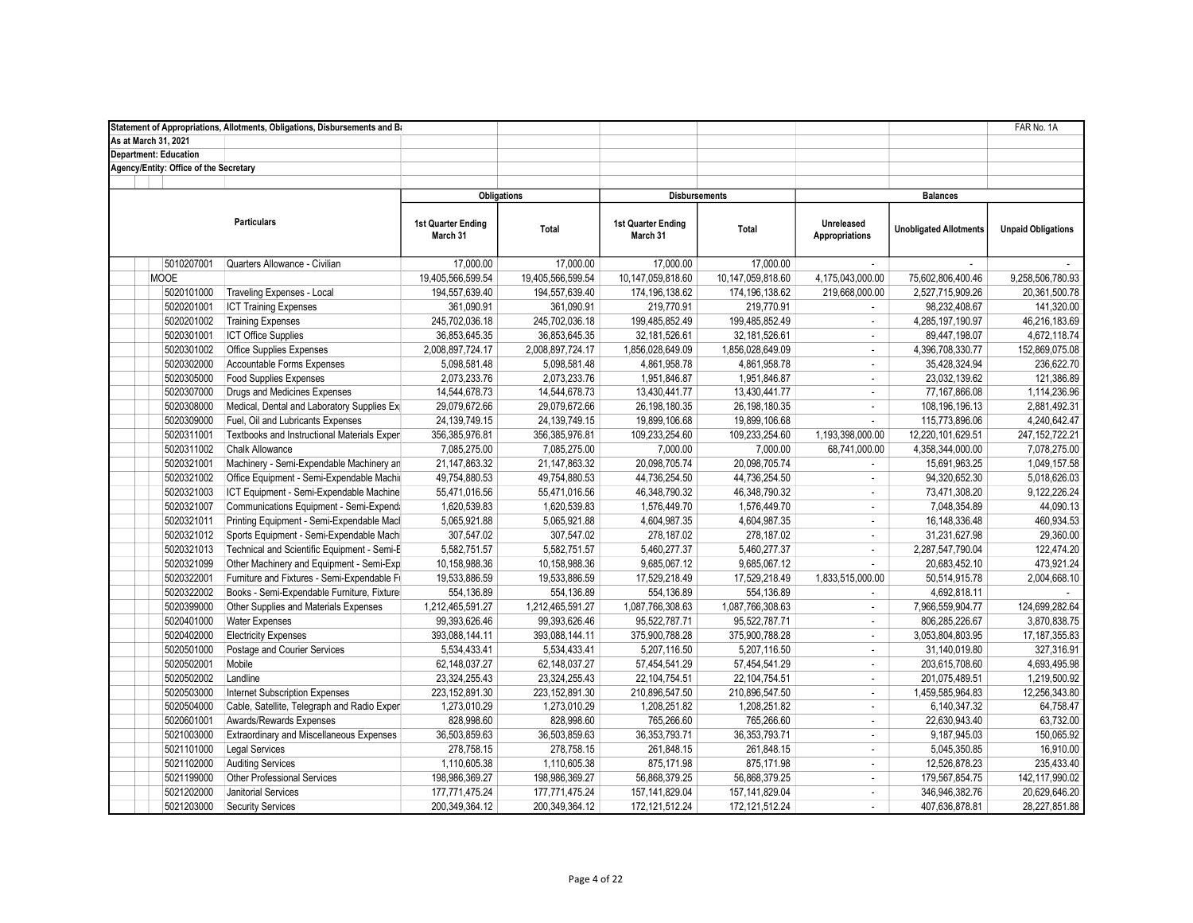|                                        | Statement of Appropriations, Allotments, Obligations, Disbursements and Ba |                                |                   |                                |                   |                                     |                               | FAR No. 1A                |
|----------------------------------------|----------------------------------------------------------------------------|--------------------------------|-------------------|--------------------------------|-------------------|-------------------------------------|-------------------------------|---------------------------|
| As at March 31, 2021                   |                                                                            |                                |                   |                                |                   |                                     |                               |                           |
| <b>Department: Education</b>           |                                                                            |                                |                   |                                |                   |                                     |                               |                           |
| Agency/Entity: Office of the Secretary |                                                                            |                                |                   |                                |                   |                                     |                               |                           |
|                                        |                                                                            |                                |                   |                                |                   |                                     |                               |                           |
|                                        |                                                                            | <b>Obligations</b>             |                   | <b>Disbursements</b>           |                   |                                     | <b>Balances</b>               |                           |
|                                        | <b>Particulars</b>                                                         | 1st Quarter Ending<br>March 31 | Total             | 1st Quarter Ending<br>March 31 | Total             | Unreleased<br><b>Appropriations</b> | <b>Unobligated Allotments</b> | <b>Unpaid Obligations</b> |
| 5010207001                             | Quarters Allowance - Civilian                                              | 17.000.00                      | 17.000.00         | 17,000.00                      | 17.000.00         |                                     | $\sim$                        |                           |
| <b>MOOE</b>                            |                                                                            | 19,405,566,599.54              | 19,405,566,599.54 | 10,147,059,818.60              | 10,147,059,818.60 | 4,175,043,000.00                    | 75,602,806,400.46             | 9,258,506,780.93          |
| 5020101000                             | Traveling Expenses - Local                                                 | 194,557,639.40                 | 194,557,639.40    | 174,196,138.62                 | 174, 196, 138.62  | 219,668,000.00                      | 2,527,715,909.26              | 20,361,500.78             |
| 5020201001                             | <b>ICT Training Expenses</b>                                               | 361,090.91                     | 361,090.91        | 219,770.91                     | 219,770.91        |                                     | 98,232,408.67                 | 141,320.00                |
| 5020201002                             | <b>Training Expenses</b>                                                   | 245,702,036.18                 | 245,702,036.18    | 199,485,852.49                 | 199,485,852.49    | ÷.                                  | 4,285,197,190.97              | 46,216,183.69             |
| 5020301001                             | <b>ICT Office Supplies</b>                                                 | 36,853,645.35                  | 36,853,645.35     | 32,181,526.61                  | 32, 181, 526.61   | $\sim$                              | 89,447,198.07                 | 4,672,118.74              |
| 5020301002                             | <b>Office Supplies Expenses</b>                                            | 2,008,897,724.17               | 2,008,897,724.17  | 1,856,028,649.09               | 1,856,028,649.09  | $\sim$                              | 4,396,708,330.77              | 152,869,075.08            |
| 5020302000                             | Accountable Forms Expenses                                                 | 5,098,581.48                   | 5,098,581.48      | 4,861,958.78                   | 4,861,958.78      | $\omega$                            | 35,428,324.94                 | 236,622.70                |
| 5020305000                             | <b>Food Supplies Expenses</b>                                              | 2,073,233.76                   | 2,073,233.76      | 1,951,846.87                   | 1,951,846.87      | $\sim$                              | 23,032,139.62                 | 121,386.89                |
| 5020307000                             | Drugs and Medicines Expenses                                               | 14,544,678.73                  | 14,544,678.73     | 13,430,441.77                  | 13,430,441.77     | $\omega$                            | 77,167,866.08                 | 1,114,236.96              |
| 5020308000                             | Medical, Dental and Laboratory Supplies Ex                                 | 29,079,672.66                  | 29,079,672.66     | 26,198,180.35                  | 26, 198, 180. 35  | $\sim$                              | 108,196,196.13                | 2,881,492.31              |
| 5020309000                             | Fuel, Oil and Lubricants Expenses                                          | 24,139,749.15                  | 24, 139, 749. 15  | 19,899,106.68                  | 19,899,106.68     | $\mathcal{L}_{\mathcal{A}}$         | 115,773,896.06                | 4,240,642.47              |
| 5020311001                             | Textbooks and Instructional Materials Expen                                | 356,385,976.81                 | 356,385,976.81    | 109,233,254.60                 | 109,233,254.60    | 1,193,398,000.00                    | 12,220,101,629.51             | 247, 152, 722. 21         |
| 5020311002                             | <b>Chalk Allowance</b>                                                     | 7,085,275.00                   | 7,085,275.00      | 7,000.00                       | 7,000.00          | 68,741,000.00                       | 4,358,344,000.00              | 7,078,275.00              |
| 5020321001                             | Machinery - Semi-Expendable Machinery an                                   | 21,147,863.32                  | 21,147,863.32     | 20,098,705.74                  | 20,098,705.74     |                                     | 15,691,963.25                 | 1,049,157.58              |
| 5020321002                             | Office Equipment - Semi-Expendable Machin                                  | 49,754,880.53                  | 49,754,880.53     | 44,736,254.50                  | 44,736,254.50     | $\sim$                              | 94,320,652.30                 | 5,018,626.03              |
| 5020321003                             | ICT Equipment - Semi-Expendable Machine                                    | 55,471,016.56                  | 55,471,016.56     | 46,348,790.32                  | 46,348,790.32     | $\sim$                              | 73,471,308.20                 | 9,122,226.24              |
| 5020321007                             | Communications Equipment - Semi-Expenda                                    | 1,620,539.83                   | 1,620,539.83      | 1,576,449.70                   | 1,576,449.70      | $\blacksquare$                      | 7,048,354.89                  | 44,090.13                 |
| 5020321011                             | Printing Equipment - Semi-Expendable Mach                                  | 5,065,921.88                   | 5,065,921.88      | 4,604,987.35                   | 4,604,987.35      | $\omega$                            | 16,148,336.48                 | 460,934.53                |
| 5020321012                             | Sports Equipment - Semi-Expendable Machi                                   | 307,547.02                     | 307,547.02        | 278,187.02                     | 278,187.02        | ÷.                                  | 31,231,627.98                 | 29,360.00                 |
| 5020321013                             | Technical and Scientific Equipment - Semi-E                                | 5,582,751.57                   | 5,582,751.57      | 5,460,277.37                   | 5,460,277.37      | $\blacksquare$                      | 2,287,547,790.04              | 122,474.20                |
| 5020321099                             | Other Machinery and Equipment - Semi-Exp                                   | 10,158,988.36                  | 10,158,988.36     | 9,685,067.12                   | 9,685,067.12      | $\omega$                            | 20,683,452.10                 | 473,921.24                |
| 5020322001                             | Furniture and Fixtures - Semi-Expendable Fi                                | 19,533,886.59                  | 19,533,886.59     | 17,529,218.49                  | 17,529,218.49     | 1,833,515,000.00                    | 50,514,915.78                 | 2,004,668.10              |
| 5020322002                             | Books - Semi-Expendable Furniture, Fixture                                 | 554,136.89                     | 554,136.89        | 554,136.89                     | 554,136.89        | $\sim$                              | 4,692,818.11                  |                           |
| 5020399000                             | Other Supplies and Materials Expenses                                      | 1,212,465,591.27               | 1,212,465,591.27  | 1,087,766,308.63               | 1,087,766,308.63  | $\blacksquare$                      | 7,966,559,904.77              | 124,699,282.64            |
| 5020401000                             | <b>Water Expenses</b>                                                      | 99,393,626.46                  | 99,393,626.46     | 95,522,787.71                  | 95,522,787.71     | ÷.                                  | 806,285,226.67                | 3,870,838.75              |
| 5020402000                             | <b>Electricity Expenses</b>                                                | 393,088,144.11                 | 393,088,144.11    | 375,900,788.28                 | 375,900,788.28    | ×.                                  | 3,053,804,803.95              | 17, 187, 355.83           |
| 5020501000                             | Postage and Courier Services                                               | 5,534,433.41                   | 5,534,433.41      | 5,207,116.50                   | 5,207,116.50      | $\sim$                              | 31,140,019.80                 | 327,316.91                |
| 5020502001                             | Mobile                                                                     | 62,148,037.27                  | 62,148,037.27     | 57,454,541.29                  | 57,454,541.29     | $\sim$                              | 203,615,708.60                | 4,693,495.98              |
| 5020502002                             | Landline                                                                   | 23,324,255.43                  | 23,324,255.43     | 22,104,754.51                  | 22, 104, 754.51   | ÷.                                  | 201.075.489.51                | 1,219,500.92              |
| 5020503000                             | <b>Internet Subscription Expenses</b>                                      | 223, 152, 891.30               | 223, 152, 891.30  | 210,896,547.50                 | 210,896,547.50    | ÷.                                  | 1,459,585,964.83              | 12,256,343.80             |
| 5020504000                             | Cable, Satellite, Telegraph and Radio Expen                                | 1,273,010.29                   | 1,273,010.29      | 1,208,251.82                   | 1,208,251.82      | $\blacksquare$                      | 6,140,347.32                  | 64,758.47                 |
| 5020601001                             | Awards/Rewards Expenses                                                    | 828,998.60                     | 828,998.60        | 765,266.60                     | 765,266.60        | $\omega$                            | 22,630,943.40                 | 63,732.00                 |
| 5021003000                             | <b>Extraordinary and Miscellaneous Expenses</b>                            | 36,503,859.63                  | 36,503,859.63     | 36, 353, 793. 71               | 36, 353, 793. 71  | $\omega$                            | 9,187,945.03                  | 150,065.92                |
| 5021101000                             | <b>Legal Services</b>                                                      | 278,758.15                     | 278,758.15        | 261,848.15                     | 261,848.15        | $\sim$                              | 5,045,350.85                  | 16,910.00                 |
| 5021102000                             | <b>Auditing Services</b>                                                   | 1,110,605.38                   | 1,110,605.38      | 875,171.98                     | 875,171.98        | $\blacksquare$                      | 12,526,878.23                 | 235,433.40                |
| 5021199000                             | Other Professional Services                                                | 198,986,369.27                 | 198,986,369.27    | 56,868,379.25                  | 56,868,379.25     | ÷.                                  | 179,567,854.75                | 142,117,990.02            |
| 5021202000                             | Janitorial Services                                                        | 177,771,475.24                 | 177,771,475.24    | 157, 141, 829.04               | 157,141,829.04    | $\blacksquare$                      | 346,946,382.76                | 20,629,646.20             |
| 5021203000                             | <b>Security Services</b>                                                   | 200.349.364.12                 | 200.349.364.12    | 172, 121, 512. 24              | 172, 121, 512.24  | $\sim$                              | 407.636.878.81                | 28,227,851.88             |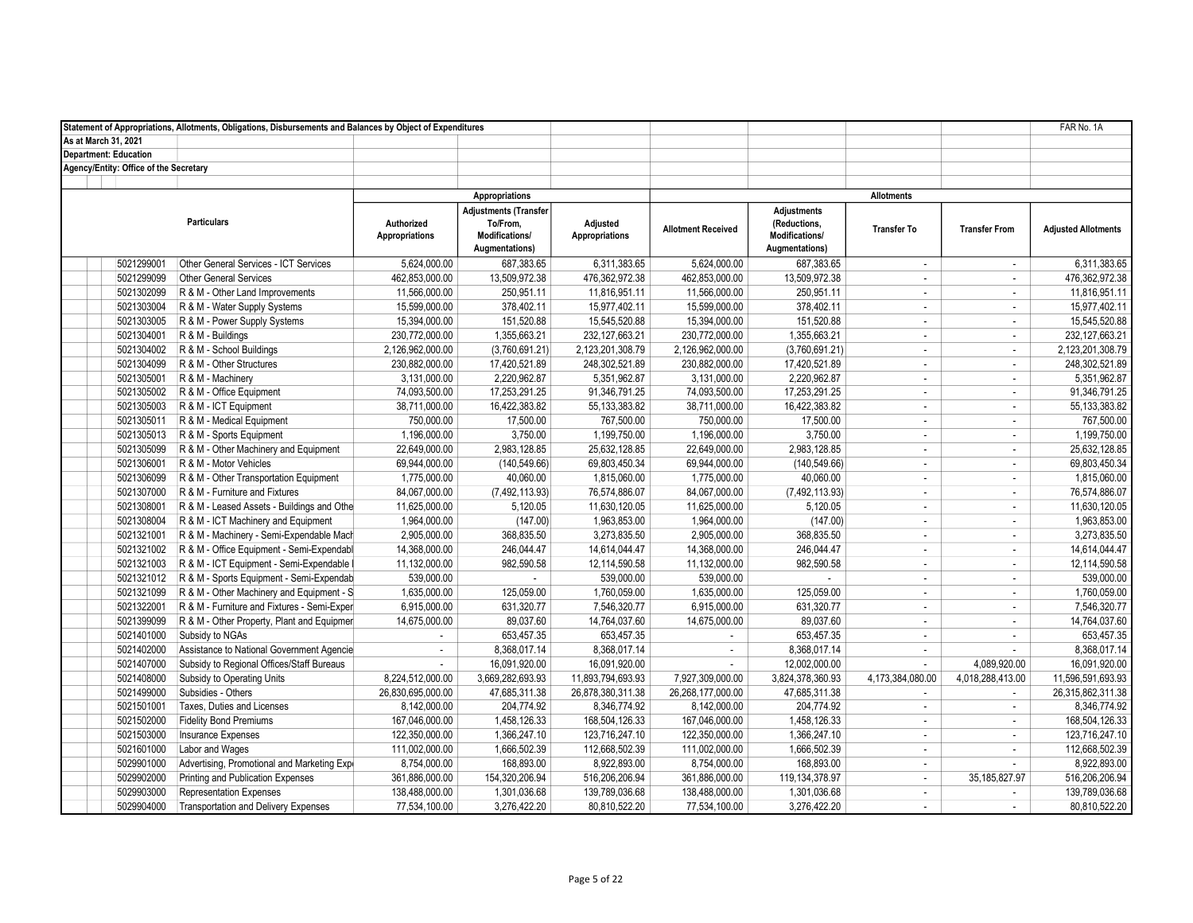|                                        | Statement of Appropriations, Allotments, Obligations, Disbursements and Balances by Object of Expenditures |                                     |                                                                              |                                   |                               |                                                                        |                    |                                | FAR No. 1A                 |
|----------------------------------------|------------------------------------------------------------------------------------------------------------|-------------------------------------|------------------------------------------------------------------------------|-----------------------------------|-------------------------------|------------------------------------------------------------------------|--------------------|--------------------------------|----------------------------|
| As at March 31, 2021                   |                                                                                                            |                                     |                                                                              |                                   |                               |                                                                        |                    |                                |                            |
| <b>Department: Education</b>           |                                                                                                            |                                     |                                                                              |                                   |                               |                                                                        |                    |                                |                            |
| Agency/Entity: Office of the Secretary |                                                                                                            |                                     |                                                                              |                                   |                               |                                                                        |                    |                                |                            |
|                                        |                                                                                                            |                                     |                                                                              |                                   |                               |                                                                        | <b>Allotments</b>  |                                |                            |
|                                        |                                                                                                            |                                     | Appropriations                                                               |                                   |                               |                                                                        |                    |                                |                            |
|                                        | <b>Particulars</b>                                                                                         | Authorized<br><b>Appropriations</b> | <b>Adjustments (Transfer</b><br>To/From,<br>Modifications/<br>Augmentations) | Adjusted<br><b>Appropriations</b> | <b>Allotment Received</b>     | <b>Adjustments</b><br>(Reductions,<br>Modifications/<br>Augmentations) | <b>Transfer To</b> | <b>Transfer From</b>           | <b>Adjusted Allotments</b> |
| 5021299001                             | Other General Services - ICT Services                                                                      | 5,624,000.00                        | 687,383.65                                                                   | 6,311,383.65                      | 5,624,000.00                  | 687,383.65                                                             | $\sim$             | $\mathcal{L}_{\mathcal{A}}$    | 6,311,383.65               |
| 5021299099                             | <b>Other General Services</b>                                                                              | 462,853,000.00                      | 13,509,972.38                                                                | 476,362,972.38                    | 462,853,000.00                | 13,509,972.38                                                          | $\sim$             | $\mathbf{r}$                   | 476,362,972.38             |
| 5021302099                             | R & M - Other Land Improvements                                                                            | 11,566,000.00                       | 250,951.11                                                                   | 11,816,951.11                     | 11,566,000.00                 | 250,951.11                                                             | $\sim$             | ÷                              | 11,816,951.11              |
| 5021303004                             | R & M - Water Supply Systems                                                                               | 15,599,000.00                       | 378,402.11                                                                   | 15,977,402.11                     | 15,599,000.00                 | 378,402.11                                                             | $\sim$             | $\mathcal{L}_{\mathcal{A}}$    | 15,977,402.11              |
| 5021303005                             | R & M - Power Supply Systems                                                                               | 15,394,000.00                       | 151.520.88                                                                   | 15,545,520.88                     | 15,394,000.00                 | 151,520.88                                                             | $\sim$             | ÷                              | 15,545,520.88              |
| 5021304001                             | R & M - Buildings                                                                                          | 230,772,000.00                      | 1,355,663.21                                                                 | 232, 127, 663. 21                 | 230,772,000.00                | 1,355,663.21                                                           | $\sim$             | $\mathbf{r}$                   | 232, 127, 663. 21          |
| 5021304002                             | R & M - School Buildings                                                                                   | 2,126,962,000.00                    | (3,760,691.21)                                                               | 2,123,201,308.79                  | 2,126,962,000.00              | (3,760,691.21)                                                         | $\sim$             | $\mathcal{L}_{\mathcal{A}}$    | 2,123,201,308.79           |
| 5021304099                             | R & M - Other Structures                                                                                   | 230,882,000.00                      | 17,420,521.89                                                                | 248,302,521.89                    | 230,882,000.00                | 17,420,521.89                                                          | $\sim$             | $\mathbf{r}$                   | 248,302,521.89             |
| 5021305001                             | R & M - Machinery                                                                                          | 3,131,000.00                        | 2,220,962.87                                                                 | 5,351,962.87                      | 3,131,000.00                  | 2,220,962.87                                                           | $\sim$             | $\mathbf{r}$                   | 5,351,962.87               |
| 5021305002                             | R & M - Office Equipment                                                                                   | 74,093,500.00                       | 17,253,291.25                                                                | 91,346,791.25                     | 74,093,500.00                 | 17,253,291.25                                                          | $\sim$             | $\sim$                         | 91,346,791.25              |
| 5021305003                             | R & M - ICT Equipment                                                                                      | 38,711,000.00                       | 16,422,383.82                                                                | 55, 133, 383. 82                  | 38,711,000.00                 | 16,422,383.82                                                          | $\sim$             | ÷                              | 55, 133, 383. 82           |
| 5021305011                             | R & M - Medical Equipment                                                                                  | 750,000.00                          | 17.500.00                                                                    | 767.500.00                        | 750,000.00                    | 17,500.00                                                              | $\sim$             | $\sim$                         | 767.500.00                 |
| 5021305013                             | R & M - Sports Equipment                                                                                   | 1,196,000.00                        | 3,750.00                                                                     | 1,199,750.00                      | 1,196,000.00                  | 3,750.00                                                               | $\sim$             | $\mathcal{L}_{\mathcal{A}}$    | 1,199,750.00               |
| 5021305099                             | R & M - Other Machinery and Equipment                                                                      | 22,649,000.00                       | 2.983.128.85                                                                 | 25,632,128.85                     | 22,649,000.00                 | 2.983.128.85                                                           | $\sim$             | ÷                              | 25,632,128.85              |
| 5021306001                             | R & M - Motor Vehicles                                                                                     | 69,944,000.00                       | (140, 549.66)                                                                | 69,803,450.34                     | 69,944,000.00                 | (140, 549.66)                                                          | $\sim$             | $\mathbf{r}$                   | 69,803,450.34              |
| 5021306099                             | R & M - Other Transportation Equipment                                                                     | 1,775,000.00                        | 40,060.00                                                                    | 1,815,060.00                      | 1,775,000.00                  | 40,060.00                                                              | $\sim$             | $\mathbf{r}$                   | 1,815,060.00               |
| 5021307000                             | R & M - Furniture and Fixtures                                                                             | 84,067,000.00                       | (7, 492, 113.93)                                                             | 76,574,886.07                     | 84,067,000.00                 | (7,492,113.93)                                                         | $\sim$             | ÷                              | 76,574,886.07              |
| 5021308001                             | R & M - Leased Assets - Buildings and Othe                                                                 | 11,625,000.00                       | 5,120.05                                                                     | 11,630,120.05                     | 11,625,000.00                 | 5,120.05                                                               | $\sim$             | $\mathbf{r}$                   | 11,630,120.05              |
| 5021308004                             | R & M - ICT Machinery and Equipment                                                                        | 1,964,000.00                        | (147.00)                                                                     | 1,963,853.00                      | 1,964,000.00                  | (147.00)                                                               | $\sim$             | $\mathcal{L}_{\mathcal{A}}$    | 1,963,853.00               |
| 5021321001                             | R & M - Machinery - Semi-Expendable Mach                                                                   | 2,905,000.00                        | 368.835.50                                                                   | 3,273,835.50                      | 2,905,000.00                  | 368,835.50                                                             | $\sim$             | $\sim$                         | 3,273,835.50               |
| 5021321002                             | R & M - Office Equipment - Semi-Expendabl                                                                  | 14,368,000.00                       | 246,044.47                                                                   | 14,614,044.47                     | 14,368,000.00                 | 246,044.47                                                             | $\sim$             | $\mathbf{r}$                   | 14,614,044.47              |
| 5021321003                             | R & M - ICT Equipment - Semi-Expendable I                                                                  | 11,132,000.00                       | 982,590.58                                                                   | 12,114,590.58                     | 11,132,000.00                 | 982,590.58                                                             | $\mathbb{Z}^2$     | $\mathcal{L}_{\mathcal{A}}$    | 12,114,590.58              |
| 5021321012                             | R & M - Sports Equipment - Semi-Expendab                                                                   | 539,000.00                          | $\mathcal{L}_{\mathcal{A}}$                                                  | 539,000.00                        | 539,000.00                    |                                                                        | $\sim$             | $\sim$                         | 539,000.00                 |
| 5021321099                             | R & M - Other Machinery and Equipment - S                                                                  | 1,635,000.00                        | 125,059.00                                                                   | 1,760,059.00                      | 1,635,000.00                  | 125,059.00                                                             | $\sim$             | ÷                              | 1,760,059.00               |
| 5021322001                             | R & M - Furniture and Fixtures - Semi-Exper                                                                | 6,915,000.00                        | 631,320.77                                                                   | 7,546,320.77                      | 6,915,000.00                  | 631,320.77                                                             | $\sim$             |                                | 7,546,320.77               |
| 5021399099                             | R & M - Other Property, Plant and Equipmer                                                                 | 14,675,000.00                       | 89,037.60                                                                    | 14,764,037.60                     |                               |                                                                        |                    | $\blacksquare$<br>$\mathbf{r}$ | 14,764,037.60              |
| 5021401000                             | Subsidy to NGAs                                                                                            | ÷.                                  | 653,457.35                                                                   | 653,457.35                        | 14,675,000.00<br>$\mathbf{r}$ | 89,037.60<br>653,457.35                                                | $\sim$<br>$\sim$   | ÷                              | 653,457.35                 |
| 5021402000                             | Assistance to National Government Agencie                                                                  | ÷                                   | 8,368,017.14                                                                 | 8,368,017.14                      | $\sim$                        |                                                                        | $\sim$             | ÷                              | 8,368,017.14               |
| 5021407000                             |                                                                                                            | $\sim$                              |                                                                              |                                   |                               | 8,368,017.14                                                           |                    | 4,089,920.00                   |                            |
|                                        | Subsidy to Regional Offices/Staff Bureaus                                                                  |                                     | 16,091,920.00                                                                | 16,091,920.00                     | $\sim$                        | 12,002,000.00                                                          | $\sim$             |                                | 16,091,920.00              |
| 5021408000                             | Subsidy to Operating Units                                                                                 | 8,224,512,000.00                    | 3,669,282,693.93                                                             | 11,893,794,693.93                 | 7,927,309,000.00              | 3,824,378,360.93                                                       | 4,173,384,080.00   | 4,018,288,413.00               | 11,596,591,693.93          |
| 5021499000                             | Subsidies - Others                                                                                         | 26,830,695,000.00                   | 47,685,311.38                                                                | 26,878,380,311.38                 | 26,268,177,000.00             | 47,685,311.38                                                          | $\sim$             | ÷                              | 26,315,862,311.38          |
| 5021501001                             | Taxes, Duties and Licenses                                                                                 | 8,142,000.00                        | 204,774.92                                                                   | 8,346,774.92                      | 8,142,000.00                  | 204,774.92                                                             | $\sim$             | $\blacksquare$                 | 8,346,774.92               |
| 5021502000                             | <b>Fidelity Bond Premiums</b>                                                                              | 167,046,000.00                      | 1,458,126.33                                                                 | 168,504,126.33                    | 167,046,000.00                | 1,458,126.33                                                           | $\sim$             | $\sim$                         | 168,504,126.33             |
| 5021503000                             | Insurance Expenses                                                                                         | 122,350,000.00                      | 1,366,247.10                                                                 | 123,716,247.10                    | 122,350,000.00                | 1,366,247.10                                                           | $\sim$             | $\mathbf{r}$                   | 123,716,247.10             |
| 5021601000                             | Labor and Wages                                                                                            | 111,002,000.00                      | 1,666,502.39                                                                 | 112,668,502.39                    | 111,002,000.00                | 1,666,502.39                                                           | $\sim$             | $\mathcal{L}_{\mathcal{A}}$    | 112,668,502.39             |
| 5029901000                             | Advertising, Promotional and Marketing Expe                                                                | 8,754,000.00                        | 168,893.00                                                                   | 8,922,893.00                      | 8,754,000.00                  | 168,893.00                                                             | $\sim$             | $\mathcal{L}_{\mathcal{A}}$    | 8,922,893.00               |
| 5029902000                             | Printing and Publication Expenses                                                                          | 361,886,000.00                      | 154,320,206.94                                                               | 516,206,206.94                    | 361,886,000.00                | 119,134,378.97                                                         | $\sim$             | 35, 185, 827. 97               | 516,206,206.94             |
| 5029903000                             | <b>Representation Expenses</b>                                                                             | 138,488,000.00                      | 1,301,036.68                                                                 | 139,789,036.68                    | 138,488,000.00                | 1,301,036.68                                                           | $\sim$             | $\mathbf{r}$                   | 139,789,036.68             |
| 5029904000                             | <b>Transportation and Delivery Expenses</b>                                                                | 77,534,100.00                       | 3,276,422.20                                                                 | 80,810,522.20                     | 77,534,100.00                 | 3,276,422.20                                                           | $\sim$             | ÷                              | 80,810,522.20              |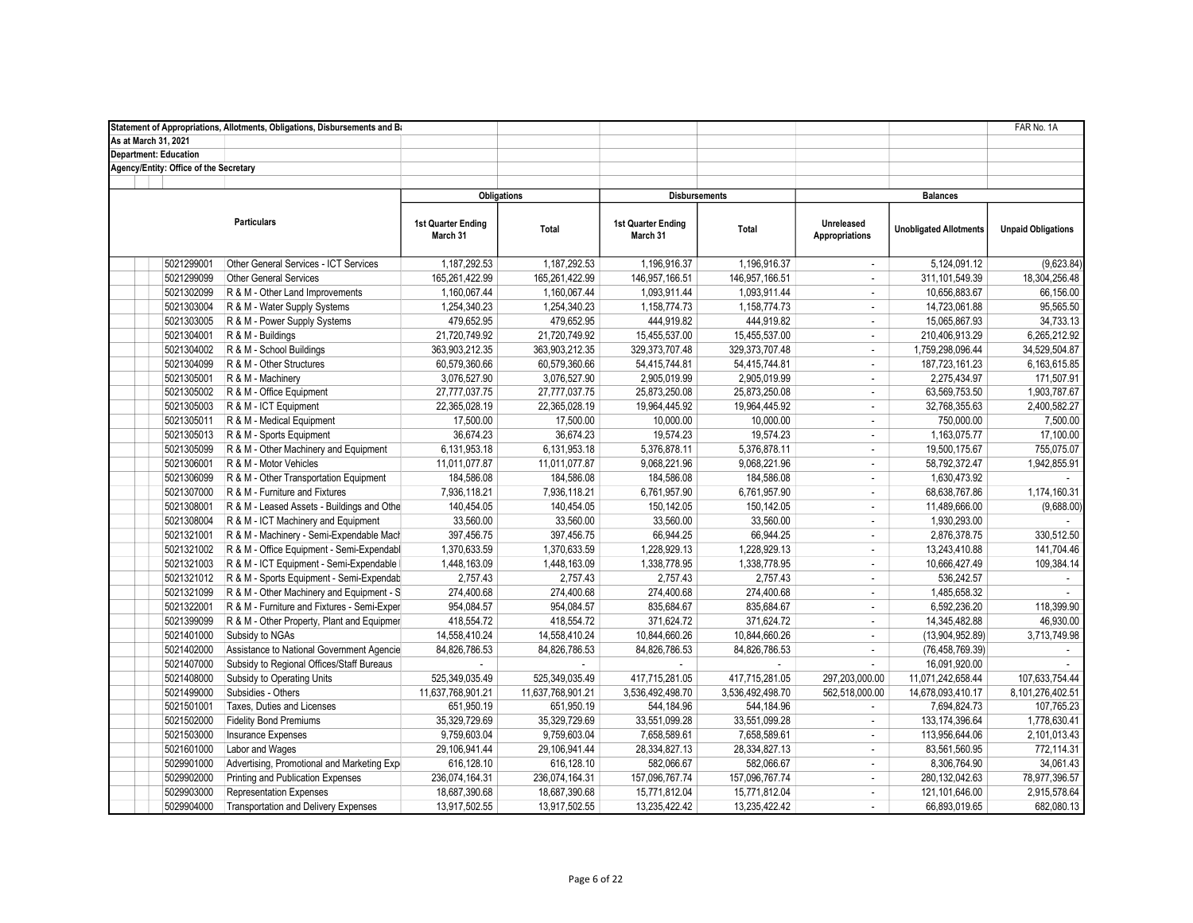|                                        | Statement of Appropriations, Allotments, Obligations, Disbursements and Ba |                                |                   |                                |                  |                                     |                               | FAR No. 1A                |
|----------------------------------------|----------------------------------------------------------------------------|--------------------------------|-------------------|--------------------------------|------------------|-------------------------------------|-------------------------------|---------------------------|
| As at March 31, 2021                   |                                                                            |                                |                   |                                |                  |                                     |                               |                           |
| <b>Department: Education</b>           |                                                                            |                                |                   |                                |                  |                                     |                               |                           |
| Agency/Entity: Office of the Secretary |                                                                            |                                |                   |                                |                  |                                     |                               |                           |
|                                        |                                                                            |                                |                   |                                |                  |                                     |                               |                           |
|                                        |                                                                            | <b>Obligations</b>             |                   | <b>Disbursements</b>           |                  |                                     | <b>Balances</b>               |                           |
|                                        | <b>Particulars</b>                                                         | 1st Quarter Ending<br>March 31 | Total             | 1st Quarter Ending<br>March 31 | Total            | Unreleased<br><b>Appropriations</b> | <b>Unobligated Allotments</b> | <b>Unpaid Obligations</b> |
| 5021299001                             | Other General Services - ICT Services                                      | 1,187,292.53                   | 1.187.292.53      | 1,196,916.37                   | 1,196,916.37     | $\sim$                              | 5,124,091.12                  | (9,623.84)                |
| 5021299099                             | <b>Other General Services</b>                                              | 165,261,422.99                 | 165,261,422.99    | 146,957,166.51                 | 146,957,166.51   | $\sim$                              | 311, 101, 549. 39             | 18,304,256.48             |
| 5021302099                             | R & M - Other Land Improvements                                            | 1,160,067.44                   | 1,160,067.44      | 1,093,911.44                   | 1,093,911.44     | $\sim$                              | 10,656,883.67                 | 66,156.00                 |
| 5021303004                             | R & M - Water Supply Systems                                               | 1,254,340.23                   | 1,254,340.23      | 1,158,774.73                   | 1,158,774.73     | $\overline{\phantom{a}}$            | 14,723,061.88                 | 95,565.50                 |
| 5021303005                             | R & M - Power Supply Systems                                               | 479,652.95                     | 479,652.95        | 444,919.82                     | 444,919.82       | $\overline{\phantom{a}}$            | 15,065,867.93                 | 34,733.13                 |
| 5021304001                             | R & M - Buildings                                                          | 21,720,749.92                  | 21,720,749.92     | 15,455,537.00                  | 15,455,537.00    | $\sim$                              | 210,406,913.29                | 6,265,212.92              |
| 5021304002                             | R & M - School Buildings                                                   | 363,903,212.35                 | 363,903,212.35    | 329, 373, 707. 48              | 329, 373, 707.48 | ÷                                   | 1,759,298,096.44              | 34,529,504.87             |
| 5021304099                             | R & M - Other Structures                                                   | 60,579,360.66                  | 60,579,360.66     | 54,415,744.81                  | 54,415,744.81    | $\omega$                            | 187,723,161.23                | 6,163,615.85              |
| 5021305001                             | R & M - Machinery                                                          | 3,076,527.90                   | 3,076,527.90      | 2,905,019.99                   | 2,905,019.99     | $\sim$                              | 2,275,434.97                  | 171,507.91                |
| 5021305002                             | R & M - Office Equipment                                                   | 27,777,037.75                  | 27,777,037.75     | 25,873,250.08                  | 25,873,250.08    | $\blacksquare$                      | 63,569,753.50                 | 1,903,787.67              |
| 5021305003                             | R & M - ICT Equipment                                                      | 22,365,028.19                  | 22,365,028.19     | 19,964,445.92                  | 19,964,445.92    | $\sim$                              | 32,768,355.63                 | 2,400,582.27              |
| 5021305011                             | R & M - Medical Equipment                                                  | 17,500.00                      | 17,500.00         | 10,000.00                      | 10,000.00        | $\sim$                              | 750,000.00                    | 7,500.00                  |
| 5021305013                             | R & M - Sports Equipment                                                   | 36,674.23                      | 36,674.23         | 19,574.23                      | 19,574.23        | $\sim$                              | 1,163,075.77                  | 17,100.00                 |
| 5021305099                             | R & M - Other Machinery and Equipment                                      | 6,131,953.18                   | 6,131,953.18      | 5,376,878.11                   | 5,376,878.11     | ÷                                   | 19,500,175.67                 | 755,075.07                |
| 5021306001                             | R & M - Motor Vehicles                                                     | 11,011,077.87                  | 11,011,077.87     | 9,068,221.96                   | 9,068,221.96     | $\sim$                              | 58,792,372.47                 | 1,942,855.91              |
| 5021306099                             | R & M - Other Transportation Equipment                                     | 184,586.08                     | 184,586.08        | 184,586.08                     | 184,586.08       | ÷                                   | 1.630.473.92                  |                           |
| 5021307000                             | R & M - Furniture and Fixtures                                             | 7,936,118.21                   | 7,936,118.21      | 6,761,957.90                   | 6,761,957.90     | $\sim$                              | 68,638,767.86                 | 1,174,160.31              |
| 5021308001                             | R & M - Leased Assets - Buildings and Othe                                 | 140,454.05                     | 140,454.05        | 150,142.05                     | 150, 142.05      | $\sim$                              | 11,489,666.00                 | (9,688.00)                |
| 5021308004                             | R & M - ICT Machinery and Equipment                                        | 33,560.00                      | 33,560.00         | 33,560.00                      | 33,560.00        | $\sim$                              | 1,930,293.00                  |                           |
| 5021321001                             | R & M - Machinery - Semi-Expendable Mach                                   | 397,456.75                     | 397,456.75        | 66,944.25                      | 66,944.25        | ÷                                   | 2,876,378.75                  | 330,512.50                |
| 5021321002                             | R & M - Office Equipment - Semi-Expendabl                                  | 1,370,633.59                   | 1,370,633.59      | 1,228,929.13                   | 1,228,929.13     | $\blacksquare$                      | 13,243,410.88                 | 141,704.46                |
| 5021321003                             | R & M - ICT Equipment - Semi-Expendable I                                  | 1,448,163.09                   | 1,448,163.09      | 1,338,778.95                   | 1,338,778.95     | ÷                                   | 10,666,427.49                 | 109,384.14                |
| 5021321012                             | R & M - Sports Equipment - Semi-Expendab                                   | 2,757.43                       | 2,757.43          | 2,757.43                       | 2,757.43         | $\blacksquare$                      | 536,242.57                    |                           |
| 5021321099                             | R & M - Other Machinery and Equipment - S                                  | 274,400.68                     | 274,400.68        | 274,400.68                     | 274,400.68       | ÷                                   | 1,485,658.32                  |                           |
| 5021322001                             | R & M - Furniture and Fixtures - Semi-Exper                                | 954,084.57                     | 954,084.57        | 835,684.67                     | 835,684.67       | $\sim$                              | 6,592,236.20                  | 118.399.90                |
| 5021399099                             | R & M - Other Property, Plant and Equipmer                                 | 418,554.72                     | 418,554.72        | 371,624.72                     | 371,624.72       | ÷                                   | 14,345,482.88                 | 46,930.00                 |
| 5021401000                             | Subsidy to NGAs                                                            | 14,558,410.24                  | 14,558,410.24     | 10,844,660.26                  | 10,844,660.26    | ÷.                                  | (13,904,952.89)               | 3,713,749.98              |
| 5021402000                             | Assistance to National Government Agencie                                  | 84,826,786.53                  | 84,826,786.53     | 84,826,786.53                  | 84,826,786.53    | $\sim$                              | (76, 458, 769.39)             |                           |
| 5021407000                             | Subsidy to Regional Offices/Staff Bureaus                                  |                                |                   |                                |                  | $\sim$                              | 16,091,920.00                 |                           |
| 5021408000                             | Subsidy to Operating Units                                                 | 525,349,035.49                 | 525,349,035.49    | 417,715,281.05                 | 417,715,281.05   | 297,203,000.00                      | 11,071,242,658.44             | 107.633.754.44            |
| 5021499000                             | Subsidies - Others                                                         | 11,637,768,901.21              | 11,637,768,901.21 | 3,536,492,498.70               | 3,536,492,498.70 | 562,518,000.00                      | 14,678,093,410.17             | 8,101,276,402.51          |
| 5021501001                             | Taxes, Duties and Licenses                                                 | 651,950.19                     | 651,950.19        | 544,184.96                     | 544,184.96       | $\sim$                              | 7,694,824.73                  | 107,765.23                |
| 5021502000                             | <b>Fidelity Bond Premiums</b>                                              | 35,329,729.69                  | 35,329,729.69     | 33,551,099.28                  | 33,551,099.28    | $\sim$                              | 133, 174, 396.64              | 1,778,630.41              |
| 5021503000                             | <b>Insurance Expenses</b>                                                  | 9,759,603.04                   | 9,759,603.04      | 7,658,589.61                   | 7,658,589.61     | $\omega$                            | 113,956,644.06                | 2,101,013.43              |
| 5021601000                             | Labor and Wages                                                            | 29,106,941.44                  | 29,106,941.44     | 28,334,827.13                  | 28,334,827.13    | $\overline{\phantom{a}}$            | 83,561,560.95                 | 772,114.31                |
| 5029901000                             | Advertising, Promotional and Marketing Expe                                | 616,128.10                     | 616,128.10        | 582,066.67                     | 582,066.67       | $\blacksquare$                      | 8,306,764.90                  | 34,061.43                 |
| 5029902000                             | Printing and Publication Expenses                                          | 236,074,164.31                 | 236,074,164.31    | 157,096,767.74                 | 157,096,767.74   | $\overline{\phantom{a}}$            | 280,132,042.63                | 78,977,396.57             |
| 5029903000                             | <b>Representation Expenses</b>                                             | 18,687,390.68                  | 18,687,390.68     | 15,771,812.04                  | 15,771,812.04    | $\sim$                              | 121,101,646.00                | 2,915,578.64              |
| 5029904000                             | <b>Transportation and Delivery Expenses</b>                                | 13,917,502.55                  | 13.917.502.55     | 13,235,422.42                  | 13,235,422.42    | $\sim$                              | 66.893.019.65                 | 682,080.13                |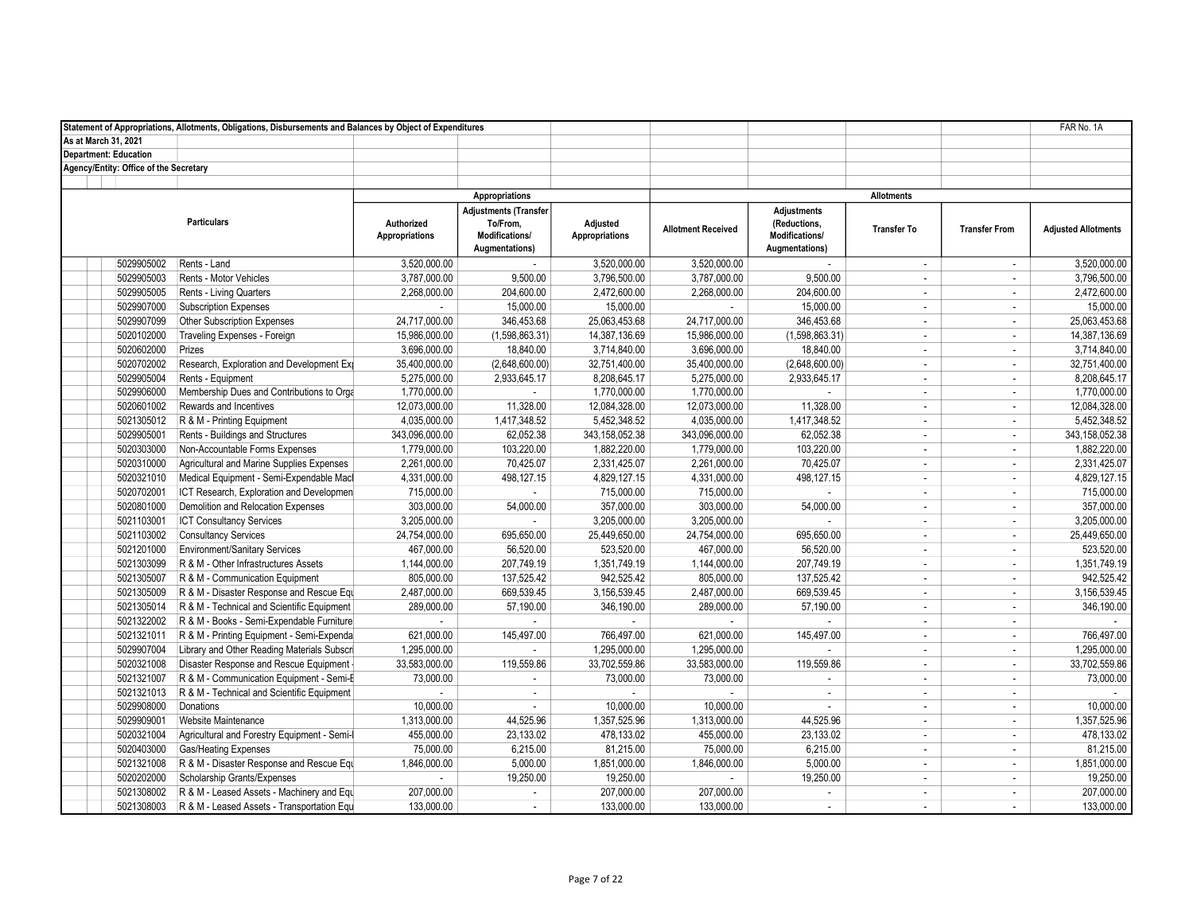|                                        | Statement of Appropriations, Allotments, Obligations, Disbursements and Balances by Object of Expenditures |                                     |                                                                              |                                   |                           |                                                                        |                    |                          | FAR No. 1A                 |
|----------------------------------------|------------------------------------------------------------------------------------------------------------|-------------------------------------|------------------------------------------------------------------------------|-----------------------------------|---------------------------|------------------------------------------------------------------------|--------------------|--------------------------|----------------------------|
| As at March 31, 2021                   |                                                                                                            |                                     |                                                                              |                                   |                           |                                                                        |                    |                          |                            |
| <b>Department: Education</b>           |                                                                                                            |                                     |                                                                              |                                   |                           |                                                                        |                    |                          |                            |
| Agency/Entity: Office of the Secretary |                                                                                                            |                                     |                                                                              |                                   |                           |                                                                        |                    |                          |                            |
|                                        |                                                                                                            |                                     |                                                                              |                                   |                           |                                                                        |                    |                          |                            |
|                                        |                                                                                                            |                                     | Appropriations                                                               |                                   |                           |                                                                        | <b>Allotments</b>  |                          |                            |
|                                        | <b>Particulars</b>                                                                                         | Authorized<br><b>Appropriations</b> | <b>Adjustments (Transfer</b><br>To/From,<br>Modifications/<br>Augmentations) | Adjusted<br><b>Appropriations</b> | <b>Allotment Received</b> | <b>Adjustments</b><br>(Reductions,<br>Modifications/<br>Augmentations) | <b>Transfer To</b> | <b>Transfer From</b>     | <b>Adjusted Allotments</b> |
| 5029905002                             | Rents - Land                                                                                               | 3,520,000.00                        | $\mathbb{Z}^{\mathbb{Z}}$                                                    | 3,520,000.00                      | 3,520,000.00              | ÷.                                                                     | $\blacksquare$     | $\sim$                   | 3,520,000.00               |
| 5029905003                             | Rents - Motor Vehicles                                                                                     | 3,787,000.00                        | 9,500.00                                                                     | 3,796,500.00                      | 3,787,000.00              | 9,500.00                                                               | $\sim$             | $\sim$                   | 3,796,500.00               |
| 5029905005                             | Rents - Living Quarters                                                                                    | 2.268.000.00                        | 204,600.00                                                                   | 2,472,600.00                      | 2,268,000.00              | 204,600.00                                                             | $\sim$             | $\sim$                   | 2,472,600.00               |
| 5029907000                             | <b>Subscription Expenses</b>                                                                               | $\sim$                              | 15,000.00                                                                    | 15,000.00                         | $\sim$                    | 15,000.00                                                              | $\sim$             | $\overline{\phantom{a}}$ | 15,000.00                  |
| 5029907099                             | Other Subscription Expenses                                                                                | 24,717,000.00                       | 346,453.68                                                                   | 25,063,453.68                     | 24,717,000.00             | 346,453.68                                                             | $\sim$             | $\sim$                   | 25,063,453.68              |
| 5020102000                             | Traveling Expenses - Foreign                                                                               | 15,986,000.00                       | (1,598,863.31)                                                               | 14,387,136.69                     | 15,986,000.00             | (1,598,863.31)                                                         | $\sim$             | $\sim$                   | 14,387,136.69              |
| 5020602000                             | Prizes                                                                                                     | 3,696,000.00                        | 18,840.00                                                                    | 3,714,840.00                      | 3,696,000.00              | 18,840.00                                                              | $\blacksquare$     | $\overline{\phantom{a}}$ | 3,714,840.00               |
| 5020702002                             | Research, Exploration and Development Exp                                                                  | 35,400,000.00                       | (2,648,600.00)                                                               | 32,751,400.00                     | 35,400,000.00             | (2,648,600.00)                                                         | $\sim$             | $\sim$                   | 32,751,400.00              |
| 5029905004                             | Rents - Equipment                                                                                          | 5,275,000.00                        | 2,933,645.17                                                                 | 8,208,645.17                      | 5,275,000.00              | 2,933,645.17                                                           | $\sim$             | $\sim$                   | 8,208,645.17               |
| 5029906000                             | Membership Dues and Contributions to Orga                                                                  | 1,770,000.00                        | $\mathbb{Z}^{\mathbb{Z}}$                                                    | 1,770,000.00                      | 1,770,000.00              |                                                                        | $\sim$             | $\blacksquare$           | 1,770,000.00               |
| 5020601002                             | Rewards and Incentives                                                                                     | 12,073,000.00                       | 11,328.00                                                                    | 12,084,328.00                     | 12,073,000.00             | 11,328.00                                                              | $\sim$             | $\sim$                   | 12,084,328.00              |
| 5021305012                             | R & M - Printing Equipment                                                                                 | 4,035,000.00                        | 1,417,348.52                                                                 | 5,452,348.52                      | 4,035,000.00              | 1,417,348.52                                                           | $\sim$             | $\sim$                   | 5,452,348.52               |
| 5029905001                             | Rents - Buildings and Structures                                                                           | 343,096,000.00                      | 62,052.38                                                                    | 343,158,052.38                    | 343,096,000.00            | 62,052.38                                                              | $\sim$             | $\overline{\phantom{a}}$ | 343, 158, 052.38           |
| 5020303000                             | Non-Accountable Forms Expenses                                                                             | 1,779,000.00                        | 103.220.00                                                                   | 1.882.220.00                      | 1,779,000.00              | 103.220.00                                                             | $\sim$             | $\sim$                   | 1,882,220.00               |
| 5020310000                             | Agricultural and Marine Supplies Expenses                                                                  | 2,261,000.00                        | 70,425.07                                                                    | 2,331,425.07                      | 2,261,000.00              | 70,425.07                                                              | $\sim$             | $\sim$                   | 2,331,425.07               |
| 5020321010                             | Medical Equipment - Semi-Expendable Macl                                                                   | 4,331,000.00                        | 498,127.15                                                                   | 4,829,127.15                      | 4,331,000.00              | 498,127.15                                                             | $\sim$             | $\sim$                   | 4,829,127.15               |
| 5020702001                             | ICT Research, Exploration and Developmen                                                                   | 715,000.00                          | $\sim$                                                                       | 715,000.00                        | 715,000.00                | $\overline{a}$                                                         | $\sim$             | $\sim$                   | 715,000.00                 |
| 5020801000                             | Demolition and Relocation Expenses                                                                         | 303,000.00                          | 54,000.00                                                                    | 357,000.00                        | 303,000.00                | 54,000.00                                                              | $\sim$             | $\sim$                   | 357,000.00                 |
| 5021103001                             | ICT Consultancy Services                                                                                   | 3,205,000.00                        |                                                                              | 3,205,000.00                      | 3,205,000.00              |                                                                        | $\sim$             | $\overline{\phantom{a}}$ | 3,205,000.00               |
| 5021103002                             | <b>Consultancy Services</b>                                                                                | 24,754,000.00                       | 695.650.00                                                                   | 25,449,650.00                     | 24,754,000.00             | 695.650.00                                                             | $\sim$             | $\sim$                   | 25,449,650.00              |
| 5021201000                             | <b>Environment/Sanitary Services</b>                                                                       | 467,000.00                          | 56,520.00                                                                    | 523,520.00                        | 467,000.00                | 56,520.00                                                              | $\blacksquare$     | $\overline{\phantom{a}}$ | 523,520.00                 |
| 5021303099                             | R & M - Other Infrastructures Assets                                                                       | 1,144,000.00                        | 207,749.19                                                                   | 1,351,749.19                      | 1,144,000.00              | 207,749.19                                                             | $\mathbb{Z}^2$     | $\sim$                   | 1,351,749.19               |
|                                        |                                                                                                            |                                     |                                                                              |                                   |                           |                                                                        |                    |                          |                            |
| 5021305007                             | R & M - Communication Equipment                                                                            | 805,000.00                          | 137,525.42                                                                   | 942,525.42                        | 805,000.00                | 137,525.42                                                             | $\sim$             | $\sim$                   | 942,525.42                 |
| 5021305009                             | R & M - Disaster Response and Rescue Equ                                                                   | 2,487,000.00                        | 669,539.45                                                                   | 3,156,539.45                      | 2,487,000.00              | 669,539.45                                                             | $\sim$             | $\sim$                   | 3,156,539.45               |
| 5021305014                             | R & M - Technical and Scientific Equipment                                                                 | 289,000.00                          | 57,190.00                                                                    | 346,190.00                        | 289,000.00                | 57,190.00                                                              | $\sim$             | $\sim$                   | 346,190.00                 |
| 5021322002                             | R & M - Books - Semi-Expendable Furniture                                                                  | $\sim$                              | $\sim$                                                                       | $\sim$                            | $\sim$                    | ×.                                                                     | $\sim$             | $\sim$                   | $\sim$                     |
| 5021321011                             | R & M - Printing Equipment - Semi-Expenda                                                                  | 621,000.00                          | 145,497.00                                                                   | 766,497.00                        | 621,000.00                | 145,497.00                                                             | $\sim$             | $\sim$                   | 766,497.00                 |
| 5029907004                             | Library and Other Reading Materials Subscri                                                                | 1,295,000.00                        | $\mathcal{L}^{\mathcal{L}}$                                                  | 1,295,000.00                      | 1,295,000.00              | ÷.                                                                     | $\sim$             | $\overline{\phantom{a}}$ | 1,295,000.00               |
| 5020321008                             | Disaster Response and Rescue Equipment                                                                     | 33,583,000.00                       | 119,559.86                                                                   | 33,702,559.86                     | 33,583,000.00             | 119,559.86                                                             | $\sim$             | $\sim$                   | 33,702,559.86              |
| 5021321007                             | R & M - Communication Equipment - Semi-E                                                                   | 73,000.00                           | ÷.                                                                           | 73,000.00                         | 73,000.00                 |                                                                        | $\sim$             | $\sim$                   | 73,000.00                  |
| 5021321013                             | R & M - Technical and Scientific Equipment                                                                 |                                     | $\sim$                                                                       |                                   | $\sim$                    | ÷.                                                                     | $\sim$             | $\sim$                   |                            |
| 5029908000                             | Donations                                                                                                  | 10,000.00                           | $\sim$                                                                       | 10,000.00                         | 10,000.00                 | ×.                                                                     | $\sim$             | $\sim$                   | 10,000.00                  |
| 5029909001                             | Website Maintenance                                                                                        | 1,313,000.00                        | 44,525.96                                                                    | 1,357,525.96                      | 1,313,000.00              | 44,525.96                                                              | $\sim$             | $\sim$                   | 1,357,525.96               |
| 5020321004                             | Agricultural and Forestry Equipment - Semi-I                                                               | 455,000.00                          | 23,133.02                                                                    | 478,133.02                        | 455,000.00                | 23,133.02                                                              | $\blacksquare$     | $\overline{\phantom{a}}$ | 478,133.02                 |
| 5020403000                             | Gas/Heating Expenses                                                                                       | 75,000.00                           | 6,215.00                                                                     | 81,215.00                         | 75,000.00                 | 6,215.00                                                               | $\blacksquare$     | $\sim$                   | 81,215.00                  |
| 5021321008                             | R & M - Disaster Response and Rescue Equ                                                                   | 1,846,000.00                        | 5,000.00                                                                     | 1,851,000.00                      | 1,846,000.00              | 5,000.00                                                               | $\sim$             | $\sim$                   | 1,851,000.00               |
| 5020202000                             | Scholarship Grants/Expenses                                                                                |                                     | 19,250.00                                                                    | 19,250.00                         |                           | 19,250.00                                                              | $\sim$             | $\sim$                   | 19,250.00                  |
| 5021308002                             | R & M - Leased Assets - Machinery and Equ                                                                  | 207,000.00                          | $\mathbb{Z}^{\mathbb{Z}}$                                                    | 207,000.00                        | 207,000.00                |                                                                        | $\sim$             | $\sim$                   | 207,000.00                 |
| 5021308003                             | R & M - Leased Assets - Transportation Equ                                                                 | 133,000.00                          | $\sim$                                                                       | 133.000.00                        | 133,000.00                | $\sim$                                                                 | $\sim$             | $\sim$                   | 133,000.00                 |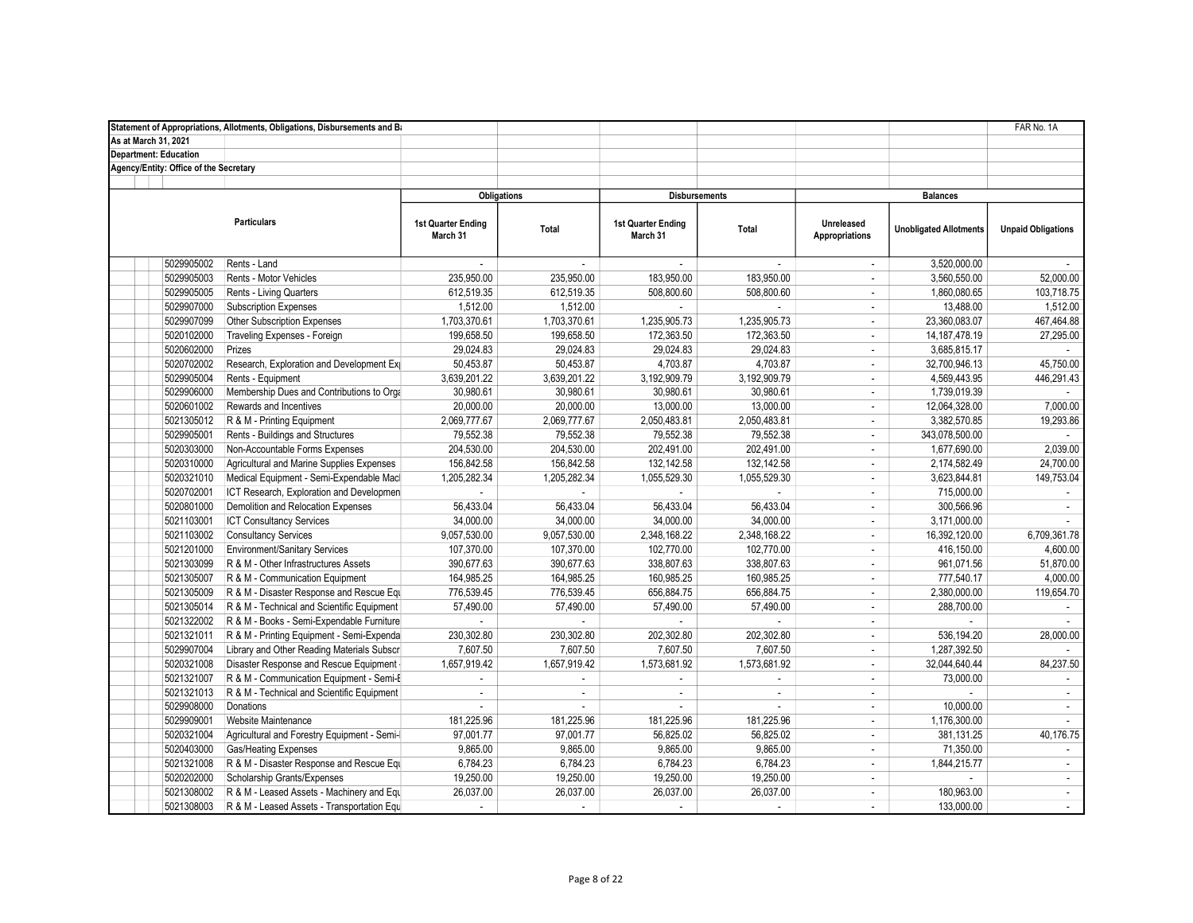|                                        | Statement of Appropriations, Allotments, Obligations, Disbursements and Ba |                                       |                    |                                       |                      |                                     |                               | FAR No. 1A                |
|----------------------------------------|----------------------------------------------------------------------------|---------------------------------------|--------------------|---------------------------------------|----------------------|-------------------------------------|-------------------------------|---------------------------|
| As at March 31, 2021                   |                                                                            |                                       |                    |                                       |                      |                                     |                               |                           |
| <b>Department: Education</b>           |                                                                            |                                       |                    |                                       |                      |                                     |                               |                           |
| Agency/Entity: Office of the Secretary |                                                                            |                                       |                    |                                       |                      |                                     |                               |                           |
|                                        |                                                                            |                                       |                    |                                       |                      |                                     |                               |                           |
|                                        |                                                                            |                                       | <b>Obligations</b> |                                       | <b>Disbursements</b> |                                     | <b>Balances</b>               |                           |
|                                        | <b>Particulars</b>                                                         | <b>1st Quarter Ending</b><br>March 31 | Total              | <b>1st Quarter Ending</b><br>March 31 | Total                | <b>Unreleased</b><br>Appropriations | <b>Unobligated Allotments</b> | <b>Unpaid Obligations</b> |
| 5029905002                             | Rents - Land                                                               |                                       | $\sim$             |                                       |                      | ÷                                   | 3,520,000.00                  |                           |
| 5029905003                             | Rents - Motor Vehicles                                                     | 235,950.00                            | 235,950.00         | 183,950.00                            | 183,950.00           | $\mathbf{r}$                        | 3,560,550.00                  | 52,000.00                 |
| 5029905005                             | Rents - Living Quarters                                                    | 612,519.35                            | 612,519.35         | 508,800.60                            | 508,800.60           | ÷                                   | 1,860,080.65                  | 103,718.75                |
| 5029907000                             | <b>Subscription Expenses</b>                                               | 1,512.00                              | 1,512.00           |                                       |                      | $\overline{\phantom{a}}$            | 13,488.00                     | 1,512.00                  |
| 5029907099                             | Other Subscription Expenses                                                | 1,703,370.61                          | 1,703,370.61       | 1,235,905.73                          | 1,235,905.73         | $\overline{\phantom{a}}$            | 23,360,083.07                 | 467,464.88                |
| 5020102000                             | Traveling Expenses - Foreign                                               | 199,658.50                            | 199,658.50         | 172,363.50                            | 172,363.50           | $\mathcal{L}$                       | 14, 187, 478. 19              | 27,295.00                 |
| 5020602000                             | Prizes                                                                     | 29,024.83                             | 29,024.83          | 29,024.83                             | 29,024.83            | ÷                                   | 3,685,815.17                  |                           |
| 5020702002                             | Research, Exploration and Development Exp                                  | 50,453.87                             | 50,453.87          | 4,703.87                              | 4,703.87             | $\mathbf{r}$                        | 32,700,946.13                 | 45,750.00                 |
| 5029905004                             | Rents - Equipment                                                          | 3,639,201.22                          | 3,639,201.22       | 3,192,909.79                          | 3,192,909.79         | $\mathcal{L}$                       | 4,569,443.95                  | 446,291.43                |
| 5029906000                             | Membership Dues and Contributions to Orga                                  | 30,980.61                             | 30,980.61          | 30,980.61                             | 30,980.61            | $\mathbf{r}$                        | 1,739,019.39                  |                           |
| 5020601002                             | Rewards and Incentives                                                     | 20,000.00                             | 20,000.00          | 13,000.00                             | 13,000.00            | $\overline{\phantom{a}}$            | 12,064,328.00                 | 7,000.00                  |
| 5021305012                             | R & M - Printing Equipment                                                 | 2,069,777.67                          | 2,069,777.67       | 2,050,483.81                          | 2,050,483.81         | $\overline{\phantom{a}}$            | 3,382,570.85                  | 19,293.86                 |
| 5029905001                             | Rents - Buildings and Structures                                           | 79,552.38                             | 79,552.38          | 79,552.38                             | 79,552.38            | $\mathcal{L}$                       | 343,078,500.00                | $\sim$                    |
| 5020303000                             | Non-Accountable Forms Expenses                                             | 204,530.00                            | 204.530.00         | 202,491.00                            | 202,491.00           | ÷                                   | 1,677,690.00                  | 2.039.00                  |
| 5020310000                             | Agricultural and Marine Supplies Expenses                                  | 156,842.58                            | 156,842.58         | 132,142.58                            | 132, 142.58          | ÷                                   | 2,174,582.49                  | 24,700.00                 |
| 5020321010                             | Medical Equipment - Semi-Expendable Macl                                   | 1,205,282.34                          | 1,205,282.34       | 1,055,529.30                          | 1,055,529.30         | $\mathbf{r}$                        | 3,623,844.81                  | 149,753.04                |
| 5020702001                             | ICT Research, Exploration and Developmen                                   |                                       |                    |                                       |                      | $\mathbf{r}$                        | 715,000.00                    | ÷.                        |
| 5020801000                             | Demolition and Relocation Expenses                                         | 56,433.04                             | 56,433.04          | 56,433.04                             | 56,433.04            | $\overline{\phantom{a}}$            | 300,566.96                    | $\mathcal{L}$             |
| 5021103001                             | <b>ICT Consultancy Services</b>                                            | 34,000.00                             | 34,000.00          | 34,000.00                             | 34,000.00            | $\overline{\phantom{a}}$            | 3,171,000.00                  |                           |
| 5021103002                             | <b>Consultancy Services</b>                                                | 9,057,530.00                          | 9,057,530.00       | 2,348,168.22                          | 2,348,168.22         | $\overline{\phantom{a}}$            | 16,392,120.00                 | 6,709,361.78              |
| 5021201000                             | <b>Environment/Sanitary Services</b>                                       | 107,370.00                            | 107,370.00         | 102,770.00                            | 102,770.00           | $\mathbf{r}$                        | 416,150.00                    | 4,600.00                  |
| 5021303099                             | R & M - Other Infrastructures Assets                                       | 390,677.63                            | 390,677.63         | 338,807.63                            | 338,807.63           | ÷                                   | 961,071.56                    | 51,870.00                 |
| 5021305007                             | R & M - Communication Equipment                                            | 164,985.25                            | 164,985.25         | 160,985.25                            | 160,985.25           | ÷.                                  | 777,540.17                    | 4,000.00                  |
| 5021305009                             | R & M - Disaster Response and Rescue Equ                                   | 776,539.45                            | 776,539.45         | 656,884.75                            | 656,884.75           | $\mathbf{r}$                        | 2,380,000.00                  | 119,654.70                |
| 5021305014                             | R & M - Technical and Scientific Equipment                                 | 57,490.00                             | 57,490.00          | 57,490.00                             | 57,490.00            | $\overline{\phantom{a}}$            | 288.700.00                    | $\sim$                    |
| 5021322002                             | R & M - Books - Semi-Expendable Furniture                                  | ×.                                    | ÷.                 | $\sim$                                | $\sim$               | $\overline{\phantom{a}}$            | $\sim$                        |                           |
| 5021321011                             | R & M - Printing Equipment - Semi-Expenda                                  | 230,302.80                            | 230,302.80         | 202,302.80                            | 202,302.80           | $\mathcal{L}$                       | 536,194.20                    | 28,000.00                 |
| 5029907004                             | Library and Other Reading Materials Subscri                                | 7,607.50                              | 7,607.50           | 7,607.50                              | 7,607.50             | ÷                                   | 1,287,392.50                  |                           |
| 5020321008                             | Disaster Response and Rescue Equipment                                     | 1,657,919.42                          | 1,657,919.42       | 1,573,681.92                          | 1,573,681.92         | ÷                                   | 32,044,640.44                 | 84,237.50                 |
| 5021321007                             | R & M - Communication Equipment - Semi-E                                   |                                       |                    |                                       |                      | $\mathbf{r}$                        | 73,000.00                     |                           |
| 5021321013                             | R & M - Technical and Scientific Equipment                                 | ×.                                    | ÷.                 | ÷.                                    | $\sim$               | $\sim$                              |                               |                           |
| 5029908000                             | Donations                                                                  |                                       | ÷.                 | ×.                                    |                      | $\overline{\phantom{a}}$            | 10,000.00                     | $\mathcal{L}$             |
| 5029909001                             | Website Maintenance                                                        | 181,225.96                            | 181,225.96         | 181,225.96                            | 181,225.96           | $\overline{\phantom{a}}$            | 1,176,300.00                  |                           |
| 5020321004                             | Agricultural and Forestry Equipment - Semi-I                               | 97,001.77                             | 97,001.77          | 56,825.02                             | 56,825.02            | $\mathcal{L}$                       | 381,131.25                    | 40,176.75                 |
| 5020403000                             | <b>Gas/Heating Expenses</b>                                                | 9.865.00                              | 9,865.00           | 9,865.00                              | 9,865.00             | $\mathbf{r}$                        | 71,350.00                     |                           |
| 5021321008                             | R & M - Disaster Response and Rescue Equ                                   | 6,784.23                              | 6,784.23           | 6,784.23                              | 6,784.23             | $\overline{\phantom{a}}$            | 1,844,215.77                  | $\blacksquare$            |
| 5020202000                             | Scholarship Grants/Expenses                                                | 19,250.00                             | 19,250.00          | 19,250.00                             | 19,250.00            | $\mathcal{L}$                       |                               | $\mathbb{Z}^2$            |
| 5021308002                             | R & M - Leased Assets - Machinery and Equ                                  | 26,037.00                             | 26,037.00          | 26,037.00                             | 26,037.00            | $\mathcal{L}$                       | 180,963.00                    | $\omega$                  |
| 5021308003                             | R & M - Leased Assets - Transportation Equ                                 | ÷.                                    | $\sim$             | $\sim$                                | $\sim$               | ÷                                   | 133.000.00                    | $\mathbf{r}$              |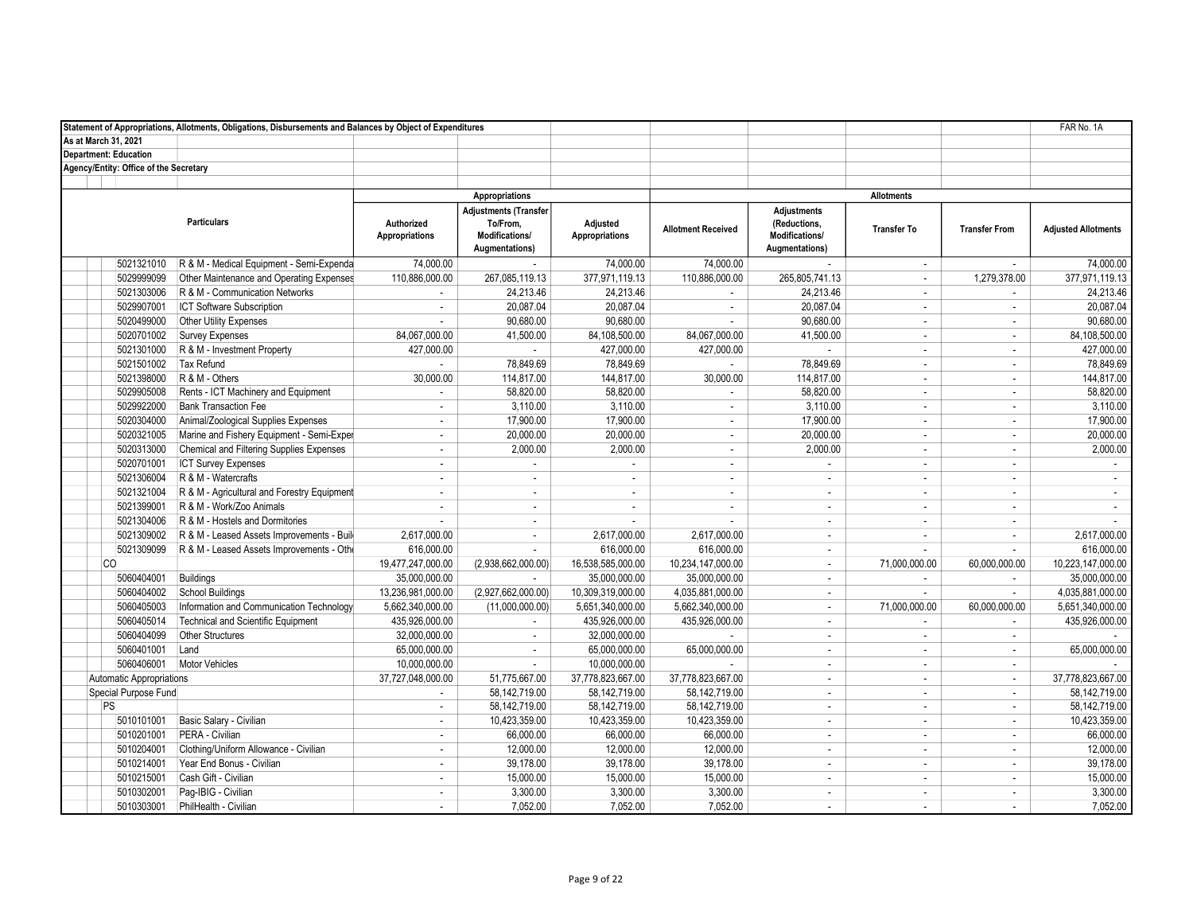|                                        | Statement of Appropriations, Allotments, Obligations, Disbursements and Balances by Object of Expenditures |                                     |                                                                              |                            |                           |                                                                        |                             |                             | FAR No. 1A                 |
|----------------------------------------|------------------------------------------------------------------------------------------------------------|-------------------------------------|------------------------------------------------------------------------------|----------------------------|---------------------------|------------------------------------------------------------------------|-----------------------------|-----------------------------|----------------------------|
| As at March 31, 2021                   |                                                                                                            |                                     |                                                                              |                            |                           |                                                                        |                             |                             |                            |
| <b>Department: Education</b>           |                                                                                                            |                                     |                                                                              |                            |                           |                                                                        |                             |                             |                            |
| Agency/Entity: Office of the Secretary |                                                                                                            |                                     |                                                                              |                            |                           |                                                                        |                             |                             |                            |
|                                        |                                                                                                            |                                     |                                                                              |                            |                           |                                                                        |                             |                             |                            |
|                                        |                                                                                                            |                                     | Appropriations                                                               |                            |                           |                                                                        | <b>Allotments</b>           |                             |                            |
|                                        | <b>Particulars</b>                                                                                         | Authorized<br><b>Appropriations</b> | <b>Adjustments (Transfer</b><br>To/From.<br>Modifications/<br>Augmentations) | Adjusted<br>Appropriations | <b>Allotment Received</b> | <b>Adjustments</b><br>(Reductions,<br>Modifications/<br>Augmentations) | <b>Transfer To</b>          | <b>Transfer From</b>        | <b>Adiusted Allotments</b> |
| 5021321010                             | R & M - Medical Equipment - Semi-Expenda                                                                   | 74,000.00                           | $\sim$                                                                       | 74,000.00                  | 74,000.00                 |                                                                        | $\sim$                      | $\mathbf{r}$                | 74.000.00                  |
| 5029999099                             | Other Maintenance and Operating Expenses                                                                   | 110,886,000.00                      | 267,085,119.13                                                               | 377,971,119.13             | 110,886,000.00            | 265,805,741.13                                                         | $\sim$                      | 1,279,378.00                | 377,971,119.13             |
| 5021303006                             | R & M - Communication Networks                                                                             |                                     | 24.213.46                                                                    | 24.213.46                  | ÷.                        | 24.213.46                                                              | $\sim$                      | ÷                           | 24.213.46                  |
| 5029907001                             | <b>ICT Software Subscription</b>                                                                           | $\sim$                              | 20,087.04                                                                    | 20,087.04                  | $\sim$                    | 20,087.04                                                              | $\sim$                      | ÷                           | 20,087.04                  |
| 5020499000                             | Other Utility Expenses                                                                                     |                                     | 90,680.00                                                                    | 90,680.00                  | $\sim$                    | 90,680.00                                                              | $\sim$                      | ÷                           | 90,680.00                  |
| 5020701002                             | <b>Survey Expenses</b>                                                                                     | 84,067,000.00                       | 41,500.00                                                                    | 84,108,500.00              | 84,067,000.00             | 41,500.00                                                              | $\sim$                      | ×.                          | 84,108,500.00              |
| 5021301000                             | R & M - Investment Property                                                                                | 427,000.00                          | $\mathcal{L}_{\mathcal{A}}$                                                  | 427,000.00                 | 427,000.00                | ×.                                                                     | $\sim$                      | ÷                           | 427,000.00                 |
| 5021501002                             | <b>Tax Refund</b>                                                                                          |                                     | 78,849.69                                                                    | 78,849.69                  |                           | 78,849.69                                                              | $\sim$                      | $\mathbf{r}$                | 78,849.69                  |
| 5021398000                             | R & M - Others                                                                                             | 30,000.00                           | 114,817.00                                                                   | 144,817.00                 | 30,000.00                 | 114,817.00                                                             | $\sim$                      | $\mathcal{L}_{\mathcal{A}}$ | 144,817.00                 |
| 5029905008                             | Rents - ICT Machinery and Equipment                                                                        | ÷.                                  | 58,820.00                                                                    | 58,820.00                  | $\mathbf{r}$              | 58,820.00                                                              | $\sim$                      | ÷                           | 58,820.00                  |
| 5029922000                             | <b>Bank Transaction Fee</b>                                                                                | ÷.                                  | 3,110.00                                                                     | 3,110.00                   | $\sim$                    | 3,110.00                                                               | $\sim$                      | $\mathbf{r}$                | 3,110.00                   |
| 5020304000                             | Animal/Zoological Supplies Expenses                                                                        | ×.                                  | 17,900.00                                                                    | 17,900.00                  | $\sim$                    | 17,900.00                                                              | $\sim$                      | ÷                           | 17,900.00                  |
| 5020321005                             | Marine and Fishery Equipment - Semi-Exper                                                                  | ÷.                                  | 20,000.00                                                                    | 20,000.00                  | $\sim$                    | 20,000.00                                                              | $\sim$                      | $\mathbf{r}$                | 20,000.00                  |
| 5020313000                             | Chemical and Filtering Supplies Expenses                                                                   | $\sim$                              | 2,000.00                                                                     | 2.000.00                   | $\sim$                    | 2,000.00                                                               | $\sim$                      | ÷                           | 2,000.00                   |
| 5020701001                             | <b>ICT Survey Expenses</b>                                                                                 | $\blacksquare$                      | $\sim$                                                                       | $\sim$                     | $\sim$                    | ×.                                                                     | $\sim$                      | $\mathbf{r}$                | ÷                          |
| 5021306004                             | R & M - Watercrafts                                                                                        | $\mathbf{r}$                        | $\mathbf{r}$                                                                 | $\sim$                     | $\sim$                    | $\sim$                                                                 | $\sim$                      | $\mathcal{L}_{\mathcal{A}}$ | $\sim$                     |
| 5021321004                             | R & M - Agricultural and Forestry Equipment                                                                | ÷.                                  | ÷.                                                                           | $\sim$                     | $\sim$                    | ÷                                                                      | $\sim$                      | ÷                           | ÷                          |
| 5021399001                             | R & M - Work/Zoo Animals                                                                                   | ä,                                  | $\sim$                                                                       | $\sim$                     | $\sim$                    | ÷.                                                                     | $\sim$                      | ÷                           | ÷                          |
| 5021304006                             | R & M - Hostels and Dormitories                                                                            | ä,                                  | ÷.                                                                           | $\sim$                     | $\sim$                    | $\sim$                                                                 | $\sim$                      | ÷                           |                            |
| 5021309002                             | R & M - Leased Assets Improvements - Build                                                                 | 2,617,000.00                        | $\sim$                                                                       | 2,617,000.00               | 2,617,000.00              | ÷                                                                      | $\sim$                      | ÷                           | 2,617,000.00               |
| 5021309099                             | R & M - Leased Assets Improvements - Othe                                                                  | 616,000.00                          | $\sim$                                                                       | 616,000.00                 | 616,000.00                | $\sim$                                                                 |                             | ÷                           | 616,000.00                 |
| <b>CO</b>                              |                                                                                                            | 19,477,247,000.00                   | (2,938,662,000.00)                                                           | 16,538,585,000.00          | 10,234,147,000.00         | $\sim$                                                                 | 71,000,000.00               | 60,000,000.00               | 10,223,147,000.00          |
| 5060404001                             | <b>Buildings</b>                                                                                           | 35,000,000.00                       | $\mathbf{r}$                                                                 | 35,000,000.00              | 35,000,000.00             | $\blacksquare$                                                         | $\mathcal{L}_{\mathcal{A}}$ | $\mathcal{L}_{\mathcal{A}}$ | 35,000,000.00              |
| 5060404002                             | <b>School Buildings</b>                                                                                    | 13,236,981,000.00                   | (2,927,662,000.00)                                                           | 10,309,319,000.00          | 4,035,881,000.00          | ÷.                                                                     | $\sim$                      | ÷.                          | 4,035,881,000.00           |
| 5060405003                             | Information and Communication Technology                                                                   | 5,662,340,000.00                    | (11,000,000.00)                                                              | 5,651,340,000.00           | 5,662,340,000.00          | ÷                                                                      | 71,000,000.00               | 60,000,000.00               | 5,651,340,000.00           |
| 5060405014                             | Technical and Scientific Equipment                                                                         | 435,926,000.00                      | $\sim$                                                                       | 435,926,000.00             | 435,926,000.00            | ÷.                                                                     | $\sim$                      | $\sim$                      | 435,926,000.00             |
| 5060404099                             | Other Structures                                                                                           | 32,000,000.00                       | $\sim$                                                                       | 32,000,000.00              |                           | ÷                                                                      | $\sim$                      | $\sim$                      |                            |
| 5060401001                             | Land                                                                                                       | 65,000,000.00                       | $\sim$                                                                       | 65,000,000.00              | 65,000,000.00             | $\sim$                                                                 | $\sim$                      | ÷                           | 65.000.000.00              |
| 5060406001                             | <b>Motor Vehicles</b>                                                                                      | 10,000,000.00                       | $\sim$                                                                       | 10,000,000.00              |                           | $\sim$                                                                 | $\sim$                      | $\mathbf{r}$                |                            |
| <b>Automatic Appropriations</b>        |                                                                                                            | 37,727,048,000.00                   | 51,775,667.00                                                                | 37,778,823,667.00          | 37,778,823,667.00         | ÷                                                                      | $\sim$                      | $\overline{\phantom{a}}$    | 37,778,823,667.00          |
| Special Purpose Fund                   |                                                                                                            |                                     | 58,142,719.00                                                                | 58,142,719.00              | 58,142,719.00             | ÷                                                                      | $\sim$                      | ÷                           | 58,142,719.00              |
| PS                                     |                                                                                                            | ÷.                                  | 58,142,719.00                                                                | 58,142,719.00              | 58,142,719.00             | ÷.                                                                     | $\sim$                      | ÷                           | 58,142,719.00              |
| 5010101001                             | Basic Salary - Civilian                                                                                    | ÷.                                  | 10,423,359.00                                                                | 10,423,359.00              | 10,423,359.00             | $\sim$                                                                 | $\sim$                      | ÷                           | 10,423,359.00              |
| 5010201001                             | PERA - Civilian                                                                                            | ÷.                                  | 66,000.00                                                                    | 66,000.00                  | 66,000.00                 | ÷.                                                                     | $\sim$                      | $\mathbf{r}$                | 66,000.00                  |
| 5010204001                             | Clothing/Uniform Allowance - Civilian                                                                      | $\sim$                              | 12.000.00                                                                    | 12,000.00                  | 12,000.00                 | $\sim$                                                                 | $\sim$                      | $\sim$                      | 12,000.00                  |
| 5010214001                             | Year End Bonus - Civilian                                                                                  | $\blacksquare$                      | 39,178.00                                                                    | 39,178.00                  | 39,178.00                 | $\sim$                                                                 | $\sim$                      | $\sim$                      | 39,178.00                  |
| 5010215001                             | Cash Gift - Civilian                                                                                       | $\overline{\phantom{a}}$            | 15,000.00                                                                    | 15,000.00                  | 15,000.00                 | ÷                                                                      | $\sim$                      | $\mathcal{L}_{\mathcal{A}}$ | 15,000.00                  |
| 5010302001                             | Pag-IBIG - Civilian                                                                                        | ÷.                                  | 3,300.00                                                                     | 3,300.00                   | 3,300.00                  | ÷                                                                      | $\sim$                      | ÷                           | 3,300.00                   |
| 5010303001                             | PhilHealth - Civilian                                                                                      |                                     | 7,052.00                                                                     | 7,052.00                   | 7,052.00                  | ÷                                                                      | ÷.                          |                             | 7,052.00                   |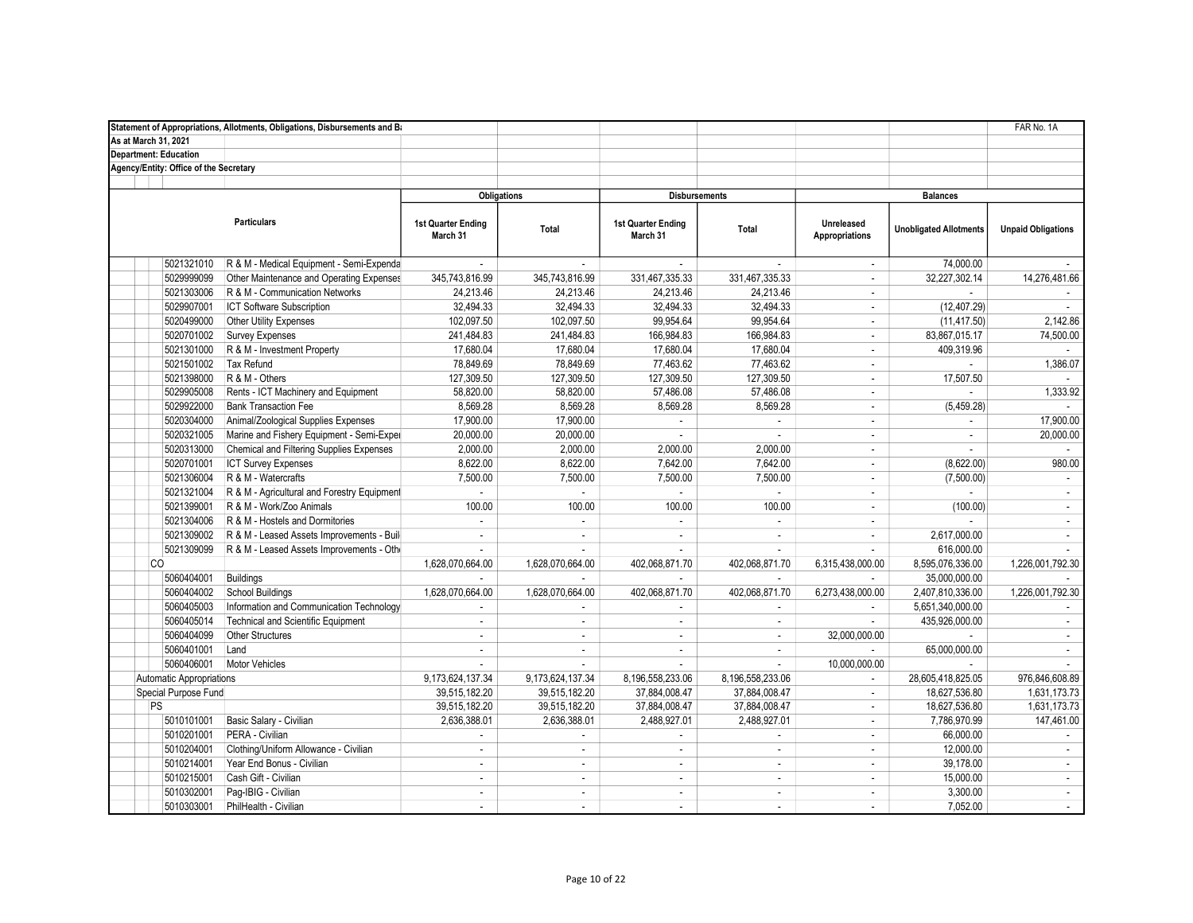|                                        | Statement of Appropriations, Allotments, Obligations, Disbursements and Ba |                                |                  |                                |                  |                                     |                               | FAR No. 1A                  |
|----------------------------------------|----------------------------------------------------------------------------|--------------------------------|------------------|--------------------------------|------------------|-------------------------------------|-------------------------------|-----------------------------|
| As at March 31, 2021                   |                                                                            |                                |                  |                                |                  |                                     |                               |                             |
| <b>Department: Education</b>           |                                                                            |                                |                  |                                |                  |                                     |                               |                             |
| Agency/Entity: Office of the Secretary |                                                                            |                                |                  |                                |                  |                                     |                               |                             |
|                                        |                                                                            |                                |                  |                                |                  |                                     |                               |                             |
|                                        |                                                                            | <b>Obligations</b>             |                  | <b>Disbursements</b>           |                  |                                     | <b>Balances</b>               |                             |
|                                        | <b>Particulars</b>                                                         | 1st Quarter Ending<br>March 31 | Total            | 1st Quarter Ending<br>March 31 | Total            | Unreleased<br><b>Appropriations</b> | <b>Unobligated Allotments</b> | <b>Unpaid Obligations</b>   |
| 5021321010                             | R & M - Medical Equipment - Semi-Expenda                                   | ÷.                             | ×.               |                                |                  | $\mathbf{r}$                        | 74,000.00                     |                             |
| 5029999099                             | Other Maintenance and Operating Expenses                                   | 345,743,816.99                 | 345,743,816.99   | 331,467,335.33                 | 331,467,335.33   | ÷                                   | 32,227,302.14                 | 14,276,481.66               |
| 5021303006                             | R & M - Communication Networks                                             | 24,213.46                      | 24,213.46        | 24,213.46                      | 24,213.46        | ÷                                   | $\sim$                        |                             |
| 5029907001                             | ICT Software Subscription                                                  | 32,494.33                      | 32,494.33        | 32,494.33                      | 32,494.33        | $\mathbf{r}$                        | (12, 407.29)                  |                             |
| 5020499000                             | Other Utility Expenses                                                     | 102,097.50                     | 102,097.50       | 99,954.64                      | 99,954.64        | ÷                                   | (11, 417.50)                  | 2,142.86                    |
| 5020701002                             | <b>Survey Expenses</b>                                                     | 241,484.83                     | 241,484.83       | 166,984.83                     | 166,984.83       | ÷                                   | 83,867,015.17                 | 74,500.00                   |
| 5021301000                             | R & M - Investment Property                                                | 17,680.04                      | 17,680.04        | 17,680.04                      | 17,680.04        | $\overline{\phantom{a}}$            | 409.319.96                    |                             |
| 5021501002                             | Tax Refund                                                                 | 78,849.69                      | 78,849.69        | 77,463.62                      | 77,463.62        | $\mathcal{L}$                       |                               | 1,386.07                    |
| 5021398000                             | R & M - Others                                                             | 127,309.50                     | 127,309.50       | 127,309.50                     | 127,309.50       | $\sim$                              | 17,507.50                     |                             |
| 5029905008                             | Rents - ICT Machinery and Equipment                                        | 58,820.00                      | 58,820.00        | 57,486.08                      | 57,486.08        | $\mathbf{r}$                        |                               | 1,333.92                    |
| 5029922000                             | <b>Bank Transaction Fee</b>                                                | 8,569.28                       | 8,569.28         | 8,569.28                       | 8,569.28         | ÷                                   | (5, 459.28)                   |                             |
| 5020304000                             | Animal/Zoological Supplies Expenses                                        | 17,900.00                      | 17,900.00        | $\mathcal{L}^{\mathcal{A}}$    | $\mathcal{L}$    | $\mathbf{r}$                        |                               | 17,900.00                   |
| 5020321005                             | Marine and Fishery Equipment - Semi-Exper                                  | 20,000.00                      | 20,000.00        | $\sim$                         | ×.               | ÷                                   | $\sim$                        | 20,000.00                   |
| 5020313000                             | Chemical and Filtering Supplies Expenses                                   | 2,000.00                       | 2.000.00         | 2.000.00                       | 2.000.00         | ÷                                   | ÷.                            | $\sim$                      |
| 5020701001                             | <b>ICT Survey Expenses</b>                                                 | 8,622.00                       | 8.622.00         | 7,642.00                       | 7,642.00         | ÷                                   | (8,622.00)                    | 980.00                      |
| 5021306004                             | R & M - Watercrafts                                                        | 7,500.00                       | 7,500.00         | 7,500.00                       | 7,500.00         | $\sim$                              | (7,500.00)                    | $\sim$                      |
| 5021321004                             | R & M - Agricultural and Forestry Equipment                                | $\overline{a}$                 | $\mathbf{r}$     | $\sim$                         | $\sim$           | ×.                                  | $\sim$                        | $\blacksquare$              |
| 5021399001                             | R & M - Work/Zoo Animals                                                   | 100.00                         | 100.00           | 100.00                         | 100.00           | ×.                                  | (100.00)                      | ÷.                          |
| 5021304006                             | R & M - Hostels and Dormitories                                            | ×.                             | ÷.               |                                |                  | ÷                                   |                               | $\mathcal{L}_{\mathcal{A}}$ |
| 5021309002                             | R & M - Leased Assets Improvements - Build                                 | $\blacksquare$                 | ä,               | $\overline{\phantom{a}}$       | $\sim$           | $\sim$                              | 2,617,000.00                  | $\mathbf{r}$                |
| 5021309099                             | R & M - Leased Assets Improvements - Othe                                  | ÷,                             |                  | $\mathbf{r}$                   |                  | $\sim$                              | 616,000.00                    |                             |
| <b>CO</b>                              |                                                                            | 1,628,070,664.00               | 1,628,070,664.00 | 402,068,871.70                 | 402,068,871.70   | 6,315,438,000.00                    | 8,595,076,336.00              | 1,226,001,792.30            |
| 5060404001                             | Buildings                                                                  |                                |                  |                                |                  |                                     | 35,000,000.00                 |                             |
| 5060404002                             | School Buildings                                                           | 1,628,070,664.00               | 1,628,070,664.00 | 402,068,871.70                 | 402,068,871.70   | 6,273,438,000.00                    | 2,407,810,336.00              | 1,226,001,792.30            |
| 5060405003                             | Information and Communication Technology                                   |                                |                  | $\mathbf{r}$                   | $\sim$           | $\mathcal{L}$                       | 5,651,340,000.00              |                             |
| 5060405014                             | <b>Technical and Scientific Equipment</b>                                  | ×.                             | ÷.               | $\mathbb{Z}^2$                 | ÷.               | ×.                                  | 435,926,000.00                | ×.                          |
| 5060404099                             | Other Structures                                                           | $\sim$                         | ×.               | $\sim$                         | $\sim$           | 32,000,000.00                       |                               | $\mathcal{L}$               |
| 5060401001                             | Land                                                                       | $\sim$                         | $\sim$           | $\mathcal{L}$                  | $\sim$           | $\sim$                              | 65,000,000.00                 | $\mathcal{L}$               |
| 5060406001                             | Motor Vehicles                                                             | ä,                             | ä,               | $\omega$                       | $\sim$           | 10,000,000.00                       | ÷                             |                             |
| <b>Automatic Appropriations</b>        |                                                                            | 9,173,624,137.34               | 9,173,624,137.34 | 8.196.558.233.06               | 8.196.558.233.06 | $\sim$                              | 28,605,418,825.05             | 976.846.608.89              |
| Special Purpose Fund                   |                                                                            | 39,515,182.20                  | 39,515,182.20    | 37,884,008.47                  | 37,884,008.47    | $\mathbf{r}$                        | 18,627,536.80                 | 1,631,173.73                |
| PS                                     |                                                                            | 39,515,182.20                  | 39,515,182.20    | 37,884,008.47                  | 37,884,008.47    | $\overline{\phantom{a}}$            | 18,627,536.80                 | 1,631,173.73                |
| 5010101001                             | Basic Salary - Civilian                                                    | 2,636,388.01                   | 2,636,388.01     | 2,488,927.01                   | 2,488,927.01     | $\mathbf{r}$                        | 7,786,970.99                  | 147,461.00                  |
| 5010201001                             | PERA - Civilian                                                            |                                |                  |                                |                  | ÷                                   | 66,000.00                     |                             |
| 5010204001                             | Clothing/Uniform Allowance - Civilian                                      | ÷.                             | $\sim$           | $\mathbb{Z}^2$                 | ×.               | ÷                                   | 12,000.00                     | ÷.                          |
| 5010214001                             | Year End Bonus - Civilian                                                  | $\overline{\phantom{a}}$       | ×.               | $\sim$                         | $\sim$           | ÷                                   | 39,178.00                     | $\blacksquare$              |
| 5010215001                             | Cash Gift - Civilian                                                       | ÷,                             | ÷,               | $\mathbf{r}$                   | $\sim$           | $\overline{\phantom{a}}$            | 15,000.00                     | $\blacksquare$              |
| 5010302001                             | Pag-IBIG - Civilian                                                        | ÷.                             | ä,               | $\sim$                         | $\omega$         | ÷                                   | 3.300.00                      | $\mathcal{L}_{\mathcal{A}}$ |
| 5010303001                             | PhilHealth - Civilian                                                      | ä,                             | ä,               | $\overline{\phantom{a}}$       | ÷.               |                                     | 7,052.00                      | $\mathbf{r}$                |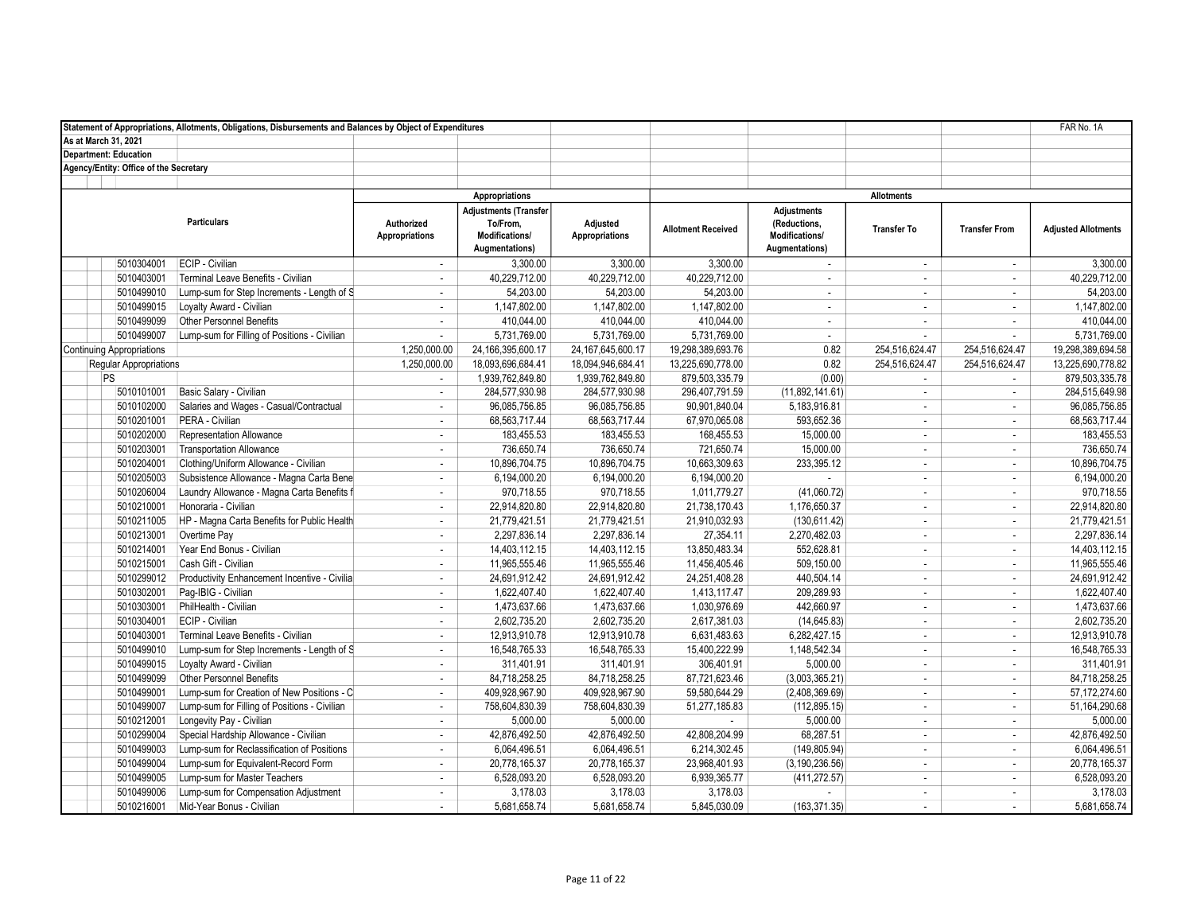|                              |                                        | Statement of Appropriations, Allotments, Obligations, Disbursements and Balances by Object of Expenditures |                                     |                                                                       |                                   |                           |                                                                        |                             |                             | FAR No. 1A                 |
|------------------------------|----------------------------------------|------------------------------------------------------------------------------------------------------------|-------------------------------------|-----------------------------------------------------------------------|-----------------------------------|---------------------------|------------------------------------------------------------------------|-----------------------------|-----------------------------|----------------------------|
| As at March 31, 2021         |                                        |                                                                                                            |                                     |                                                                       |                                   |                           |                                                                        |                             |                             |                            |
| <b>Department: Education</b> |                                        |                                                                                                            |                                     |                                                                       |                                   |                           |                                                                        |                             |                             |                            |
|                              | Agency/Entity: Office of the Secretary |                                                                                                            |                                     |                                                                       |                                   |                           |                                                                        |                             |                             |                            |
|                              |                                        |                                                                                                            |                                     |                                                                       |                                   |                           |                                                                        |                             |                             |                            |
|                              |                                        |                                                                                                            |                                     | Appropriations                                                        |                                   |                           |                                                                        | <b>Allotments</b>           |                             |                            |
|                              |                                        | <b>Particulars</b>                                                                                         | Authorized<br><b>Appropriations</b> | Adjustments (Transfer<br>To/From,<br>Modifications/<br>Augmentations) | Adjusted<br><b>Appropriations</b> | <b>Allotment Received</b> | <b>Adjustments</b><br>(Reductions,<br>Modifications/<br>Augmentations) | <b>Transfer To</b>          | <b>Transfer From</b>        | <b>Adjusted Allotments</b> |
|                              | 5010304001                             | ECIP - Civilian                                                                                            | $\mathbf{r}$                        | 3,300.00                                                              | 3,300.00                          | 3,300.00                  | $\mathbf{r}$                                                           | $\sim$                      | $\omega$                    | 3,300.00                   |
|                              | 5010403001                             | Terminal Leave Benefits - Civilian                                                                         | ÷.                                  | 40,229,712.00                                                         | 40,229,712.00                     | 40,229,712.00             | ×,                                                                     | $\sim$                      | $\sim$                      | 40,229,712.00              |
|                              | 5010499010                             | Lump-sum for Step Increments - Length of S                                                                 | ÷.                                  | 54,203.00                                                             | 54,203.00                         | 54,203.00                 | ÷.                                                                     | $\sim$                      | $\sim$                      | 54,203.00                  |
|                              | 5010499015                             | Loyalty Award - Civilian                                                                                   | $\mathbf{r}$                        | 1,147,802.00                                                          | 1,147,802.00                      | 1,147,802.00              | $\sim$                                                                 | $\sim$                      | $\omega$                    | 1,147,802.00               |
|                              | 5010499099                             | <b>Other Personnel Benefits</b>                                                                            | ×.                                  | 410.044.00                                                            | 410.044.00                        | 410.044.00                | $\sim$                                                                 | $\sim$                      | $\sim$                      | 410,044.00                 |
|                              | 5010499007                             | Lump-sum for Filling of Positions - Civilian                                                               | ÷.                                  | 5,731,769.00                                                          | 5,731,769.00                      | 5,731,769.00              | ÷                                                                      | $\sim$                      | $\sim$                      | 5,731,769.00               |
|                              | <b>Continuing Appropriations</b>       |                                                                                                            | 1,250,000.00                        | 24, 166, 395, 600. 17                                                 | 24, 167, 645, 600. 17             | 19,298,389,693.76         | 0.82                                                                   | 254,516,624.47              | 254,516,624.47              | 19,298,389,694.58          |
|                              | <b>Reqular Appropriations</b>          |                                                                                                            | 1,250,000.00                        | 18,093,696,684.41                                                     | 18,094,946,684.41                 | 13,225,690,778.00         | 0.82                                                                   | 254,516,624.47              | 254,516,624.47              | 13,225,690,778.82          |
|                              | PS                                     |                                                                                                            | ٠                                   | 1,939,762,849.80                                                      | 1,939,762,849.80                  | 879,503,335.79            | (0.00)                                                                 | $\sim$                      | $\sim$                      | 879,503,335.78             |
|                              | 5010101001                             | Basic Salary - Civilian                                                                                    | $\mathcal{L}_{\mathcal{A}}$         | 284,577,930.98                                                        | 284,577,930.98                    | 296,407,791.59            | (11,892,141.61)                                                        | $\mathcal{L}_{\mathcal{A}}$ | $\sim$                      | 284,515,649.98             |
|                              | 5010102000                             | Salaries and Wages - Casual/Contractual                                                                    | $\sim$                              | 96,085,756.85                                                         | 96,085,756.85                     | 90,901,840.04             | 5,183,916.81                                                           | $\sim$                      | $\sim$                      | 96,085,756.85              |
|                              | 5010201001                             | PERA - Civilian                                                                                            | $\mathbf{r}$                        | 68.563.717.44                                                         | 68.563.717.44                     | 67,970,065.08             | 593.652.36                                                             | $\sim$                      | $\sim$                      | 68,563,717.44              |
|                              | 5010202000                             | Representation Allowance                                                                                   | $\sim$                              | 183,455.53                                                            | 183,455.53                        | 168,455.53                | 15,000.00                                                              | $\sim$                      | $\omega$                    | 183,455.53                 |
|                              | 5010203001                             | <b>Transportation Allowance</b>                                                                            | $\sim$                              | 736.650.74                                                            | 736.650.74                        | 721,650.74                | 15,000.00                                                              | $\sim$                      | $\sim$                      | 736.650.74                 |
|                              | 5010204001                             | Clothing/Uniform Allowance - Civilian                                                                      | ÷.                                  | 10,896,704.75                                                         | 10,896,704.75                     | 10,663,309.63             | 233,395.12                                                             | $\sim$                      | $\sim$                      | 10,896,704.75              |
|                              | 5010205003                             | Subsistence Allowance - Magna Carta Bene                                                                   | ÷.                                  | 6,194,000.20                                                          | 6,194,000.20                      | 6,194,000.20              |                                                                        | $\sim$                      | $\sim$                      | 6,194,000.20               |
|                              | 5010206004                             | Laundry Allowance - Magna Carta Benefits f                                                                 | ÷                                   | 970,718.55                                                            | 970,718.55                        | 1,011,779.27              | (41,060.72)                                                            | $\sim$                      | $\sim$                      | 970,718.55                 |
|                              | 5010210001                             | Honoraria - Civilian                                                                                       | $\sim$                              | 22,914,820.80                                                         | 22,914,820.80                     | 21,738,170.43             | 1,176,650.37                                                           | $\sim$                      | $\sim$                      | 22,914,820.80              |
|                              | 5010211005                             | HP - Magna Carta Benefits for Public Health                                                                | ٠                                   | 21,779,421.51                                                         | 21,779,421.51                     | 21,910,032.93             | (130, 611.42)                                                          | $\sim$                      | $\omega$                    | 21,779,421.51              |
|                              | 5010213001                             | Overtime Pay                                                                                               | $\sim$                              | 2.297.836.14                                                          | 2.297.836.14                      | 27,354.11                 | 2,270,482.03                                                           | $\sim$                      | $\sim$                      | 2,297,836.14               |
|                              | 5010214001                             | Year End Bonus - Civilian                                                                                  | $\sim$                              | 14,403,112.15                                                         | 14,403,112.15                     | 13,850,483.34             | 552,628.81                                                             | $\sim$                      | $\sim$                      | 14,403,112.15              |
|                              | 5010215001                             | Cash Gift - Civilian                                                                                       | ÷.                                  | 11,965,555.46                                                         | 11,965,555.46                     | 11,456,405.46             | 509,150.00                                                             | $\sim$                      | $\omega$                    | 11,965,555.46              |
|                              | 5010299012                             | Productivity Enhancement Incentive - Civilia                                                               | ÷                                   | 24,691,912.42                                                         | 24,691,912.42                     | 24,251,408.28             | 440,504.14                                                             | $\sim$                      | $\sim$                      | 24,691,912.42              |
|                              | 5010302001                             | Paq-IBIG - Civilian                                                                                        | $\sim$                              | 1,622,407.40                                                          | 1,622,407.40                      | 1,413,117.47              | 209,289.93                                                             | $\sim$                      | $\sim$                      | 1,622,407.40               |
|                              | 5010303001                             | PhilHealth - Civilian                                                                                      | $\sim$                              | 1,473,637.66                                                          | 1,473,637.66                      | 1,030,976.69              | 442,660.97                                                             | $\sim$                      | $\sim$                      | 1,473,637.66               |
|                              | 5010304001                             | ECIP - Civilian                                                                                            | ÷,                                  | 2,602,735.20                                                          | 2,602,735.20                      | 2,617,381.03              | (14, 645.83)                                                           | $\sim$                      | $\sim$                      | 2,602,735.20               |
|                              | 5010403001                             | Terminal Leave Benefits - Civilian                                                                         | ä,                                  | 12,913,910.78                                                         | 12,913,910.78                     | 6,631,483.63              | 6.282.427.15                                                           | ×.                          | $\sim$                      | 12,913,910.78              |
|                              | 5010499010                             | Lump-sum for Step Increments - Length of S                                                                 | ÷.                                  | 16,548,765.33                                                         | 16,548,765.33                     | 15,400,222.99             | 1,148,542.34                                                           | $\sim$                      | $\sim$                      | 16,548,765.33              |
|                              | 5010499015                             | Loyalty Award - Civilian                                                                                   | ÷.                                  | 311,401.91                                                            | 311,401.91                        | 306,401.91                | 5,000.00                                                               | $\sim$                      | $\sim$                      | 311,401.91                 |
|                              | 5010499099                             | <b>Other Personnel Benefits</b>                                                                            | $\sim$                              | 84,718,258.25                                                         | 84,718,258.25                     | 87,721,623.46             | (3,003,365.21)                                                         | $\sim$                      | $\sim$                      | 84,718,258.25              |
|                              | 5010499001                             | Lump-sum for Creation of New Positions - C                                                                 | $\sim$                              | 409,928,967.90                                                        | 409,928,967.90                    | 59,580,644.29             | (2,408,369.69)                                                         | $\sim$                      | $\sim$                      | 57,172,274.60              |
|                              | 5010499007                             | Lump-sum for Filling of Positions - Civilian                                                               | $\mathbf{r}$                        | 758,604,830.39                                                        | 758,604,830.39                    | 51,277,185.83             | (112, 895.15)                                                          | $\sim$                      | $\blacksquare$              | 51,164,290.68              |
|                              | 5010212001                             | Longevity Pay - Civilian                                                                                   | $\sim$                              | 5,000.00                                                              | 5.000.00                          |                           | 5,000.00                                                               | $\sim$                      | $\sim$                      | 5,000.00                   |
|                              | 5010299004                             | Special Hardship Allowance - Civilian                                                                      | ÷                                   | 42,876,492.50                                                         | 42,876,492.50                     | 42,808,204.99             | 68,287.51                                                              | $\sim$                      | $\sim$                      | 42,876,492.50              |
|                              | 5010499003                             | Lump-sum for Reclassification of Positions                                                                 | $\mathbf{r}$                        | 6,064,496.51                                                          | 6,064,496.51                      | 6,214,302.45              | (149, 805.94)                                                          | $\mathbb{Z}^2$              | $\mathcal{L}_{\mathcal{A}}$ | 6,064,496.51               |
|                              | 5010499004                             | Lump-sum for Equivalent-Record Form                                                                        | $\sim$                              | 20,778,165.37                                                         | 20,778,165.37                     | 23,968,401.93             | (3, 190, 236.56)                                                       | $\sim$                      | $\sim$                      | 20,778,165.37              |
|                              | 5010499005                             | Lump-sum for Master Teachers                                                                               | $\overline{\phantom{a}}$            | 6,528,093.20                                                          | 6,528,093.20                      | 6,939,365.77              | (411, 272.57)                                                          | $\sim$                      | $\sim$                      | 6,528,093.20               |
|                              | 5010499006                             | Lump-sum for Compensation Adjustment                                                                       | $\blacksquare$                      | 3,178.03                                                              | 3,178.03                          | 3,178.03                  |                                                                        | $\sim$                      | $\sim$                      | 3,178.03                   |
|                              | 5010216001                             | Mid-Year Bonus - Civilian                                                                                  | ×.                                  | 5.681.658.74                                                          | 5,681,658.74                      | 5,845,030.09              | (163, 371.35)                                                          | $\sim$                      | $\sim$                      | 5,681,658.74               |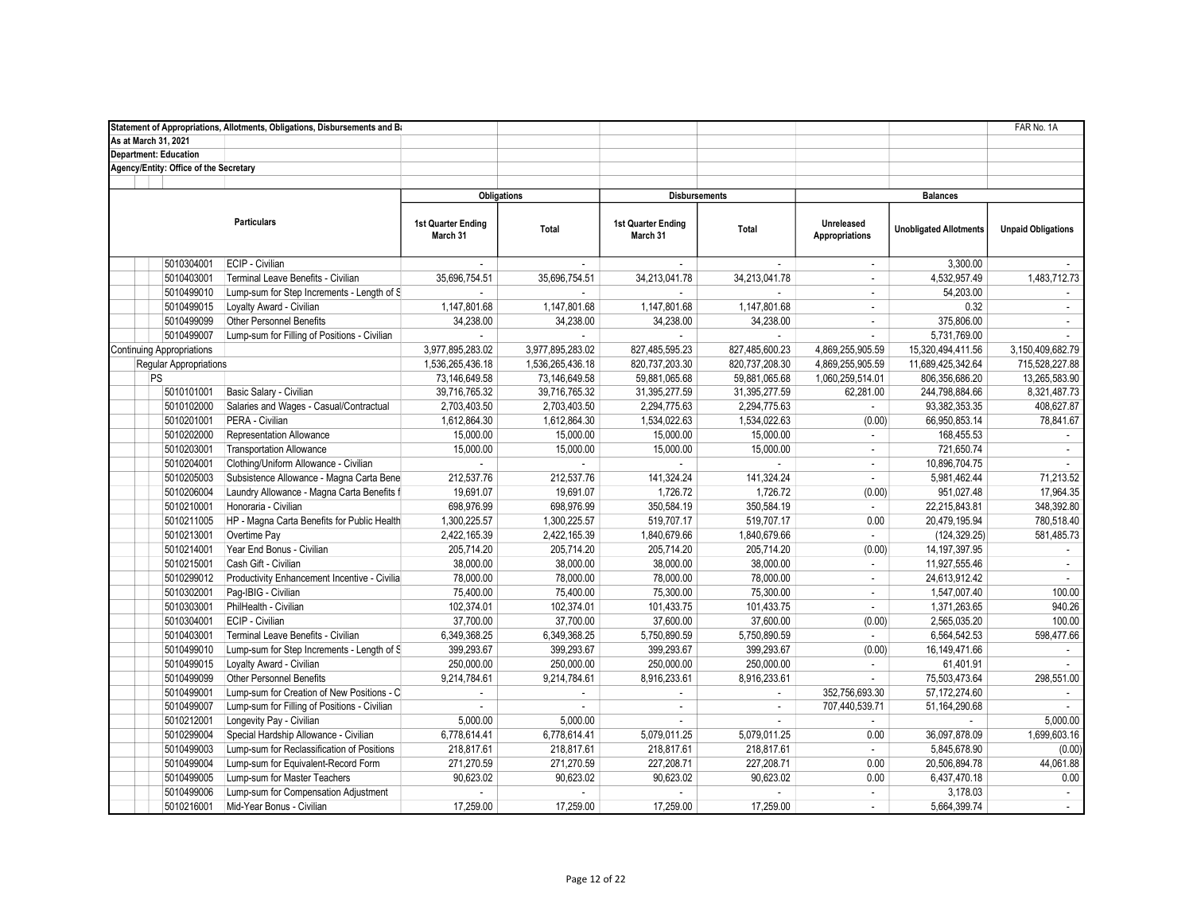|                                        | Statement of Appropriations, Allotments, Obligations, Disbursements and Ba |                                |                          |                                |                |                              |                               | FAR No. 1A                |
|----------------------------------------|----------------------------------------------------------------------------|--------------------------------|--------------------------|--------------------------------|----------------|------------------------------|-------------------------------|---------------------------|
| As at March 31, 2021                   |                                                                            |                                |                          |                                |                |                              |                               |                           |
| <b>Department: Education</b>           |                                                                            |                                |                          |                                |                |                              |                               |                           |
| Agency/Entity: Office of the Secretary |                                                                            |                                |                          |                                |                |                              |                               |                           |
|                                        |                                                                            |                                |                          |                                |                |                              |                               |                           |
|                                        |                                                                            | <b>Obligations</b>             |                          | <b>Disbursements</b>           |                |                              | <b>Balances</b>               |                           |
|                                        | <b>Particulars</b>                                                         | 1st Quarter Ending<br>March 31 | Total                    | 1st Quarter Ending<br>March 31 | Total          | Unreleased<br>Appropriations | <b>Unobligated Allotments</b> | <b>Unpaid Obligations</b> |
| 5010304001                             | ECIP - Civilian                                                            |                                | $\sim$                   |                                |                | $\sim$                       | 3,300.00                      |                           |
| 5010403001                             | Terminal Leave Benefits - Civilian                                         | 35,696,754.51                  | 35,696,754.51            | 34,213,041.78                  | 34,213,041.78  | $\sim$                       | 4,532,957.49                  | 1,483,712.73              |
| 5010499010                             | Lump-sum for Step Increments - Length of S                                 |                                |                          |                                |                | ÷                            | 54,203.00                     |                           |
| 5010499015                             | Loyalty Award - Civilian                                                   | 1,147,801.68                   | 1,147,801.68             | 1,147,801.68                   | 1,147,801.68   | ÷                            | 0.32                          | $\blacksquare$            |
| 5010499099                             | Other Personnel Benefits                                                   | 34,238.00                      | 34,238.00                | 34,238.00                      | 34,238.00      | $\mathcal{L}$                | 375,806.00                    | $\mathbf{r}$              |
| 5010499007                             | Lump-sum for Filling of Positions - Civilian                               |                                |                          |                                |                | ÷                            | 5,731,769.00                  |                           |
| <b>Continuing Appropriations</b>       |                                                                            | 3,977,895,283.02               | 3,977,895,283.02         | 827,485,595.23                 | 827,485,600.23 | 4,869,255,905.59             | 15,320,494,411.56             | 3,150,409,682.79          |
| <b>Regular Appropriations</b>          |                                                                            | 1,536,265,436.18               | 1,536,265,436.18         | 820,737,203.30                 | 820,737,208.30 | 4,869,255,905.59             | 11,689,425,342.64             | 715,528,227.88            |
| PS                                     |                                                                            | 73,146,649.58                  | 73,146,649.58            | 59,881,065.68                  | 59,881,065.68  | 1,060,259,514.01             | 806,356,686.20                | 13,265,583.90             |
| 5010101001                             | Basic Salary - Civilian                                                    | 39,716,765.32                  | 39,716,765.32            | 31,395,277.59                  | 31,395,277.59  | 62,281.00                    | 244,798,884.66                | 8,321,487.73              |
| 5010102000                             | Salaries and Wages - Casual/Contractual                                    | 2,703,403.50                   | 2,703,403.50             | 2,294,775.63                   | 2,294,775.63   | $\sim$                       | 93,382,353.35                 | 408,627.87                |
| 5010201001                             | PERA - Civilian                                                            | 1,612,864.30                   | 1,612,864.30             | 1,534,022.63                   | 1,534,022.63   | (0.00)                       | 66,950,853.14                 | 78,841.67                 |
| 5010202000                             | Representation Allowance                                                   | 15,000.00                      | 15,000.00                | 15,000.00                      | 15,000.00      | ÷                            | 168,455.53                    | $\sim$                    |
| 5010203001                             | <b>Transportation Allowance</b>                                            | 15,000.00                      | 15,000.00                | 15,000.00                      | 15,000.00      | $\overline{\phantom{a}}$     | 721,650.74                    | $\sim$                    |
| 5010204001                             | Clothing/Uniform Allowance - Civilian                                      |                                |                          |                                |                | $\mathcal{L}$                | 10,896,704.75                 |                           |
| 5010205003                             | Subsistence Allowance - Magna Carta Bene                                   | 212,537.76                     | 212,537.76               | 141,324.24                     | 141,324.24     | ×.                           | 5,981,462.44                  | 71,213.52                 |
| 5010206004                             | Laundry Allowance - Magna Carta Benefits f                                 | 19,691.07                      | 19,691.07                | 1,726.72                       | 1,726.72       | (0.00)                       | 951,027.48                    | 17,964.35                 |
| 5010210001                             | Honoraria - Civilian                                                       | 698,976.99                     | 698,976.99               | 350,584.19                     | 350,584.19     | $\mathcal{L}$                | 22,215,843.81                 | 348,392.80                |
| 5010211005                             | HP - Magna Carta Benefits for Public Health                                | 1,300,225.57                   | 1,300,225.57             | 519,707.17                     | 519,707.17     | 0.00                         | 20,479,195.94                 | 780,518.40                |
| 5010213001                             | Overtime Pay                                                               | 2,422,165.39                   | 2,422,165.39             | 1,840,679.66                   | 1,840,679.66   | ÷                            | (124, 329.25)                 | 581,485.73                |
| 5010214001                             | Year End Bonus - Civilian                                                  | 205,714.20                     | 205,714.20               | 205,714.20                     | 205,714.20     | (0.00)                       | 14, 197, 397. 95              | $\sim$                    |
| 5010215001                             | Cash Gift - Civilian                                                       | 38,000.00                      | 38,000.00                | 38,000.00                      | 38,000.00      | $\sim$                       | 11,927,555.46                 | $\sim$                    |
| 5010299012                             | Productivity Enhancement Incentive - Civilia                               | 78,000.00                      | 78,000.00                | 78,000.00                      | 78,000.00      | $\sim$                       | 24,613,912.42                 | $\mathcal{L}$             |
| 5010302001                             | Pag-IBIG - Civilian                                                        | 75,400.00                      | 75,400.00                | 75,300.00                      | 75,300.00      | ÷                            | 1,547,007.40                  | 100.00                    |
| 5010303001                             | PhilHealth - Civilian                                                      | 102,374.01                     | 102,374.01               | 101,433.75                     | 101,433.75     | $\sim$                       | 1,371,263.65                  | 940.26                    |
| 5010304001                             | <b>ECIP</b> - Civilian                                                     | 37,700.00                      | 37,700.00                | 37,600.00                      | 37,600.00      | (0.00)                       | 2,565,035.20                  | 100.00                    |
| 5010403001                             | Terminal Leave Benefits - Civilian                                         | 6,349,368.25                   | 6,349,368.25             | 5,750,890.59                   | 5,750,890.59   | ÷                            | 6,564,542.53                  | 598,477.66                |
| 5010499010                             | Lump-sum for Step Increments - Length of S                                 | 399,293.67                     | 399,293.67               | 399,293.67                     | 399,293.67     | (0.00)                       | 16, 149, 471.66               |                           |
| 5010499015                             | Loyalty Award - Civilian                                                   | 250,000.00                     | 250,000.00               | 250,000.00                     | 250,000.00     | $\mathbf{r}$                 | 61,401.91                     |                           |
| 5010499099                             | Other Personnel Benefits                                                   | 9,214,784.61                   | 9,214,784.61             | 8,916,233.61                   | 8,916,233.61   | ×.                           | 75,503,473.64                 | 298,551.00                |
| 5010499001                             | Lump-sum for Creation of New Positions - C                                 | $\sim$                         | $\overline{\phantom{a}}$ | ×.                             | $\sim$         | 352,756,693.30               | 57,172,274.60                 |                           |
| 5010499007                             | Lump-sum for Filling of Positions - Civilian                               | $\sim$                         | ä,                       | $\sim$                         | $\sim$         | 707,440,539.71               | 51,164,290.68                 |                           |
| 5010212001                             | Longevity Pay - Civilian                                                   | 5,000.00                       | 5,000.00                 |                                |                |                              |                               | 5,000.00                  |
| 5010299004                             | Special Hardship Allowance - Civilian                                      | 6,778,614.41                   | 6,778,614.41             | 5,079,011.25                   | 5,079,011.25   | 0.00                         | 36,097,878.09                 | 1,699,603.16              |
| 5010499003                             | Lump-sum for Reclassification of Positions                                 | 218,817.61                     | 218,817.61               | 218,817.61                     | 218,817.61     | $\sim$                       | 5,845,678.90                  | (0.00)                    |
| 5010499004                             | Lump-sum for Equivalent-Record Form                                        | 271,270.59                     | 271,270.59               | 227,208.71                     | 227,208.71     | 0.00                         | 20,506,894.78                 | 44,061.88                 |
| 5010499005                             | Lump-sum for Master Teachers                                               | 90,623.02                      | 90,623.02                | 90,623.02                      | 90,623.02      | 0.00                         | 6,437,470.18                  | 0.00                      |
| 5010499006                             | Lump-sum for Compensation Adjustment                                       | ÷.                             |                          |                                |                | $\blacksquare$               | 3,178.03                      | $\sim$                    |
| 5010216001                             | Mid-Year Bonus - Civilian                                                  | 17.259.00                      | 17.259.00                | 17.259.00                      | 17.259.00      | $\sim$                       | 5,664,399.74                  | $\mathbf{r}$              |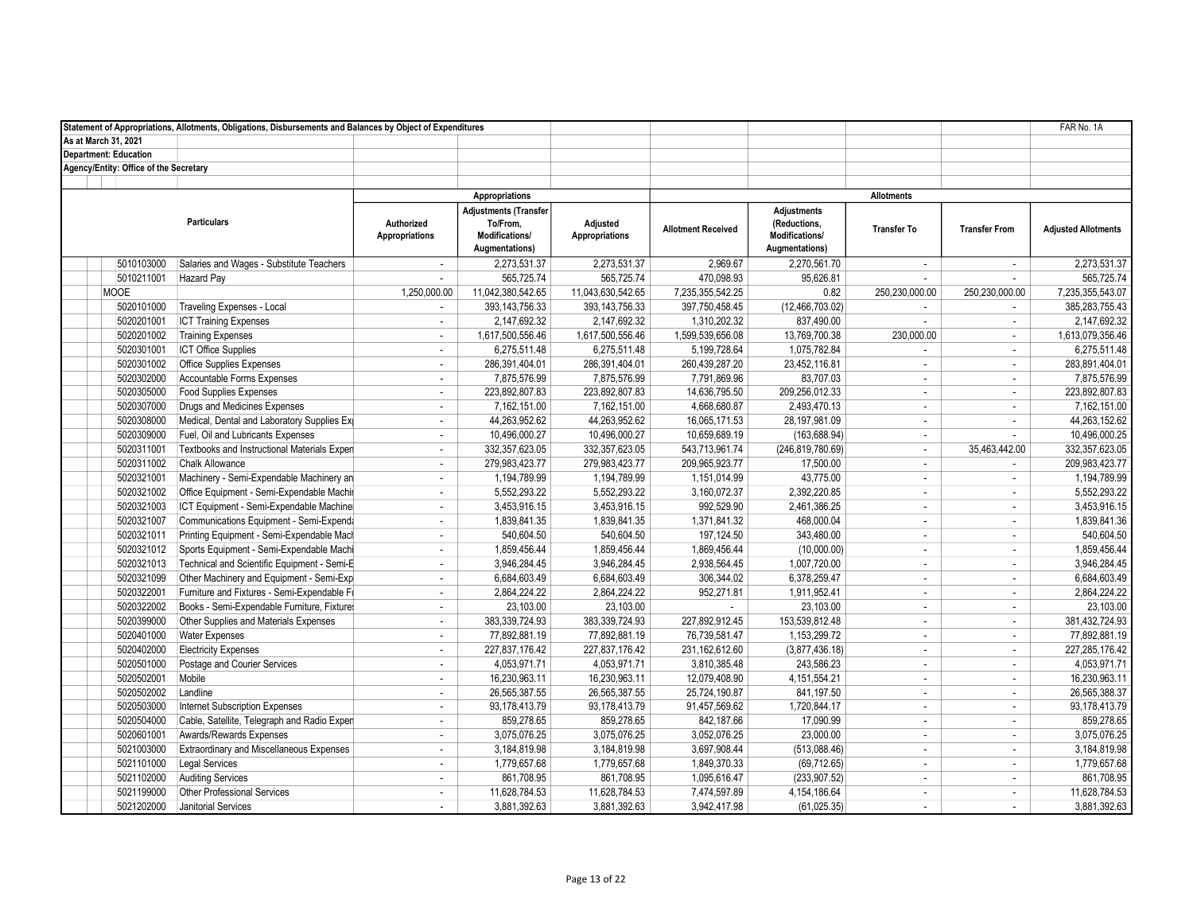|                                        | Statement of Appropriations, Allotments, Obligations, Disbursements and Balances by Object of Expenditures |                                     |                                                                              |                                   |                           |                                                                        |                    |                             | FAR No. 1A                 |
|----------------------------------------|------------------------------------------------------------------------------------------------------------|-------------------------------------|------------------------------------------------------------------------------|-----------------------------------|---------------------------|------------------------------------------------------------------------|--------------------|-----------------------------|----------------------------|
| As at March 31, 2021                   |                                                                                                            |                                     |                                                                              |                                   |                           |                                                                        |                    |                             |                            |
| <b>Department: Education</b>           |                                                                                                            |                                     |                                                                              |                                   |                           |                                                                        |                    |                             |                            |
| Agency/Entity: Office of the Secretary |                                                                                                            |                                     |                                                                              |                                   |                           |                                                                        |                    |                             |                            |
|                                        |                                                                                                            |                                     |                                                                              |                                   |                           |                                                                        |                    |                             |                            |
|                                        |                                                                                                            |                                     | Appropriations                                                               |                                   |                           |                                                                        | <b>Allotments</b>  |                             |                            |
|                                        | <b>Particulars</b>                                                                                         | Authorized<br><b>Appropriations</b> | <b>Adjustments (Transfer</b><br>To/From,<br>Modifications/<br>Augmentations) | Adjusted<br><b>Appropriations</b> | <b>Allotment Received</b> | <b>Adjustments</b><br>(Reductions,<br>Modifications/<br>Augmentations) | <b>Transfer To</b> | <b>Transfer From</b>        | <b>Adjusted Allotments</b> |
| 5010103000                             | Salaries and Wages - Substitute Teachers                                                                   | $\sim$                              | 2,273,531.37                                                                 | 2,273,531.37                      | 2,969.67                  | 2,270,561.70                                                           | $\sim$             | $\mathcal{L}_{\mathcal{A}}$ | 2,273,531.37               |
| 5010211001                             | <b>Hazard Pay</b>                                                                                          |                                     | 565,725.74                                                                   | 565,725.74                        | 470,098.93                | 95,626.81                                                              | $\sim$             | $\mathbf{r}$                | 565,725.74                 |
| <b>MOOE</b>                            |                                                                                                            | 1,250,000.00                        | 11,042,380,542.65                                                            | 11,043,630,542.65                 | 7,235,355,542.25          | 0.82                                                                   | 250,230,000.00     | 250,230,000.00              | 7,235,355,543.07           |
| 5020101000                             | <b>Traveling Expenses - Local</b>                                                                          | $\mathbf{r}$                        | 393, 143, 756. 33                                                            | 393, 143, 756. 33                 | 397,750,458.45            | (12, 466, 703.02)                                                      | $\sim$             | $\mathbf{r}$                | 385,283,755.43             |
| 5020201001                             | <b>ICT Training Expenses</b>                                                                               | ×.                                  | 2.147.692.32                                                                 | 2.147.692.32                      | 1,310,202.32              | 837,490.00                                                             | $\sim$             | ÷                           | 2,147,692.32               |
| 5020201002                             | <b>Training Expenses</b>                                                                                   | $\overline{\phantom{a}}$            | 1,617,500,556.46                                                             | 1,617,500,556.46                  | 1,599,539,656.08          | 13,769,700.38                                                          | 230,000.00         | $\mathbf{r}$                | 1,613,079,356.46           |
| 5020301001                             | <b>ICT Office Supplies</b>                                                                                 | ÷,                                  | 6,275,511.48                                                                 | 6,275,511.48                      | 5,199,728.64              | 1,075,782.84                                                           | $\mathbf{r}$       | $\mathcal{L}_{\mathcal{A}}$ | 6,275,511.48               |
| 5020301002                             | <b>Office Supplies Expenses</b>                                                                            | $\mathbf{r}$                        | 286,391,404.01                                                               | 286,391,404.01                    | 260,439,287.20            | 23,452,116.81                                                          | $\sim$             | $\sim$                      | 283,891,404.01             |
| 5020302000                             | Accountable Forms Expenses                                                                                 | ×.                                  | 7,875,576.99                                                                 | 7,875,576.99                      | 7,791,869.96              | 83,707.03                                                              | $\sim$             | $\mathbf{r}$                | 7,875,576.99               |
| 5020305000                             | <b>Food Supplies Expenses</b>                                                                              | $\mathcal{L}$                       | 223,892,807.83                                                               | 223,892,807.83                    | 14,636,795.50             | 209,256,012.33                                                         | $\sim$             | $\sim$                      | 223,892,807.83             |
| 5020307000                             | Drugs and Medicines Expenses                                                                               | ÷                                   | 7,162,151.00                                                                 | 7,162,151.00                      | 4,668,680.87              | 2,493,470.13                                                           | $\sim$             | ÷                           | 7,162,151.00               |
| 5020308000                             | Medical, Dental and Laboratory Supplies Ex                                                                 | $\sim$                              | 44.263.952.62                                                                | 44.263.952.62                     | 16,065,171.53             | 28.197.981.09                                                          | $\sim$             | $\mathbf{r}$                | 44,263,152.62              |
| 5020309000                             | Fuel, Oil and Lubricants Expenses                                                                          | ÷,                                  | 10,496,000.27                                                                | 10,496,000.27                     | 10,659,689.19             | (163, 688.94)                                                          | $\sim$             | $\mathcal{L}_{\mathcal{A}}$ | 10,496,000.25              |
| 5020311001                             | Textbooks and Instructional Materials Exper                                                                | ÷.                                  | 332,357,623.05                                                               | 332.357.623.05                    | 543,713,961.74            | (246,819,780.69)                                                       | $\sim$             | 35,463,442.00               | 332, 357, 623.05           |
| 5020311002                             | <b>Chalk Allowance</b>                                                                                     | ÷,                                  | 279,983,423.77                                                               | 279,983,423.77                    | 209,965,923.77            | 17,500.00                                                              | $\sim$             | $\sim$                      | 209,983,423.77             |
| 5020321001                             | Machinery - Semi-Expendable Machinery an                                                                   | ÷,                                  | 1,194,789.99                                                                 | 1,194,789.99                      | 1,151,014.99              | 43,775.00                                                              | $\sim$             | $\sim$                      | 1,194,789.99               |
| 5020321002                             | Office Equipment - Semi-Expendable Machir                                                                  | ÷.                                  | 5,552,293.22                                                                 | 5,552,293.22                      | 3,160,072.37              | 2,392,220.85                                                           | $\sim$             | $\mathbf{r}$                | 5,552,293.22               |
| 5020321003                             | ICT Equipment - Semi-Expendable Machine                                                                    | $\overline{\phantom{a}}$            | 3,453,916.15                                                                 | 3,453,916.15                      | 992,529.90                | 2,461,386.25                                                           | $\sim$             | $\mathbf{r}$                | 3,453,916.15               |
| 5020321007                             | Communications Equipment - Semi-Expenda                                                                    | $\overline{\phantom{a}}$            | 1,839,841.35                                                                 | 1,839,841.35                      | 1,371,841.32              | 468,000.04                                                             | $\sim$             | $\mathcal{L}_{\mathcal{A}}$ | 1,839,841.36               |
| 5020321011                             | Printing Equipment - Semi-Expendable Mach                                                                  | ÷.                                  | 540.604.50                                                                   | 540,604.50                        | 197,124.50                | 343,480.00                                                             | $\sim$             | $\mathbf{r}$                | 540,604.50                 |
| 5020321012                             | Sports Equipment - Semi-Expendable Machi                                                                   | ÷                                   | 1,859,456.44                                                                 | 1,859,456.44                      | 1,869,456.44              | (10,000.00)                                                            | $\sim$             | $\mathcal{L}_{\mathcal{A}}$ | 1,859,456.44               |
| 5020321013                             | Technical and Scientific Equipment - Semi-E                                                                | $\mathbf{r}$                        | 3,946,284.45                                                                 | 3,946,284.45                      | 2,938,564.45              | 1,007,720.00                                                           | $\mathbb{Z}^2$     | $\mathcal{L}_{\mathcal{A}}$ | 3,946,284.45               |
| 5020321099                             | Other Machinery and Equipment - Semi-Exp                                                                   | $\mathbf{r}$                        | 6,684,603.49                                                                 | 6,684,603.49                      | 306,344.02                | 6,378,259.47                                                           | $\sim$             | $\sim$                      | 6,684,603.49               |
| 5020322001                             | Furniture and Fixtures - Semi-Expendable Fi                                                                | ÷                                   | 2,864,224.22                                                                 | 2,864,224.22                      | 952,271.81                | 1,911,952.41                                                           | $\sim$             | $\mathbf{r}$                | 2,864,224.22               |
| 5020322002                             | Books - Semi-Expendable Furniture, Fixture                                                                 | $\overline{\phantom{a}}$            | 23,103.00                                                                    | 23,103.00                         | $\omega$                  | 23,103.00                                                              | $\sim$             | $\blacksquare$              | 23,103.00                  |
| 5020399000                             | Other Supplies and Materials Expenses                                                                      | ×.                                  | 383,339,724.93                                                               | 383,339,724.93                    | 227,892,912.45            | 153,539,812.48                                                         | $\sim$             | $\mathbf{r}$                | 381,432,724.93             |
| 5020401000                             | <b>Water Expenses</b>                                                                                      | ÷.                                  | 77.892.881.19                                                                | 77.892.881.19                     | 76,739,581.47             | 1,153,299.72                                                           | $\sim$             | ÷                           | 77,892,881.19              |
| 5020402000                             | <b>Electricity Expenses</b>                                                                                | ÷                                   | 227,837,176.42                                                               | 227,837,176.42                    | 231, 162, 612.60          | (3,877,436.18)                                                         | $\sim$             | $\mathbf{r}$                | 227,285,176.42             |
| 5020501000                             | Postage and Courier Services                                                                               | ×.                                  | 4,053,971.71                                                                 | 4,053,971.71                      | 3,810,385.48              | 243,586.23                                                             | $\sim$             | $\mathbf{r}$                | 4,053,971.71               |
| 5020502001                             | Mobile                                                                                                     | $\sim$                              | 16,230,963.11                                                                | 16,230,963.11                     | 12,079,408.90             | 4, 151, 554. 21                                                        | $\sim$             | $\mathbf{r}$                | 16,230,963.11              |
| 5020502002                             | Landline                                                                                                   | $\sim$                              | 26,565,387.55                                                                | 26,565,387.55                     | 25,724,190.87             | 841,197.50                                                             | $\sim$             | ÷                           | 26,565,388.37              |
| 5020503000                             | <b>Internet Subscription Expenses</b>                                                                      | $\overline{\phantom{a}}$            | 93,178,413.79                                                                | 93,178,413.79                     | 91,457,569.62             | 1,720,844.17                                                           | $\sim$             | $\blacksquare$              | 93,178,413.79              |
| 5020504000                             | Cable, Satellite, Telegraph and Radio Exper                                                                | ÷.                                  | 859.278.65                                                                   | 859,278.65                        | 842,187.66                | 17,090.99                                                              | $\sim$             | $\mathbf{r}$                | 859,278.65                 |
| 5020601001                             | Awards/Rewards Expenses                                                                                    | ÷                                   | 3,075,076.25                                                                 | 3,075,076.25                      | 3,052,076.25              | 23,000.00                                                              | $\sim$             | $\mathcal{L}_{\mathcal{A}}$ | 3,075,076.25               |
| 5021003000                             | Extraordinary and Miscellaneous Expenses                                                                   | $\mathcal{L}$                       | 3,184,819.98                                                                 | 3,184,819.98                      | 3,697,908.44              | (513,088.46)                                                           | $\mathbb{Z}^2$     | $\mathcal{L}_{\mathcal{A}}$ | 3,184,819.98               |
| 5021101000                             | Legal Services                                                                                             | $\sim$                              | 1,779,657.68                                                                 | 1,779,657.68                      | 1,849,370.33              | (69, 712.65)                                                           | $\sim$             | $\sim$                      | 1,779,657.68               |
| 5021102000                             | <b>Auditing Services</b>                                                                                   | $\sim$                              | 861,708.95                                                                   | 861,708.95                        | 1,095,616.47              | (233, 907.52)                                                          | $\sim$             | $\mathbf{r}$                | 861,708.95                 |
| 5021199000                             | <b>Other Professional Services</b>                                                                         | $\sim$                              | 11,628,784.53                                                                | 11,628,784.53                     | 7,474,597.89              | 4, 154, 186.64                                                         | $\sim$             | $\blacksquare$              | 11,628,784.53              |
| 5021202000                             | Janitorial Services                                                                                        | $\sim$                              | 3.881.392.63                                                                 | 3,881,392.63                      | 3,942,417.98              | (61,025.35)                                                            | $\sim$             | ÷                           | 3,881,392.63               |
|                                        |                                                                                                            |                                     |                                                                              |                                   |                           |                                                                        |                    |                             |                            |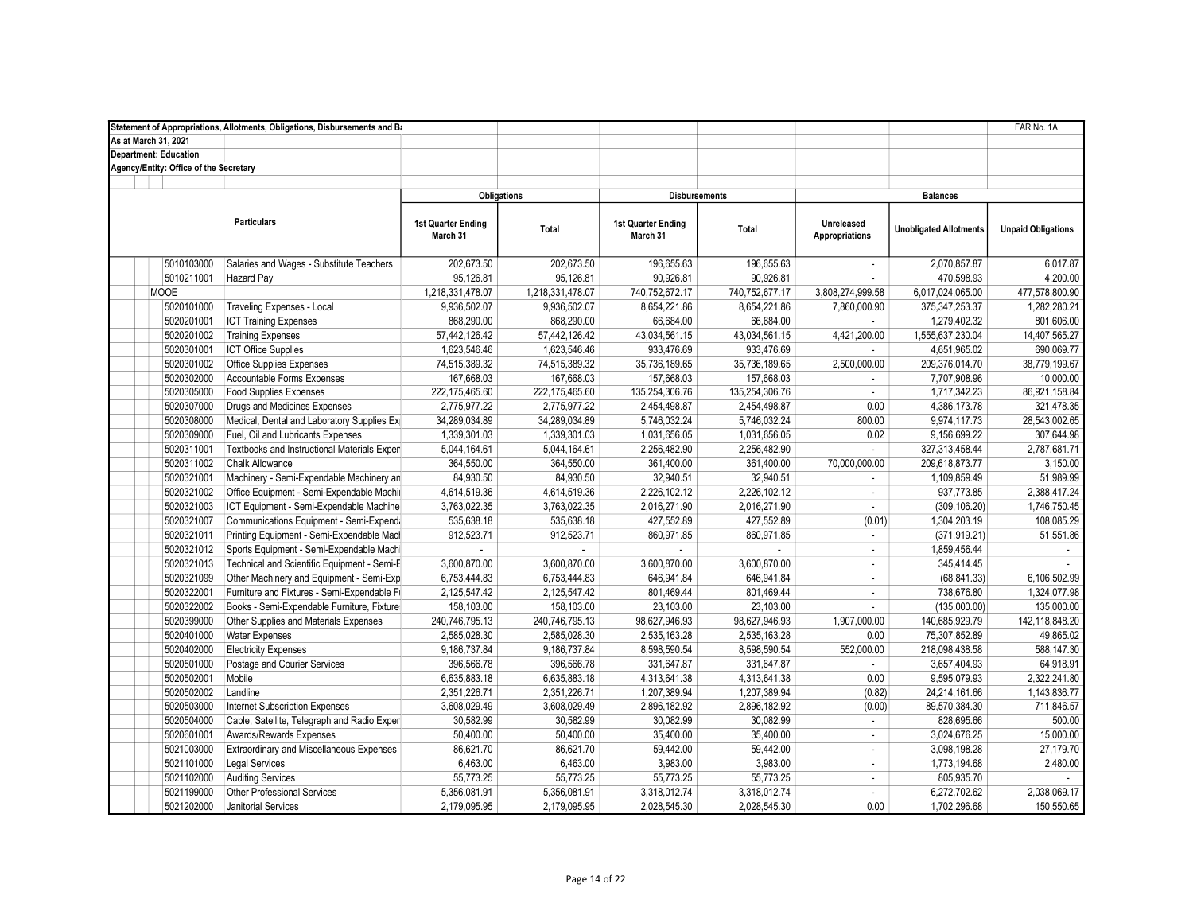|                                        | Statement of Appropriations, Allotments, Obligations, Disbursements and Ba |                                       |                    |                                |                |                              |                               | FAR No. 1A                |
|----------------------------------------|----------------------------------------------------------------------------|---------------------------------------|--------------------|--------------------------------|----------------|------------------------------|-------------------------------|---------------------------|
| As at March 31, 2021                   |                                                                            |                                       |                    |                                |                |                              |                               |                           |
| <b>Department: Education</b>           |                                                                            |                                       |                    |                                |                |                              |                               |                           |
| Agency/Entity: Office of the Secretary |                                                                            |                                       |                    |                                |                |                              |                               |                           |
|                                        |                                                                            |                                       |                    |                                |                |                              |                               |                           |
|                                        |                                                                            |                                       | <b>Obligations</b> | <b>Disbursements</b>           |                |                              | <b>Balances</b>               |                           |
|                                        | <b>Particulars</b>                                                         | <b>1st Quarter Ending</b><br>March 31 | Total              | 1st Quarter Ending<br>March 31 | Total          | Unreleased<br>Appropriations | <b>Unobligated Allotments</b> | <b>Unpaid Obligations</b> |
| 5010103000                             | Salaries and Wages - Substitute Teachers                                   | 202,673.50                            | 202,673.50         | 196,655.63                     | 196,655.63     | $\mathcal{L}$                | 2,070,857.87                  | 6,017.87                  |
| 5010211001                             | Hazard Pay                                                                 | 95,126.81                             | 95,126.81          | 90,926.81                      | 90,926.81      | $\sim$                       | 470,598.93                    | 4,200.00                  |
| <b>MOOE</b>                            |                                                                            | 1,218,331,478.07                      | 1,218,331,478.07   | 740,752,672.17                 | 740,752,677.17 | 3,808,274,999.58             | 6,017,024,065.00              | 477,578,800.90            |
| 5020101000                             | Traveling Expenses - Local                                                 | 9,936,502.07                          | 9,936,502.07       | 8,654,221.86                   | 8,654,221.86   | 7,860,000.90                 | 375, 347, 253. 37             | 1,282,280.21              |
| 5020201001                             | <b>ICT Training Expenses</b>                                               | 868,290.00                            | 868,290.00         | 66,684.00                      | 66,684.00      |                              | 1,279,402.32                  | 801,606.00                |
| 5020201002                             | <b>Training Expenses</b>                                                   | 57,442,126.42                         | 57,442,126.42      | 43,034,561.15                  | 43,034,561.15  | 4,421,200.00                 | 1,555,637,230.04              | 14,407,565.27             |
| 5020301001                             | <b>ICT Office Supplies</b>                                                 | 1,623,546.46                          | 1,623,546.46       | 933,476.69                     | 933,476.69     |                              | 4,651,965.02                  | 690,069.77                |
| 5020301002                             | <b>Office Supplies Expenses</b>                                            | 74,515,389.32                         | 74,515,389.32      | 35,736,189.65                  | 35,736,189.65  | 2,500,000.00                 | 209,376,014.70                | 38,779,199.67             |
| 5020302000                             | Accountable Forms Expenses                                                 | 167,668.03                            | 167,668.03         | 157,668.03                     | 157,668.03     | $\sim$                       | 7,707,908.96                  | 10,000.00                 |
| 5020305000                             | <b>Food Supplies Expenses</b>                                              | 222,175,465.60                        | 222, 175, 465.60   | 135,254,306.76                 | 135,254,306.76 | $\blacksquare$               | 1,717,342.23                  | 86,921,158.84             |
| 5020307000                             | Drugs and Medicines Expenses                                               | 2,775,977.22                          | 2,775,977.22       | 2,454,498.87                   | 2,454,498.87   | 0.00                         | 4,386,173.78                  | 321,478.35                |
| 5020308000                             | Medical, Dental and Laboratory Supplies Ex                                 | 34,289,034.89                         | 34,289,034.89      | 5,746,032.24                   | 5,746,032.24   | 800.00                       | 9,974,117.73                  | 28,543,002.65             |
| 5020309000                             | Fuel, Oil and Lubricants Expenses                                          | 1,339,301.03                          | 1,339,301.03       | 1,031,656.05                   | 1,031,656.05   | 0.02                         | 9,156,699.22                  | 307,644.98                |
| 5020311001                             | Textbooks and Instructional Materials Expen                                | 5,044,164.61                          | 5,044,164.61       | 2,256,482.90                   | 2,256,482.90   | $\omega$                     | 327,313,458.44                | 2,787,681.71              |
| 5020311002                             | <b>Chalk Allowance</b>                                                     | 364,550.00                            | 364,550.00         | 361,400.00                     | 361,400.00     | 70,000,000.00                | 209,618,873.77                | 3,150.00                  |
| 5020321001                             | Machinery - Semi-Expendable Machinery an                                   | 84,930.50                             | 84,930.50          | 32,940.51                      | 32,940.51      |                              | 1,109,859.49                  | 51,989.99                 |
| 5020321002                             | Office Equipment - Semi-Expendable Machin                                  | 4,614,519.36                          | 4,614,519.36       | 2,226,102.12                   | 2,226,102.12   | $\blacksquare$               | 937,773.85                    | 2,388,417.24              |
| 5020321003                             | ICT Equipment - Semi-Expendable Machine                                    | 3,763,022.35                          | 3,763,022.35       | 2,016,271.90                   | 2,016,271.90   | $\blacksquare$               | (309, 106.20)                 | 1,746,750.45              |
| 5020321007                             | Communications Equipment - Semi-Expenda                                    | 535,638.18                            | 535,638.18         | 427,552.89                     | 427,552.89     | (0.01)                       | 1,304,203.19                  | 108,085.29                |
| 5020321011                             | Printing Equipment - Semi-Expendable Mach                                  | 912,523.71                            | 912,523.71         | 860,971.85                     | 860,971.85     |                              | (371, 919.21)                 | 51,551.86                 |
| 5020321012                             | Sports Equipment - Semi-Expendable Machi                                   |                                       |                    |                                |                | $\mathcal{L}_{\mathcal{A}}$  | 1,859,456.44                  |                           |
| 5020321013                             | Technical and Scientific Equipment - Semi-E                                | 3,600,870.00                          | 3,600,870.00       | 3,600,870.00                   | 3,600,870.00   | $\omega$                     | 345,414.45                    |                           |
| 5020321099                             | Other Machinery and Equipment - Semi-Exp                                   | 6,753,444.83                          | 6,753,444.83       | 646,941.84                     | 646,941.84     | $\sim$                       | (68, 841.33)                  | 6,106,502.99              |
| 5020322001                             | Furniture and Fixtures - Semi-Expendable Fi                                | 2,125,547.42                          | 2,125,547.42       | 801,469.44                     | 801,469.44     | ÷                            | 738,676.80                    | 1,324,077.98              |
| 5020322002                             | Books - Semi-Expendable Furniture, Fixture                                 | 158,103.00                            | 158,103.00         | 23,103.00                      | 23,103.00      | ÷                            | (135,000.00)                  | 135,000.00                |
| 5020399000                             | Other Supplies and Materials Expenses                                      | 240,746,795.13                        | 240,746,795.13     | 98,627,946.93                  | 98,627,946.93  | 1,907,000.00                 | 140,685,929.79                | 142,118,848.20            |
| 5020401000                             | <b>Water Expenses</b>                                                      | 2,585,028.30                          | 2,585,028.30       | 2,535,163.28                   | 2,535,163.28   | 0.00                         | 75,307,852.89                 | 49,865.02                 |
| 5020402000                             | <b>Electricity Expenses</b>                                                | 9,186,737.84                          | 9,186,737.84       | 8,598,590.54                   | 8,598,590.54   | 552,000.00                   | 218,098,438.58                | 588,147.30                |
| 5020501000                             | Postage and Courier Services                                               | 396,566.78                            | 396,566.78         | 331,647.87                     | 331,647.87     |                              | 3,657,404.93                  | 64,918.91                 |
| 5020502001                             | Mobile                                                                     | 6,635,883.18                          | 6,635,883.18       | 4,313,641.38                   | 4,313,641.38   | 0.00                         | 9,595,079.93                  | 2,322,241.80              |
| 5020502002                             | Landline                                                                   | 2,351,226.71                          | 2,351,226.71       | 1,207,389.94                   | 1,207,389.94   | (0.82)                       | 24,214,161.66                 | 1,143,836.77              |
| 5020503000                             | <b>Internet Subscription Expenses</b>                                      | 3,608,029.49                          | 3,608,029.49       | 2,896,182.92                   | 2,896,182.92   | (0.00)                       | 89,570,384.30                 | 711,846.57                |
| 5020504000                             | Cable, Satellite, Telegraph and Radio Expen                                | 30,582.99                             | 30,582.99          | 30,082.99                      | 30,082.99      |                              | 828,695.66                    | 500.00                    |
| 5020601001                             | Awards/Rewards Expenses                                                    | 50,400.00                             | 50,400.00          | 35,400.00                      | 35,400.00      | $\blacksquare$               | 3,024,676.25                  | 15,000.00                 |
| 5021003000                             | <b>Extraordinary and Miscellaneous Expenses</b>                            | 86,621.70                             | 86,621.70          | 59,442.00                      | 59,442.00      | $\omega$                     | 3,098,198.28                  | 27,179.70                 |
| 5021101000                             | Legal Services                                                             | 6,463.00                              | 6,463.00           | 3,983.00                       | 3,983.00       | $\sim$                       | 1,773,194.68                  | 2,480.00                  |
| 5021102000                             | <b>Auditing Services</b>                                                   | 55,773.25                             | 55,773.25          | 55,773.25                      | 55,773.25      | ÷                            | 805,935.70                    |                           |
| 5021199000                             | <b>Other Professional Services</b>                                         | 5,356,081.91                          | 5,356,081.91       | 3,318,012.74                   | 3,318,012.74   | $\mathcal{L}_{\mathcal{A}}$  | 6,272,702.62                  | 2,038,069.17              |
| 5021202000                             | <b>Janitorial Services</b>                                                 | 2.179.095.95                          | 2.179.095.95       | 2,028,545.30                   | 2.028.545.30   | 0.00                         | 1.702.296.68                  | 150.550.65                |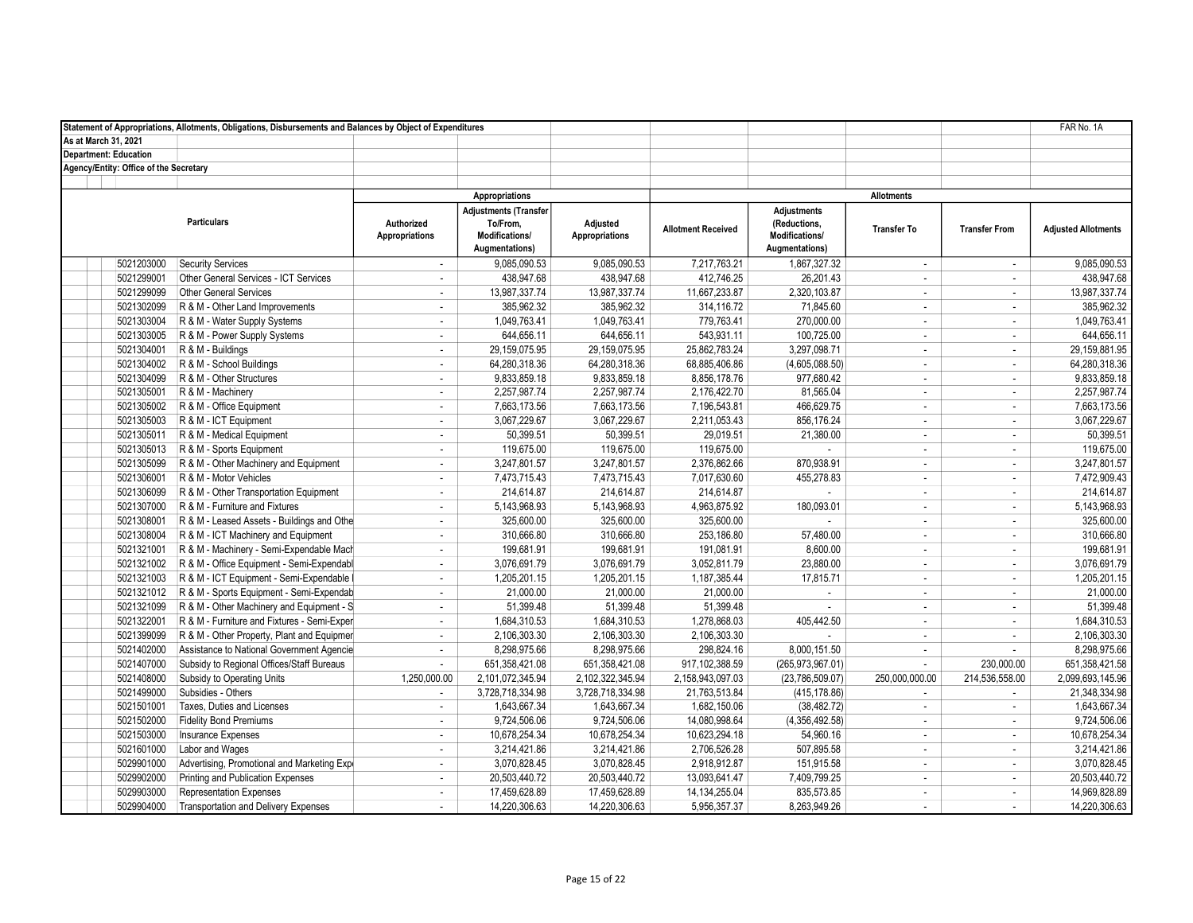|                                        | Statement of Appropriations, Allotments, Obligations, Disbursements and Balances by Object of Expenditures |                                     |                                                                              |                                   |                           |                                                                        |                          |                             | FAR No. 1A                 |
|----------------------------------------|------------------------------------------------------------------------------------------------------------|-------------------------------------|------------------------------------------------------------------------------|-----------------------------------|---------------------------|------------------------------------------------------------------------|--------------------------|-----------------------------|----------------------------|
| As at March 31, 2021                   |                                                                                                            |                                     |                                                                              |                                   |                           |                                                                        |                          |                             |                            |
| <b>Department: Education</b>           |                                                                                                            |                                     |                                                                              |                                   |                           |                                                                        |                          |                             |                            |
| Agency/Entity: Office of the Secretary |                                                                                                            |                                     |                                                                              |                                   |                           |                                                                        |                          |                             |                            |
|                                        |                                                                                                            |                                     |                                                                              |                                   |                           |                                                                        | <b>Allotments</b>        |                             |                            |
|                                        |                                                                                                            |                                     | Appropriations                                                               |                                   |                           |                                                                        |                          |                             |                            |
|                                        | <b>Particulars</b>                                                                                         | Authorized<br><b>Appropriations</b> | <b>Adjustments (Transfer</b><br>To/From,<br>Modifications/<br>Augmentations) | Adjusted<br><b>Appropriations</b> | <b>Allotment Received</b> | <b>Adjustments</b><br>(Reductions,<br>Modifications/<br>Augmentations) | <b>Transfer To</b>       | <b>Transfer From</b>        | <b>Adjusted Allotments</b> |
| 5021203000                             | <b>Security Services</b>                                                                                   | $\mathbf{r}$                        | 9.085.090.53                                                                 | 9.085.090.53                      | 7.217.763.21              | 1.867.327.32                                                           | $\sim$                   | $\mathbf{r}$                | 9.085.090.53               |
| 5021299001                             | Other General Services - ICT Services                                                                      | ä,                                  | 438,947.68                                                                   | 438,947.68                        | 412,746.25                | 26,201.43                                                              | $\sim$                   | ÷                           | 438,947.68                 |
| 5021299099                             | <b>Other General Services</b>                                                                              | ÷,                                  | 13,987,337.74                                                                | 13,987,337.74                     | 11,667,233.87             | 2,320,103.87                                                           | $\sim$                   | $\mathcal{L}_{\mathcal{A}}$ | 13,987,337.74              |
| 5021302099                             | R & M - Other Land Improvements                                                                            | ÷,                                  | 385,962.32                                                                   | 385,962.32                        | 314,116.72                | 71,845.60                                                              | $\sim$                   | $\mathbf{r}$                | 385,962.32                 |
| 5021303004                             | R & M - Water Supply Systems                                                                               | $\overline{\phantom{a}}$            | 1,049,763.41                                                                 | 1,049,763.41                      | 779,763.41                | 270,000.00                                                             | $\overline{\phantom{a}}$ | $\mathbf{r}$                | 1,049,763.41               |
| 5021303005                             | R & M - Power Supply Systems                                                                               | ÷.                                  | 644,656.11                                                                   | 644,656.11                        | 543,931.11                | 100,725.00                                                             | $\sim$                   | $\mathbf{r}$                | 644,656.11                 |
| 5021304001                             | R & M - Buildings                                                                                          | ÷                                   | 29,159,075.95                                                                | 29,159,075.95                     | 25,862,783.24             | 3,297,098.71                                                           | $\sim$                   | $\mathbf{r}$                | 29,159,881.95              |
| 5021304002                             | R & M - School Buildings                                                                                   | ×.                                  | 64,280,318.36                                                                | 64,280,318.36                     | 68,885,406.86             | (4,605,088.50)                                                         | $\sim$                   | $\mathbf{r}$                | 64,280,318.36              |
| 5021304099                             | R & M - Other Structures                                                                                   | ÷.                                  | 9,833,859.18                                                                 | 9,833,859.18                      | 8,856,178.76              | 977,680.42                                                             | $\sim$                   | $\mathcal{L}_{\mathcal{A}}$ | 9,833,859.18               |
| 5021305001                             | R & M - Machinery                                                                                          | ÷                                   | 2,257,987.74                                                                 | 2,257,987.74                      | 2,176,422.70              | 81,565.04                                                              | $\sim$                   | $\sim$                      | 2,257,987.74               |
| 5021305002                             | R & M - Office Equipment                                                                                   | ÷                                   | 7,663,173.56                                                                 | 7,663,173.56                      | 7,196,543.81              | 466,629.75                                                             | $\sim$                   | $\mathbf{r}$                | 7,663,173.56               |
| 5021305003                             | R & M - ICT Equipment                                                                                      | $\overline{\phantom{a}}$            | 3,067,229.67                                                                 | 3,067,229.67                      | 2,211,053.43              | 856,176.24                                                             | $\sim$                   | $\blacksquare$              | 3,067,229.67               |
| 5021305011                             | R & M - Medical Equipment                                                                                  | $\sim$                              | 50.399.51                                                                    | 50,399.51                         | 29,019.51                 | 21,380.00                                                              | $\sim$                   | $\mathbf{r}$                | 50,399.51                  |
| 5021305013                             | R & M - Sports Equipment                                                                                   | $\sim$                              | 119,675.00                                                                   | 119,675.00                        | 119,675.00                | ×.                                                                     | $\sim$                   | $\mathbf{r}$                | 119,675.00                 |
| 5021305099                             | R & M - Other Machinery and Equipment                                                                      | ÷,                                  | 3,247,801.57                                                                 | 3,247,801.57                      | 2,376,862.66              | 870,938.91                                                             | $\sim$                   | $\mathcal{L}_{\mathcal{A}}$ | 3,247,801.57               |
| 5021306001                             | R & M - Motor Vehicles                                                                                     | ×.                                  | 7,473,715.43                                                                 | 7,473,715.43                      | 7,017,630.60              | 455.278.83                                                             | $\sim$                   | $\mathbf{r}$                | 7,472,909.43               |
| 5021306099                             | R & M - Other Transportation Equipment                                                                     | ×.                                  | 214,614.87                                                                   | 214,614.87                        | 214,614.87                | ×.                                                                     | $\sim$                   | ÷                           | 214,614.87                 |
| 5021307000                             | R & M - Furniture and Fixtures                                                                             | ÷.                                  | 5,143,968.93                                                                 | 5,143,968.93                      | 4,963,875.92              | 180,093.01                                                             | $\sim$                   | ÷                           | 5,143,968.93               |
| 5021308001                             | R & M - Leased Assets - Buildings and Othe                                                                 | ÷                                   | 325,600.00                                                                   | 325,600.00                        | 325,600.00                |                                                                        | $\sim$                   | $\mathbf{r}$                | 325,600.00                 |
| 5021308004                             | R & M - ICT Machinery and Equipment                                                                        | $\blacksquare$                      | 310,666.80                                                                   | 310,666.80                        | 253,186.80                | 57,480.00                                                              | $\sim$                   | $\mathbf{r}$                | 310,666.80                 |
| 5021321001                             | R & M - Machinery - Semi-Expendable Mach                                                                   | ÷.                                  | 199,681.91                                                                   | 199,681.91                        | 191,081.91                | 8,600.00                                                               | $\sim$                   | $\mathbf{r}$                | 199,681.91                 |
| 5021321002                             | R & M - Office Equipment - Semi-Expendabl                                                                  | ÷.                                  | 3,076,691.79                                                                 | 3,076,691.79                      | 3,052,811.79              | 23,880.00                                                              | $\sim$                   | ÷                           | 3,076,691.79               |
| 5021321003                             | R & M - ICT Equipment - Semi-Expendable                                                                    | ÷                                   | 1,205,201.15                                                                 | 1,205,201.15                      | 1,187,385.44              | 17,815.71                                                              | $\sim$                   | ÷.                          | 1,205,201.15               |
| 5021321012                             | R & M - Sports Equipment - Semi-Expendab                                                                   | $\sim$                              | 21,000.00                                                                    | 21,000.00                         | 21,000.00                 | ÷                                                                      | $\sim$                   | $\sim$                      | 21,000.00                  |
| 5021321099                             | R & M - Other Machinery and Equipment - S                                                                  | $\overline{\phantom{a}}$            | 51,399.48                                                                    | 51,399.48                         | 51,399.48                 | $\mathbf{r}$                                                           | $\sim$                   | $\sim$                      | 51,399.48                  |
| 5021322001                             | R & M - Furniture and Fixtures - Semi-Exper                                                                | $\overline{\phantom{a}}$            | 1,684,310.53                                                                 | 1,684,310.53                      | 1,278,868.03              | 405,442.50                                                             | $\sim$                   | $\mathcal{L}_{\mathcal{A}}$ | 1,684,310.53               |
| 5021399099                             | R & M - Other Property, Plant and Equipmer                                                                 | ÷.                                  | 2,106,303.30                                                                 | 2,106,303.30                      | 2,106,303.30              |                                                                        | $\sim$                   | $\mathbf{r}$                | 2,106,303.30               |
| 5021402000                             | Assistance to National Government Agencie                                                                  | ÷.                                  | 8,298,975.66                                                                 | 8,298,975.66                      | 298,824.16                | 8,000,151.50                                                           | $\sim$                   | ÷                           | 8,298,975.66               |
| 5021407000                             | Subsidy to Regional Offices/Staff Bureaus                                                                  | $\sim$                              | 651,358,421.08                                                               | 651,358,421.08                    | 917, 102, 388.59          | (265, 973, 967.01)                                                     | $\sim$                   | 230,000.00                  | 651, 358, 421.58           |
| 5021408000                             | Subsidy to Operating Units                                                                                 | 1,250,000.00                        | 2,101,072,345.94                                                             | 2,102,322,345.94                  | 2,158,943,097.03          | (23,786,509.07)                                                        | 250.000.000.00           | 214,536,558.00              | 2,099,693,145.96           |
| 5021499000                             | Subsidies - Others                                                                                         | ÷.                                  | 3,728,718,334.98                                                             | 3,728,718,334.98                  | 21,763,513.84             | (415, 178.86)                                                          | $\sim$                   | ÷                           | 21,348,334.98              |
| 5021501001                             | Taxes, Duties and Licenses                                                                                 | $\overline{\phantom{a}}$            | 1,643,667.34                                                                 | 1,643,667.34                      | 1,682,150.06              | (38, 482.72)                                                           | $\sim$                   | $\blacksquare$              | 1,643,667.34               |
| 5021502000                             | <b>Fidelity Bond Premiums</b>                                                                              | $\mathbf{r}$                        | 9,724,506.06                                                                 | 9,724,506.06                      | 14,080,998.64             | (4,356,492.58)                                                         | $\sim$                   | $\sim$                      | 9,724,506.06               |
| 5021503000                             | Insurance Expenses                                                                                         | ÷                                   | 10,678,254.34                                                                | 10,678,254.34                     | 10,623,294.18             | 54,960.16                                                              | $\sim$                   | $\mathcal{L}_{\mathcal{A}}$ | 10,678,254.34              |
| 5021601000                             | Labor and Wages                                                                                            | ÷.                                  | 3,214,421.86                                                                 | 3,214,421.86                      | 2,706,526.28              | 507,895.58                                                             | $\sim$                   | $\mathcal{L}_{\mathcal{A}}$ | 3,214,421.86               |
| 5029901000                             | Advertising, Promotional and Marketing Exp                                                                 | $\sim$                              | 3,070,828.45                                                                 | 3,070,828.45                      | 2,918,912.87              | 151,915.58                                                             | $\sim$                   | $\sim$                      | 3,070,828.45               |
| 5029902000                             | Printing and Publication Expenses                                                                          | $\sim$                              | 20,503,440.72                                                                | 20,503,440.72                     | 13,093,641.47             | 7,409,799.25                                                           | $\sim$                   | ÷                           | 20,503,440.72              |
| 5029903000                             | <b>Representation Expenses</b>                                                                             | $\sim$                              | 17,459,628.89                                                                | 17,459,628.89                     | 14, 134, 255.04           | 835,573.85                                                             | $\sim$                   | $\mathbf{r}$                | 14,969,828.89              |
| 5029904000                             | <b>Transportation and Delivery Expenses</b>                                                                | $\sim$                              | 14.220.306.63                                                                | 14,220,306.63                     | 5,956,357.37              | 8,263,949.26                                                           | $\sim$                   | ÷                           | 14,220,306.63              |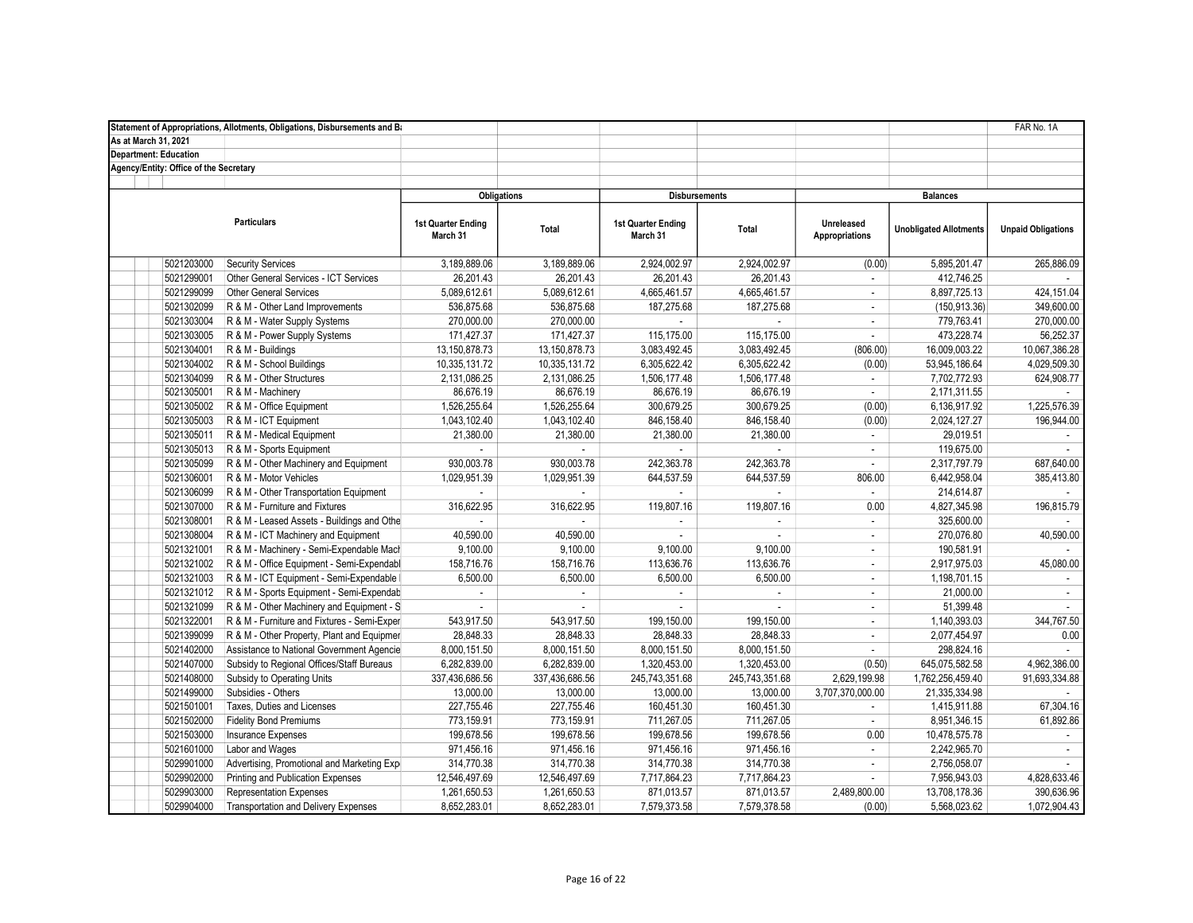|                                        | Statement of Appropriations, Allotments, Obligations, Disbursements and Ba |                                |                |                                       |                |                                     |                               | FAR No. 1A                |
|----------------------------------------|----------------------------------------------------------------------------|--------------------------------|----------------|---------------------------------------|----------------|-------------------------------------|-------------------------------|---------------------------|
| As at March 31, 2021                   |                                                                            |                                |                |                                       |                |                                     |                               |                           |
| <b>Department: Education</b>           |                                                                            |                                |                |                                       |                |                                     |                               |                           |
| Agency/Entity: Office of the Secretary |                                                                            |                                |                |                                       |                |                                     |                               |                           |
|                                        |                                                                            |                                |                |                                       |                |                                     |                               |                           |
|                                        |                                                                            | <b>Obligations</b>             |                | <b>Disbursements</b>                  |                |                                     | <b>Balances</b>               |                           |
|                                        | <b>Particulars</b>                                                         | 1st Quarter Ending<br>March 31 | Total          | <b>1st Quarter Ending</b><br>March 31 | Total          | Unreleased<br><b>Appropriations</b> | <b>Unobligated Allotments</b> | <b>Unpaid Obligations</b> |
| 5021203000                             | <b>Security Services</b>                                                   | 3,189,889.06                   | 3.189.889.06   | 2,924,002.97                          | 2.924.002.97   | (0.00)                              | 5,895,201.47                  | 265.886.09                |
| 5021299001                             | Other General Services - ICT Services                                      | 26,201.43                      | 26,201.43      | 26,201.43                             | 26,201.43      | $\mathcal{L}$                       | 412,746.25                    |                           |
| 5021299099                             | Other General Services                                                     | 5,089,612.61                   | 5,089,612.61   | 4,665,461.57                          | 4,665,461.57   | $\mathcal{L}$                       | 8,897,725.13                  | 424, 151.04               |
| 5021302099                             | R & M - Other Land Improvements                                            | 536,875.68                     | 536,875.68     | 187,275.68                            | 187,275.68     | $\mathcal{L}$                       | (150, 913.36)                 | 349.600.00                |
| 5021303004                             | R & M - Water Supply Systems                                               | 270,000.00                     | 270,000.00     |                                       |                | $\mathbf{r}$                        | 779,763.41                    | 270,000.00                |
| 5021303005                             | R & M - Power Supply Systems                                               | 171,427.37                     | 171,427.37     | 115,175.00                            | 115,175.00     | $\mathcal{L}$                       | 473,228.74                    | 56,252.37                 |
| 5021304001                             | R & M - Buildings                                                          | 13,150,878.73                  | 13,150,878.73  | 3,083,492.45                          | 3,083,492.45   | (806.00)                            | 16,009,003.22                 | 10,067,386.28             |
| 5021304002                             | R & M - School Buildings                                                   | 10,335,131.72                  | 10,335,131.72  | 6,305,622.42                          | 6,305,622.42   | (0.00)                              | 53,945,186.64                 | 4,029,509.30              |
| 5021304099                             | R & M - Other Structures                                                   | 2,131,086.25                   | 2,131,086.25   | 1,506,177.48                          | 1,506,177.48   | $\overline{\phantom{a}}$            | 7,702,772.93                  | 624,908.77                |
| 5021305001                             | R & M - Machinery                                                          | 86,676.19                      | 86,676.19      | 86,676.19                             | 86,676.19      | $\blacksquare$                      | 2,171,311.55                  |                           |
| 5021305002                             | R & M - Office Equipment                                                   | 1,526,255.64                   | 1,526,255.64   | 300,679.25                            | 300,679.25     | (0.00)                              | 6,136,917.92                  | 1,225,576.39              |
| 5021305003                             | R & M - ICT Equipment                                                      | 1,043,102.40                   | 1,043,102.40   | 846,158.40                            | 846,158.40     | (0.00)                              | 2,024,127.27                  | 196,944.00                |
| 5021305011                             | R & M - Medical Equipment                                                  | 21,380.00                      | 21,380.00      | 21,380.00                             | 21,380.00      | $\mathbf{r}$                        | 29,019.51                     |                           |
| 5021305013                             | R & M - Sports Equipment                                                   |                                |                |                                       |                | ÷                                   | 119,675.00                    |                           |
| 5021305099                             | R & M - Other Machinery and Equipment                                      | 930,003.78                     | 930,003.78     | 242,363.78                            | 242,363.78     | $\mathcal{L}$                       | 2,317,797.79                  | 687,640.00                |
| 5021306001                             | R & M - Motor Vehicles                                                     | 1.029.951.39                   | 1,029,951.39   | 644.537.59                            | 644.537.59     | 806.00                              | 6,442,958.04                  | 385,413.80                |
| 5021306099                             | R & M - Other Transportation Equipment                                     | ×.                             |                | ÷.                                    |                | $\mathcal{L}$                       | 214,614.87                    |                           |
| 5021307000                             | R & M - Furniture and Fixtures                                             | 316,622.95                     | 316,622.95     | 119,807.16                            | 119,807.16     | 0.00                                | 4,827,345.98                  | 196,815.79                |
| 5021308001                             | R & M - Leased Assets - Buildings and Othe                                 |                                |                |                                       |                | $\mathbf{r}$                        | 325,600.00                    |                           |
| 5021308004                             | R & M - ICT Machinery and Equipment                                        | 40,590.00                      | 40,590.00      | ×.                                    | ÷              | ÷                                   | 270,076.80                    | 40,590.00                 |
| 5021321001                             | R & M - Machinery - Semi-Expendable Mach                                   | 9,100.00                       | 9,100.00       | 9,100.00                              | 9,100.00       | $\mathcal{L}_{\mathcal{A}}$         | 190,581.91                    |                           |
| 5021321002                             | R & M - Office Equipment - Semi-Expendabl                                  | 158,716.76                     | 158,716.76     | 113,636.76                            | 113,636.76     | ÷                                   | 2,917,975.03                  | 45,080.00                 |
| 5021321003                             | R & M - ICT Equipment - Semi-Expendable                                    | 6,500.00                       | 6,500.00       | 6,500.00                              | 6,500.00       | $\overline{\phantom{a}}$            | 1,198,701.15                  | $\sim$                    |
| 5021321012                             | R & M - Sports Equipment - Semi-Expendab                                   | $\sim$                         | ÷.             | ÷.                                    | $\sim$         | ÷                                   | 21,000.00                     | $\blacksquare$            |
| 5021321099                             | R & M - Other Machinery and Equipment - S                                  | ×.                             | $\sim$         | $\mathcal{L}_{\mathcal{A}}$           | $\sim$         | ÷                                   | 51,399.48                     |                           |
| 5021322001                             | R & M - Furniture and Fixtures - Semi-Exper                                | 543,917.50                     | 543,917.50     | 199,150.00                            | 199,150.00     | ÷                                   | 1,140,393.03                  | 344,767.50                |
| 5021399099                             | R & M - Other Property, Plant and Equipmer                                 | 28,848.33                      | 28,848.33      | 28,848.33                             | 28,848.33      | ×.                                  | 2,077,454.97                  | 0.00                      |
| 5021402000                             | Assistance to National Government Agencie                                  | 8,000,151.50                   | 8,000,151.50   | 8,000,151.50                          | 8,000,151.50   | ÷                                   | 298,824.16                    |                           |
| 5021407000                             | Subsidy to Regional Offices/Staff Bureaus                                  | 6,282,839.00                   | 6,282,839.00   | 1,320,453.00                          | 1,320,453.00   | (0.50)                              | 645,075,582.58                | 4,962,386.00              |
| 5021408000                             | Subsidy to Operating Units                                                 | 337,436,686.56                 | 337,436,686.56 | 245,743,351.68                        | 245,743,351.68 | 2,629,199.98                        | 1,762,256,459.40              | 91,693,334.88             |
| 5021499000                             | Subsidies - Others                                                         | 13,000.00                      | 13,000.00      | 13,000.00                             | 13,000.00      | 3,707,370,000.00                    | 21,335,334.98                 |                           |
| 5021501001                             | Taxes, Duties and Licenses                                                 | 227,755.46                     | 227,755.46     | 160,451.30                            | 160,451.30     | $\overline{\phantom{a}}$            | 1,415,911.88                  | 67,304.16                 |
| 5021502000                             | <b>Fidelity Bond Premiums</b>                                              | 773,159.91                     | 773,159.91     | 711,267.05                            | 711,267.05     | ÷.                                  | 8,951,346.15                  | 61,892.86                 |
| 5021503000                             | Insurance Expenses                                                         | 199,678.56                     | 199,678.56     | 199,678.56                            | 199,678.56     | 0.00                                | 10,478,575.78                 | $\sim$                    |
| 5021601000                             | Labor and Wages                                                            | 971,456.16                     | 971,456.16     | 971,456.16                            | 971,456.16     | $\overline{\phantom{a}}$            | 2,242,965.70                  | $\sim$                    |
| 5029901000                             | Advertising, Promotional and Marketing Expe                                | 314,770.38                     | 314,770.38     | 314,770.38                            | 314,770.38     | $\blacksquare$                      | 2,756,058.07                  |                           |
| 5029902000                             | Printing and Publication Expenses                                          | 12,546,497.69                  | 12,546,497.69  | 7,717,864.23                          | 7,717,864.23   | $\mathbf{r}$                        | 7,956,943.03                  | 4,828,633.46              |
| 5029903000                             | Representation Expenses                                                    | 1,261,650.53                   | 1,261,650.53   | 871,013.57                            | 871,013.57     | 2,489,800.00                        | 13,708,178.36                 | 390,636.96                |
| 5029904000                             | <b>Transportation and Delivery Expenses</b>                                | 8,652,283.01                   | 8,652,283.01   | 7,579,373.58                          | 7,579,378.58   | (0.00)                              | 5,568,023.62                  | 1,072,904.43              |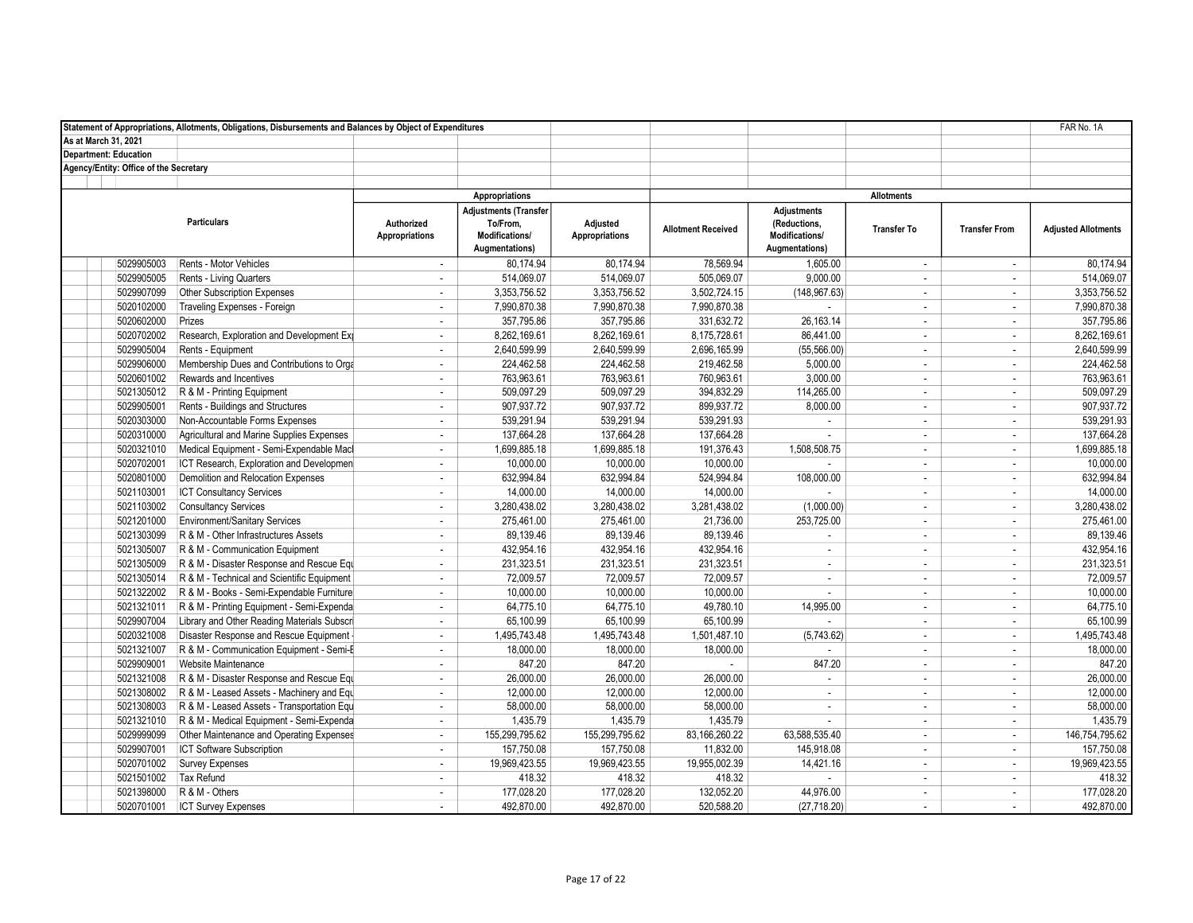|                                        | Statement of Appropriations, Allotments, Obligations, Disbursements and Balances by Object of Expenditures |                                     |                                                                              |                                   |                           |                                                                        |                    |                          | FAR No. 1A                 |
|----------------------------------------|------------------------------------------------------------------------------------------------------------|-------------------------------------|------------------------------------------------------------------------------|-----------------------------------|---------------------------|------------------------------------------------------------------------|--------------------|--------------------------|----------------------------|
| As at March 31, 2021                   |                                                                                                            |                                     |                                                                              |                                   |                           |                                                                        |                    |                          |                            |
| <b>Department: Education</b>           |                                                                                                            |                                     |                                                                              |                                   |                           |                                                                        |                    |                          |                            |
| Agency/Entity: Office of the Secretary |                                                                                                            |                                     |                                                                              |                                   |                           |                                                                        |                    |                          |                            |
|                                        |                                                                                                            |                                     |                                                                              |                                   |                           |                                                                        |                    |                          |                            |
|                                        |                                                                                                            | Appropriations                      |                                                                              |                                   |                           |                                                                        | <b>Allotments</b>  |                          |                            |
|                                        | <b>Particulars</b>                                                                                         | Authorized<br><b>Appropriations</b> | <b>Adjustments (Transfer</b><br>To/From,<br>Modifications/<br>Augmentations) | Adjusted<br><b>Appropriations</b> | <b>Allotment Received</b> | <b>Adjustments</b><br>(Reductions,<br>Modifications/<br>Augmentations) | <b>Transfer To</b> | <b>Transfer From</b>     | <b>Adjusted Allotments</b> |
| 5029905003                             | Rents - Motor Vehicles                                                                                     | $\mathbf{r}$                        | 80,174.94                                                                    | 80.174.94                         | 78,569.94                 | 1,605.00                                                               | $\sim$             | $\mathcal{L}$            | 80,174.94                  |
| 5029905005                             | <b>Rents - Living Quarters</b>                                                                             | ÷,                                  | 514,069.07                                                                   | 514,069.07                        | 505,069.07                | 9,000.00                                                               | ÷                  | $\sim$                   | 514,069.07                 |
| 5029907099                             | Other Subscription Expenses                                                                                | ÷,                                  | 3,353,756.52                                                                 | 3,353,756.52                      | 3,502,724.15              | (148, 967.63)                                                          | $\sim$             | $\sim$                   | 3,353,756.52               |
| 5020102000                             | Traveling Expenses - Foreign                                                                               | $\sim$                              | 7,990,870.38                                                                 | 7,990,870.38                      | 7,990,870.38              | ÷.                                                                     | $\overline{a}$     | $\mathcal{L}$            | 7,990,870.38               |
| 5020602000                             | Prizes                                                                                                     | ÷.                                  | 357.795.86                                                                   | 357,795.86                        | 331,632.72                | 26.163.14                                                              | $\sim$             | $\sim$                   | 357.795.86                 |
| 5020702002                             | Research, Exploration and Development Exp                                                                  | $\sim$                              | 8,262,169.61                                                                 | 8,262,169.61                      | 8,175,728.61              | 86,441.00                                                              | $\sim$             | $\sim$                   | 8,262,169.61               |
| 5029905004                             | Rents - Equipment                                                                                          | ÷                                   | 2,640,599.99                                                                 | 2,640,599.99                      | 2,696,165.99              | (55, 566.00)                                                           | $\sim$             | $\mathcal{L}$            | 2,640,599.99               |
| 5029906000                             | Membership Dues and Contributions to Orga                                                                  | ÷                                   | 224.462.58                                                                   | 224,462.58                        | 219,462.58                | 5,000.00                                                               | $\sim$             | $\sim$                   | 224,462.58                 |
| 5020601002                             | Rewards and Incentives                                                                                     | ÷.                                  | 763,963.61                                                                   | 763,963.61                        | 760,963.61                | 3,000.00                                                               | $\sim$             | $\sim$                   | 763,963.61                 |
| 5021305012                             | R & M - Printing Equipment                                                                                 | $\mathbf{r}$                        | 509,097.29                                                                   | 509,097.29                        | 394,832.29                | 114,265.00                                                             | $\sim$             | $\sim$                   | 509,097.29                 |
| 5029905001                             | Rents - Buildings and Structures                                                                           | $\sim$                              | 907,937.72                                                                   | 907,937.72                        | 899,937.72                | 8,000.00                                                               | $\sim$             | $\sim$                   | 907,937.72                 |
| 5020303000                             | Non-Accountable Forms Expenses                                                                             | $\sim$                              | 539.291.94                                                                   | 539,291.94                        | 539,291.93                | ÷.                                                                     | $\sim$             | $\sim$                   | 539,291.93                 |
| 5020310000                             | Agricultural and Marine Supplies Expenses                                                                  | $\sim$                              | 137,664.28                                                                   | 137,664.28                        | 137,664.28                | ÷.                                                                     | $\sim$             | $\sim$                   | 137,664.28                 |
| 5020321010                             | Medical Equipment - Semi-Expendable Macl                                                                   | ÷                                   | 1.699.885.18                                                                 | 1.699.885.18                      | 191.376.43                | 1.508.508.75                                                           | $\sim$             | $\sim$                   | 1,699,885.18               |
| 5020702001                             | ICT Research, Exploration and Developmen                                                                   | ÷,                                  | 10.000.00                                                                    | 10,000.00                         | 10,000.00                 | ÷.                                                                     | $\sim$             | $\sim$                   | 10,000.00                  |
| 5020801000                             | Demolition and Relocation Expenses                                                                         | ä,                                  | 632,994.84                                                                   | 632,994.84                        | 524,994.84                | 108,000.00                                                             | $\sim$             | $\sim$                   | 632,994.84                 |
| 5021103001                             | <b>ICT Consultancy Services</b>                                                                            | ×.                                  | 14,000.00                                                                    | 14,000.00                         | 14,000.00                 |                                                                        | $\sim$             | $\sim$                   | 14,000.00                  |
| 5021103002                             | <b>Consultancy Services</b>                                                                                | ÷                                   | 3,280,438.02                                                                 | 3,280,438.02                      | 3,281,438.02              | (1,000.00)                                                             | $\sim$             | $\sim$                   | 3,280,438.02               |
| 5021201000                             | Environment/Sanitary Services                                                                              | ÷                                   | 275,461.00                                                                   | 275,461.00                        | 21,736.00                 | 253,725.00                                                             | $\sim$             | $\sim$                   | 275,461.00                 |
| 5021303099                             | R & M - Other Infrastructures Assets                                                                       | ×.                                  | 89.139.46                                                                    | 89.139.46                         | 89.139.46                 | ÷.                                                                     | $\sim$             | $\sim$                   | 89.139.46                  |
| 5021305007                             | R & M - Communication Equipment                                                                            | $\blacksquare$                      | 432,954.16                                                                   | 432,954.16                        | 432,954.16                | ÷.                                                                     | $\sim$             | $\sim$                   | 432,954.16                 |
| 5021305009                             | R & M - Disaster Response and Rescue Equ                                                                   | $\overline{\phantom{a}}$            | 231,323.51                                                                   | 231,323.51                        | 231,323.51                | ÷,                                                                     | $\sim$             | $\mathcal{L}$            | 231,323.51                 |
| 5021305014                             | R & M - Technical and Scientific Equipment                                                                 | ×.                                  | 72,009.57                                                                    | 72,009.57                         | 72,009.57                 | ÷.                                                                     | $\sim$             | $\sim$                   | 72,009.57                  |
| 5021322002                             | R & M - Books - Semi-Expendable Furniture                                                                  | ÷                                   | 10,000.00                                                                    | 10,000.00                         | 10,000.00                 | ×.                                                                     | $\sim$             | $\sim$                   | 10,000.00                  |
| 5021321011                             | R & M - Printing Equipment - Semi-Expenda                                                                  | $\mathbf{r}$                        | 64,775.10                                                                    | 64,775.10                         | 49,780.10                 | 14,995.00                                                              | $\sim$             | $\omega$                 | 64,775.10                  |
| 5029907004                             | Library and Other Reading Materials Subscri                                                                | ÷                                   | 65,100.99                                                                    | 65,100.99                         | 65,100.99                 | $\sim$                                                                 | $\sim$             | $\sim$                   | 65,100.99                  |
| 5020321008                             | Disaster Response and Rescue Equipment                                                                     | ÷                                   | 1.495.743.48                                                                 | 1.495.743.48                      | 1,501,487.10              | (5,743.62)                                                             | $\sim$             | $\sim$                   | 1,495,743.48               |
| 5021321007                             | R & M - Communication Equipment - Semi-E                                                                   | $\overline{\phantom{a}}$            | 18,000.00                                                                    | 18,000.00                         | 18,000.00                 | ÷.                                                                     | $\sim$             | $\sim$                   | 18,000.00                  |
| 5029909001                             | Website Maintenance                                                                                        | ÷,                                  | 847.20                                                                       | 847.20                            | ÷                         | 847.20                                                                 | $\sim$             | $\sim$                   | 847.20                     |
| 5021321008                             | R & M - Disaster Response and Rescue Equ                                                                   | ÷                                   | 26,000.00                                                                    | 26,000.00                         | 26,000.00                 |                                                                        | $\sim$             | $\sim$                   | 26,000.00                  |
| 5021308002                             | R & M - Leased Assets - Machinery and Equ                                                                  | $\sim$                              | 12,000.00                                                                    | 12,000.00                         | 12,000.00                 | ÷.                                                                     | $\sim$             | $\sim$                   | 12,000.00                  |
| 5021308003                             | R & M - Leased Assets - Transportation Equ                                                                 | ÷                                   | 58,000.00                                                                    | 58,000.00                         | 58,000.00                 | ÷.                                                                     | $\sim$             | $\sim$                   | 58,000.00                  |
| 5021321010                             | R & M - Medical Equipment - Semi-Expenda                                                                   | $\sim$                              | 1.435.79                                                                     | 1.435.79                          | 1.435.79                  |                                                                        | $\sim$             | $\overline{\phantom{a}}$ | 1,435.79                   |
| 5029999099                             | Other Maintenance and Operating Expenses                                                                   | $\mathbf{r}$                        | 155,299,795.62                                                               | 155,299,795.62                    | 83,166,260.22             | 63,588,535.40                                                          | $\sim$             | $\sim$                   | 146,754,795.62             |
| 5029907001                             | ICT Software Subscription                                                                                  | $\blacksquare$                      | 157,750.08                                                                   | 157,750.08                        | 11,832.00                 | 145,918.08                                                             | $\sim$             | $\sim$                   | 157,750.08                 |
| 5020701002                             | Survey Expenses                                                                                            | ×.                                  | 19,969,423.55                                                                | 19,969,423.55                     | 19,955,002.39             | 14,421.16                                                              | $\sim$             | $\sim$                   | 19,969,423.55              |
| 5021501002                             | <b>Tax Refund</b>                                                                                          | ÷                                   | 418.32                                                                       | 418.32                            | 418.32                    |                                                                        | $\sim$             | $\sim$                   | 418.32                     |
| 5021398000                             | R & M - Others                                                                                             | ÷                                   | 177,028.20                                                                   | 177,028.20                        | 132,052.20                | 44,976.00                                                              | $\sim$             | $\sim$                   | 177,028.20                 |
| 5020701001                             | <b>ICT Survey Expenses</b>                                                                                 | $\sim$                              | 492.870.00                                                                   | 492.870.00                        | 520.588.20                | (27, 718.20)                                                           | $\sim$             | $\sim$                   | 492.870.00                 |
|                                        |                                                                                                            |                                     |                                                                              |                                   |                           |                                                                        |                    |                          |                            |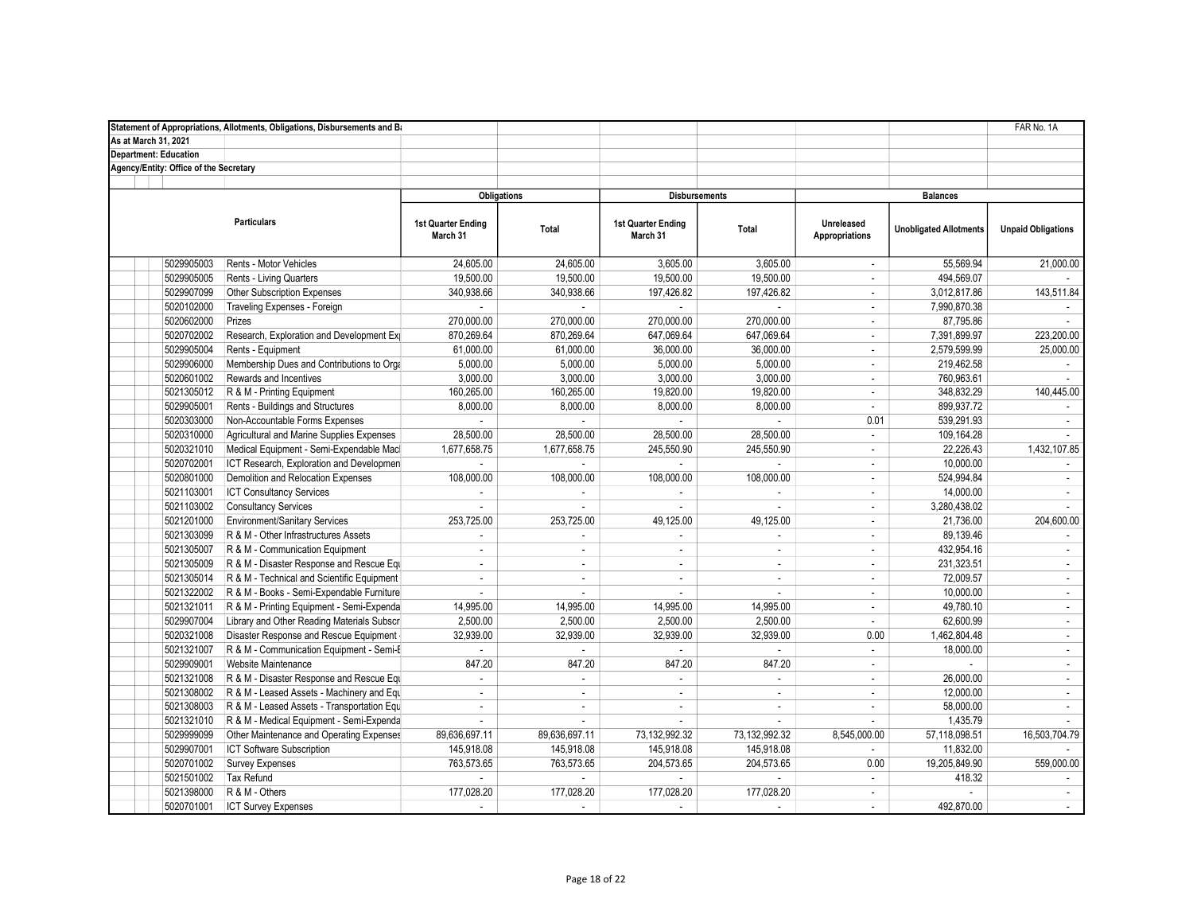|                                        | Statement of Appropriations, Allotments, Obligations, Disbursements and Ba |                                       |                             |                                       |                      |                              |                               | FAR No. 1A                |
|----------------------------------------|----------------------------------------------------------------------------|---------------------------------------|-----------------------------|---------------------------------------|----------------------|------------------------------|-------------------------------|---------------------------|
| As at March 31, 2021                   |                                                                            |                                       |                             |                                       |                      |                              |                               |                           |
| <b>Department: Education</b>           |                                                                            |                                       |                             |                                       |                      |                              |                               |                           |
| Agency/Entity: Office of the Secretary |                                                                            |                                       |                             |                                       |                      |                              |                               |                           |
|                                        |                                                                            |                                       |                             |                                       |                      |                              |                               |                           |
|                                        |                                                                            |                                       | <b>Obligations</b>          |                                       | <b>Disbursements</b> | <b>Balances</b>              |                               |                           |
|                                        | <b>Particulars</b>                                                         | <b>1st Quarter Ending</b><br>March 31 | Total                       | <b>1st Quarter Ending</b><br>March 31 | Total                | Unreleased<br>Appropriations | <b>Unobligated Allotments</b> | <b>Unpaid Obligations</b> |
| 5029905003                             | Rents - Motor Vehicles                                                     | 24,605.00                             | 24,605.00                   | 3,605.00                              | 3,605.00             | $\mathbf{r}$                 | 55,569.94                     | 21,000.00                 |
| 5029905005                             | Rents - Living Quarters                                                    | 19,500.00                             | 19,500.00                   | 19,500.00                             | 19,500.00            | ÷.                           | 494,569.07                    |                           |
| 5029907099                             | Other Subscription Expenses                                                | 340,938.66                            | 340,938.66                  | 197,426.82                            | 197,426.82           | ÷.                           | 3,012,817.86                  | 143,511.84                |
| 5020102000                             | Traveling Expenses - Foreign                                               |                                       | ÷.                          |                                       |                      | ÷                            | 7,990,870.38                  |                           |
| 5020602000                             | Prizes                                                                     | 270,000.00                            | 270,000.00                  | 270,000.00                            | 270,000.00           | $\overline{\phantom{a}}$     | 87,795.86                     |                           |
| 5020702002                             | Research, Exploration and Development Exp                                  | 870,269.64                            | 870,269.64                  | 647,069.64                            | 647,069.64           | ÷.                           | 7,391,899.97                  | 223,200.00                |
| 5029905004                             | Rents - Equipment                                                          | 61,000.00                             | 61,000.00                   | 36,000.00                             | 36,000.00            | ÷.                           | 2,579,599.99                  | 25,000.00                 |
| 5029906000                             | Membership Dues and Contributions to Orga                                  | 5,000.00                              | 5,000.00                    | 5,000.00                              | 5,000.00             | ÷.                           | 219,462.58                    | $\mathbf{r}$              |
| 5020601002                             | Rewards and Incentives                                                     | 3,000.00                              | 3,000.00                    | 3,000.00                              | 3,000.00             | $\mathcal{L}$                | 760,963.61                    |                           |
| 5021305012                             | R & M - Printing Equipment                                                 | 160,265.00                            | 160,265.00                  | 19,820.00                             | 19,820.00            | ÷.                           | 348,832.29                    | 140,445.00                |
| 5029905001                             | Rents - Buildings and Structures                                           | 8,000.00                              | 8,000.00                    | 8,000.00                              | 8,000.00             | ÷.                           | 899,937.72                    |                           |
| 5020303000                             | Non-Accountable Forms Expenses                                             |                                       |                             | ×.                                    | $\mathcal{L}$        | 0.01                         | 539,291.93                    | $\sim$                    |
| 5020310000                             | Agricultural and Marine Supplies Expenses                                  | 28,500.00                             | 28,500.00                   | 28,500.00                             | 28,500.00            | $\mathbf{r}$                 | 109,164.28                    |                           |
| 5020321010                             | Medical Equipment - Semi-Expendable Macl                                   | 1.677.658.75                          | 1.677.658.75                | 245.550.90                            | 245.550.90           | ÷                            | 22.226.43                     | 1,432,107.85              |
| 5020702001                             | ICT Research, Exploration and Developmen                                   |                                       |                             |                                       |                      | ÷.                           | 10,000.00                     |                           |
| 5020801000                             | Demolition and Relocation Expenses                                         | 108,000.00                            | 108,000.00                  | 108,000.00                            | 108,000.00           | ÷.                           | 524,994.84                    |                           |
| 5021103001                             | <b>ICT Consultancy Services</b>                                            |                                       | ×.                          |                                       |                      | $\mathbf{r}$                 | 14,000.00                     | $\mathbf{r}$              |
| 5021103002                             | <b>Consultancy Services</b>                                                |                                       |                             |                                       |                      | $\sim$                       | 3,280,438.02                  |                           |
| 5021201000                             | Environment/Sanitary Services                                              | 253,725.00                            | 253,725.00                  | 49,125.00                             | 49,125.00            | $\overline{\phantom{a}}$     | 21,736.00                     | 204,600.00                |
| 5021303099                             | R & M - Other Infrastructures Assets                                       |                                       |                             | $\mathbf{r}$                          |                      | ÷.                           | 89,139.46                     |                           |
| 5021305007                             | R & M - Communication Equipment                                            | ä,                                    | $\mathcal{L}_{\mathcal{A}}$ | $\mathcal{L}_{\mathcal{A}}$           | $\omega$             | ÷.                           | 432,954.16                    | $\mathbf{r}$              |
| 5021305009                             | R & M - Disaster Response and Rescue Equ                                   | ÷.                                    | $\blacksquare$              | $\mathbf{r}$                          | $\omega$             | ÷.                           | 231,323.51                    | $\mathbf{r}$              |
| 5021305014                             | R & M - Technical and Scientific Equipment                                 | $\sim$                                | $\sim$                      | $\sim$                                | $\mathcal{L}$        | ÷                            | 72,009.57                     | $\sim$                    |
| 5021322002                             | R & M - Books - Semi-Expendable Furniture                                  | ×.                                    | $\mathcal{L}$               | $\mathbf{r}$                          | $\sim$               | ×.                           | 10,000.00                     | $\mathcal{L}$             |
| 5021321011                             | R & M - Printing Equipment - Semi-Expenda                                  | 14,995.00                             | 14,995.00                   | 14,995.00                             | 14,995.00            | ÷.                           | 49,780.10                     | $\sim$                    |
| 5029907004                             | Library and Other Reading Materials Subscri                                | 2,500.00                              | 2,500.00                    | 2,500.00                              | 2,500.00             | ÷.                           | 62,600.99                     | $\sim$                    |
| 5020321008                             | Disaster Response and Rescue Equipment -                                   | 32,939.00                             | 32,939.00                   | 32,939.00                             | 32,939.00            | 0.00                         | 1,462,804.48                  | $\mathcal{L}$             |
| 5021321007                             | R & M - Communication Equipment - Semi-E                                   |                                       |                             |                                       |                      | ÷.                           | 18,000.00                     | $\mathbf{r}$              |
| 5029909001                             | Website Maintenance                                                        | 847.20                                | 847.20                      | 847.20                                | 847.20               | ÷                            | ÷.                            |                           |
| 5021321008                             | R & M - Disaster Response and Rescue Equ                                   |                                       | ÷.                          |                                       |                      | ÷.                           | 26,000.00                     | $\sim$                    |
| 5021308002                             | R & M - Leased Assets - Machinery and Equ                                  | ×.                                    | ×.                          | $\sim$                                | ÷.                   | ÷.                           | 12,000.00                     | $\sim$                    |
| 5021308003                             | R & M - Leased Assets - Transportation Equ                                 | $\sim$                                | $\sim$                      | $\sim$                                | $\sim$               | ÷.                           | 58,000.00                     | $\sim$                    |
| 5021321010                             | R & M - Medical Equipment - Semi-Expenda                                   |                                       | ÷                           |                                       | $\sim$               |                              | 1,435.79                      |                           |
| 5029999099                             | Other Maintenance and Operating Expenses                                   | 89,636,697.11                         | 89,636,697.11               | 73,132,992.32                         | 73, 132, 992. 32     | 8,545,000.00                 | 57,118,098.51                 | 16,503,704.79             |
| 5029907001                             | ICT Software Subscription                                                  | 145,918.08                            | 145,918.08                  | 145,918.08                            | 145,918.08           |                              | 11,832.00                     |                           |
| 5020701002                             | Survey Expenses                                                            | 763,573.65                            | 763,573.65                  | 204,573.65                            | 204,573.65           | 0.00                         | 19,205,849.90                 | 559,000.00                |
| 5021501002                             | <b>Tax Refund</b>                                                          |                                       |                             |                                       |                      | ÷.                           | 418.32                        |                           |
| 5021398000                             | R & M - Others                                                             | 177,028.20                            | 177,028.20                  | 177,028.20                            | 177,028.20           | ÷.                           |                               | $\sim$                    |
| 5020701001                             | <b>ICT Survey Expenses</b>                                                 | $\sim$                                | $\sim$                      |                                       | $\sim$               | ÷.                           | 492.870.00                    | $\sim$                    |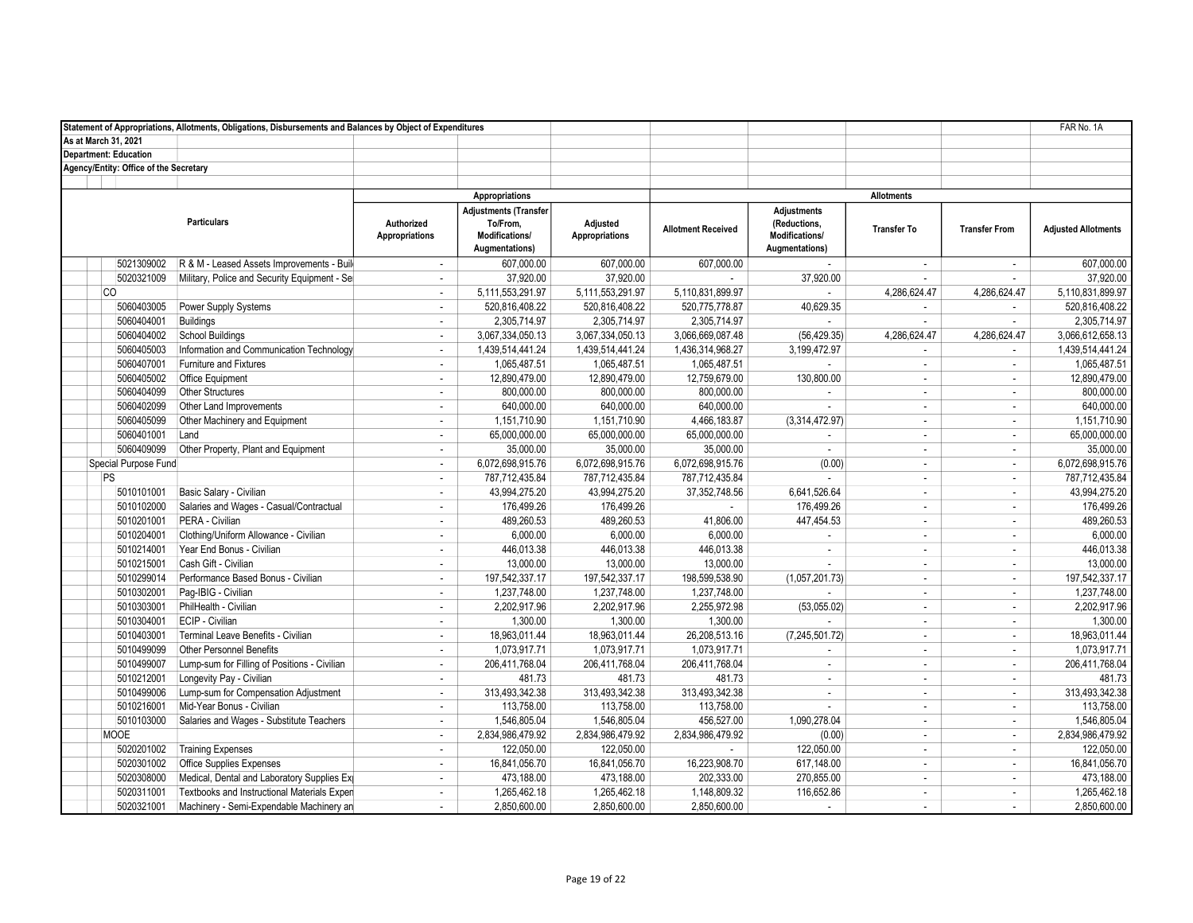|                                        | Statement of Appropriations, Allotments, Obligations, Disbursements and Balances by Object of Expenditures |                                     |                                                                              |                                   |                           |                                                                        |                    |                             | FAR No. 1A                 |
|----------------------------------------|------------------------------------------------------------------------------------------------------------|-------------------------------------|------------------------------------------------------------------------------|-----------------------------------|---------------------------|------------------------------------------------------------------------|--------------------|-----------------------------|----------------------------|
| As at March 31, 2021                   |                                                                                                            |                                     |                                                                              |                                   |                           |                                                                        |                    |                             |                            |
| <b>Department: Education</b>           |                                                                                                            |                                     |                                                                              |                                   |                           |                                                                        |                    |                             |                            |
| Agency/Entity: Office of the Secretary |                                                                                                            |                                     |                                                                              |                                   |                           |                                                                        |                    |                             |                            |
|                                        |                                                                                                            |                                     |                                                                              |                                   |                           |                                                                        |                    |                             |                            |
|                                        |                                                                                                            |                                     | Appropriations                                                               |                                   |                           |                                                                        | <b>Allotments</b>  |                             |                            |
|                                        | <b>Particulars</b>                                                                                         | Authorized<br><b>Appropriations</b> | <b>Adjustments (Transfer</b><br>To/From,<br>Modifications/<br>Augmentations) | Adjusted<br><b>Appropriations</b> | <b>Allotment Received</b> | <b>Adjustments</b><br>(Reductions,<br>Modifications/<br>Augmentations) | <b>Transfer To</b> | <b>Transfer From</b>        | <b>Adjusted Allotments</b> |
| 5021309002                             | R & M - Leased Assets Improvements - Build                                                                 | $\mathbf{r}$                        | 607.000.00                                                                   | 607.000.00                        | 607,000.00                |                                                                        | $\sim$             | $\mathbf{r}$                | 607,000.00                 |
| 5020321009                             | Military, Police and Security Equipment - Sel                                                              |                                     | 37,920.00                                                                    | 37,920.00                         |                           | 37,920.00                                                              | $\sim$             | ×.                          | 37,920.00                  |
| CO.                                    |                                                                                                            | ÷.                                  | 5,111,553,291.97                                                             | 5,111,553,291.97                  | 5,110,831,899.97          |                                                                        | 4,286,624.47       | 4,286,624.47                | 5.110.831.899.97           |
| 5060403005                             | Power Supply Systems                                                                                       | $\sim$                              | 520,816,408.22                                                               | 520,816,408.22                    | 520,775,778.87            | 40,629.35                                                              | $\sim$             | $\sim$                      | 520,816,408.22             |
| 5060404001                             | <b>Buildings</b>                                                                                           | $\overline{\phantom{a}}$            | 2,305,714.97                                                                 | 2,305,714.97                      | 2,305,714.97              |                                                                        | $\sim$             |                             | 2,305,714.97               |
| 5060404002                             | <b>School Buildings</b>                                                                                    | ×.                                  | 3,067,334,050.13                                                             | 3,067,334,050.13                  | 3,066,669,087.48          | (56, 429.35)                                                           | 4.286.624.47       | 4,286,624.47                | 3,066,612,658.13           |
| 5060405003                             | Information and Communication Technology                                                                   | $\overline{\phantom{a}}$            | 1,439,514,441.24                                                             | 1,439,514,441.24                  | 1,436,314,968.27          | 3,199,472.97                                                           | $\sim$             | $\mathcal{L}_{\mathcal{A}}$ | 1,439,514,441.24           |
| 5060407001                             | Furniture and Fixtures                                                                                     | $\mathbf{r}$                        | 1,065,487.51                                                                 | 1,065,487.51                      | 1,065,487.51              | ÷.                                                                     | $\sim$             | $\mathcal{L}$               | 1,065,487.51               |
| 5060405002                             | <b>Office Equipment</b>                                                                                    | $\mathbf{r}$                        | 12,890,479.00                                                                | 12,890,479.00                     | 12,759,679.00             | 130,800.00                                                             | $\sim$             | $\mathbf{r}$                | 12,890,479.00              |
| 5060404099                             | <b>Other Structures</b>                                                                                    | ÷                                   | 800,000.00                                                                   | 800,000.00                        | 800,000.00                | ÷                                                                      | $\sim$             | $\sim$                      | 800,000.00                 |
| 5060402099                             | Other Land Improvements                                                                                    | ÷.                                  | 640,000.00                                                                   | 640,000.00                        | 640,000.00                | $\sim$                                                                 | $\sim$             | $\mathcal{L}_{\mathcal{A}}$ | 640,000.00                 |
| 5060405099                             | Other Machinery and Equipment                                                                              | ÷                                   | 1,151,710.90                                                                 | 1,151,710.90                      | 4,466,183.87              | (3,314,472.97)                                                         | $\sim$             | $\sim$                      | 1,151,710.90               |
| 5060401001                             | Land                                                                                                       | ÷                                   | 65.000.000.00                                                                | 65,000,000.00                     | 65,000,000.00             | $\sim$                                                                 | $\sim$             | ÷                           | 65,000,000.00              |
| 5060409099                             | Other Property, Plant and Equipment                                                                        | ×.                                  | 35,000.00                                                                    | 35,000.00                         | 35,000.00                 | $\sim$                                                                 | $\sim$             | $\mathbf{r}$                | 35,000.00                  |
| Special Purpose Fund                   |                                                                                                            | ÷,                                  | 6,072,698,915.76                                                             | 6,072,698,915.76                  | 6,072,698,915.76          | (0.00)                                                                 | $\sim$             | $\mathcal{L}_{\mathcal{A}}$ | 6,072,698,915.76           |
| PS                                     |                                                                                                            | ×.                                  | 787,712,435.84                                                               | 787,712,435.84                    | 787,712,435.84            |                                                                        | $\sim$             | $\sim$                      | 787,712,435.84             |
| 5010101001                             | Basic Salary - Civilian                                                                                    | ÷.                                  | 43,994,275.20                                                                | 43,994,275.20                     | 37, 352, 748.56           | 6,641,526.64                                                           | $\sim$             | $\sim$                      | 43,994,275.20              |
| 5010102000                             | Salaries and Wages - Casual/Contractual                                                                    | ÷,                                  | 176,499.26                                                                   | 176,499.26                        | $\sim$                    | 176,499.26                                                             | $\sim$             | $\mathcal{L}_{\mathcal{A}}$ | 176,499.26                 |
| 5010201001                             | PERA - Civilian                                                                                            | ÷                                   | 489,260.53                                                                   | 489,260.53                        | 41,806.00                 | 447,454.53                                                             | $\sim$             | ÷                           | 489,260.53                 |
| 5010204001                             | Clothing/Uniform Allowance - Civilian                                                                      | $\blacksquare$                      | 6,000.00                                                                     | 6,000.00                          | 6,000.00                  | ÷                                                                      | $\sim$             | $\mathbf{r}$                | 6,000.00                   |
| 5010214001                             | Year End Bonus - Civilian                                                                                  | $\mathbf{r}$                        | 446,013.38                                                                   | 446,013.38                        | 446,013.38                | $\sim$                                                                 | $\sim$             | $\mathcal{L}_{\mathcal{A}}$ | 446,013.38                 |
| 5010215001                             | Cash Gift - Civilian                                                                                       | ÷.                                  | 13,000.00                                                                    | 13,000.00                         | 13,000.00                 | ×.                                                                     | $\sim$             | $\mathbf{r}$                | 13,000.00                  |
| 5010299014                             | Performance Based Bonus - Civilian                                                                         | ×.                                  | 197,542,337.17                                                               | 197,542,337.17                    | 198,599,538.90            | (1,057,201.73)                                                         | $\sim$             | $\blacksquare$              | 197,542,337.17             |
| 5010302001                             | Pag-IBIG - Civilian                                                                                        | ÷                                   | 1,237,748.00                                                                 | 1,237,748.00                      | 1,237,748.00              |                                                                        | $\sim$             | $\mathcal{L}$               | 1,237,748.00               |
| 5010303001                             | PhilHealth - Civilian                                                                                      | $\sim$                              | 2,202,917.96                                                                 | 2,202,917.96                      | 2,255,972.98              | (53,055.02)                                                            | $\sim$             | $\sim$                      | 2,202,917.96               |
| 5010304001                             | <b>ECIP</b> - Civilian                                                                                     | ÷                                   | 1,300.00                                                                     | 1,300.00                          | 1,300.00                  | $\sim$                                                                 | $\sim$             | $\sim$                      | 1,300.00                   |
| 5010403001                             | Terminal Leave Benefits - Civilian                                                                         | ×.                                  | 18,963,011.44                                                                | 18,963,011.44                     | 26,208,513.16             | (7, 245, 501.72)                                                       | $\sim$             | $\mathbf{r}$                | 18,963,011.44              |
| 5010499099                             | <b>Other Personnel Benefits</b>                                                                            | $\overline{\phantom{a}}$            | 1,073,917.71                                                                 | 1,073,917.71                      | 1,073,917.71              | ×.                                                                     | $\sim$             | $\mathcal{L}_{\mathcal{A}}$ | 1,073,917.71               |
| 5010499007                             | Lump-sum for Filling of Positions - Civilian                                                               | ÷.                                  | 206,411,768.04                                                               | 206.411.768.04                    | 206,411,768.04            | ÷.                                                                     | $\sim$             | ÷                           | 206,411,768.04             |
| 5010212001                             | Longevity Pay - Civilian                                                                                   | $\sim$                              | 481.73                                                                       | 481.73                            | 481.73                    | $\sim$                                                                 | $\sim$             | ÷                           | 481.73                     |
| 5010499006                             | Lump-sum for Compensation Adjustment                                                                       | ÷,                                  | 313,493,342.38                                                               | 313,493,342.38                    | 313,493,342.38            | ÷                                                                      | $\sim$             | $\mathcal{L}_{\mathcal{A}}$ | 313,493,342.38             |
| 5010216001                             | Mid-Year Bonus - Civilian                                                                                  | ×.                                  | 113,758.00                                                                   | 113,758.00                        | 113,758.00                | $\sim$                                                                 | $\sim$             | ÷                           | 113,758.00                 |
| 5010103000                             | Salaries and Wages - Substitute Teachers                                                                   | $\overline{\phantom{a}}$            | 1,546,805.04                                                                 | 1,546,805.04                      | 456,527.00                | 1,090,278.04                                                           | $\sim$             | $\mathbf{r}$                | 1,546,805.04               |
| <b>MOOE</b>                            |                                                                                                            | ÷,                                  | 2,834,986,479.92                                                             | 2,834,986,479.92                  | 2,834,986,479.92          | (0.00)                                                                 | $\sim$             | $\mathcal{L}_{\mathcal{A}}$ | 2,834,986,479.92           |
| 5020201002                             | <b>Training Expenses</b>                                                                                   | ÷,                                  | 122,050.00                                                                   | 122,050.00                        |                           | 122,050.00                                                             | $\sim$             | $\mathbf{r}$                | 122,050.00                 |
| 5020301002                             | <b>Office Supplies Expenses</b>                                                                            | $\overline{\phantom{a}}$            | 16,841,056.70                                                                | 16,841,056.70                     | 16,223,908.70             | 617,148.00                                                             | $\sim$             | $\sim$                      | 16,841,056.70              |
| 5020308000                             | Medical, Dental and Laboratory Supplies Ex                                                                 | ÷                                   | 473,188.00                                                                   | 473,188.00                        | 202,333.00                | 270,855.00                                                             | $\sim$             | $\sim$                      | 473,188.00                 |
| 5020311001                             | Textbooks and Instructional Materials Expen                                                                | $\omega$                            | 1,265,462.18                                                                 | 1,265,462.18                      | 1,148,809.32              | 116,652.86                                                             | $\sim$             | ÷.                          | 1,265,462.18               |
| 5020321001                             | Machinery - Semi-Expendable Machinery an                                                                   | $\sim$                              | 2,850,600.00                                                                 | 2,850,600.00                      | 2,850,600.00              | $\sim$                                                                 | $\sim$             | $\sim$                      | 2,850,600.00               |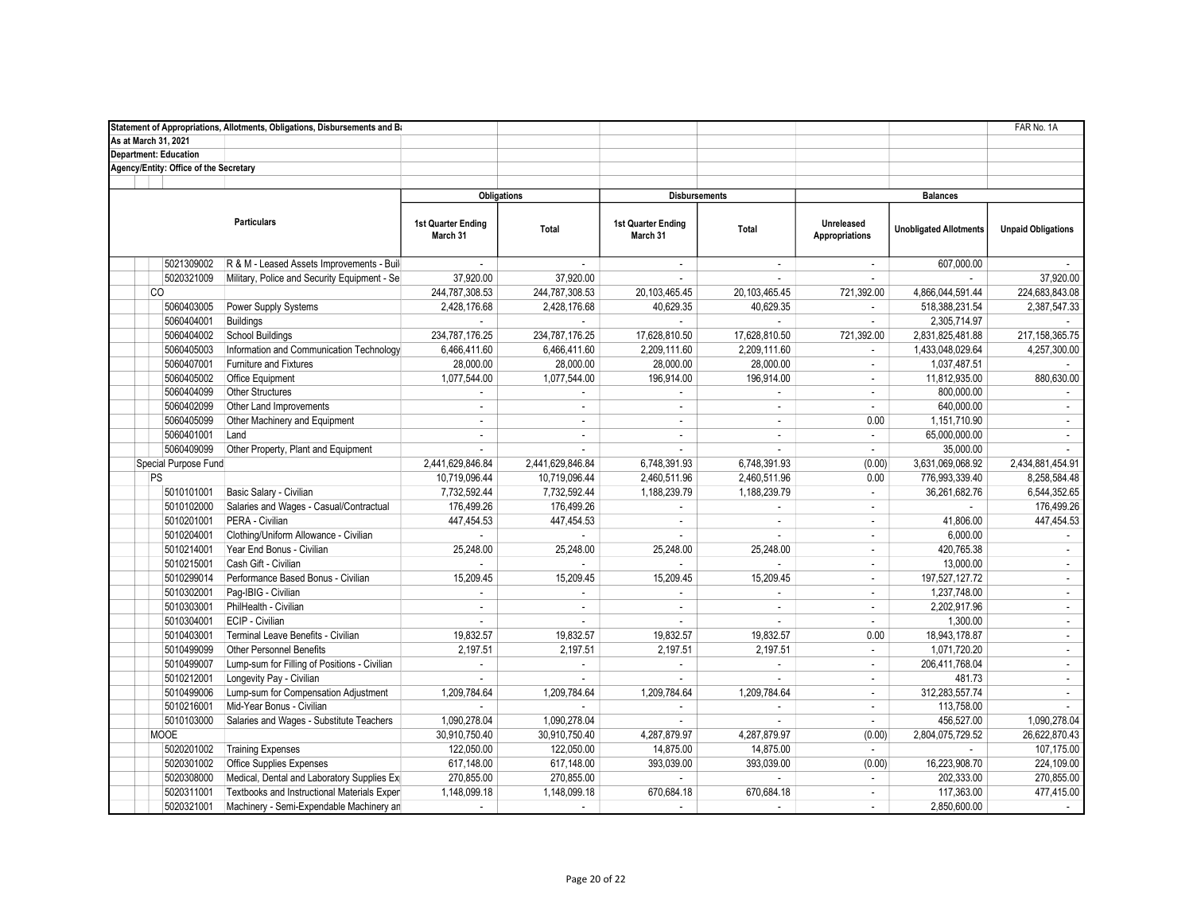|                                        | Statement of Appropriations, Allotments, Obligations, Disbursements and Ba |                                |                  |                                |                      |                              |                               | FAR No. 1A                  |
|----------------------------------------|----------------------------------------------------------------------------|--------------------------------|------------------|--------------------------------|----------------------|------------------------------|-------------------------------|-----------------------------|
| As at March 31, 2021                   |                                                                            |                                |                  |                                |                      |                              |                               |                             |
| <b>Department: Education</b>           |                                                                            |                                |                  |                                |                      |                              |                               |                             |
| Agency/Entity: Office of the Secretary |                                                                            |                                |                  |                                |                      |                              |                               |                             |
|                                        |                                                                            |                                |                  |                                |                      |                              |                               |                             |
|                                        |                                                                            | <b>Obligations</b>             |                  |                                | <b>Disbursements</b> |                              | <b>Balances</b>               |                             |
|                                        | <b>Particulars</b>                                                         | 1st Quarter Ending<br>March 31 | Total            | 1st Quarter Ending<br>March 31 | Total                | Unreleased<br>Appropriations | <b>Unobligated Allotments</b> | <b>Unpaid Obligations</b>   |
| 5021309002                             | R & M - Leased Assets Improvements - Build                                 |                                |                  | $\sim$                         | $\sim$               | ÷                            | 607,000.00                    |                             |
| 5020321009                             | Military, Police and Security Equipment - Sel                              | 37,920.00                      | 37,920.00        | $\sim$                         |                      | ×.                           |                               | 37,920.00                   |
| <b>CO</b>                              |                                                                            | 244,787,308.53                 | 244,787,308.53   | 20,103,465.45                  | 20,103,465.45        | 721,392.00                   | 4,866,044,591.44              | 224,683,843.08              |
| 5060403005                             | Power Supply Systems                                                       | 2,428,176.68                   | 2,428,176.68     | 40,629.35                      | 40,629.35            | $\mathbf{r}$                 | 518,388,231.54                | 2,387,547.33                |
| 5060404001                             | <b>Buildings</b>                                                           |                                |                  |                                |                      | $\mathbf{r}$                 | 2,305,714.97                  |                             |
| 5060404002                             | School Buildings                                                           | 234,787,176.25                 | 234,787,176.25   | 17,628,810.50                  | 17,628,810.50        | 721,392.00                   | 2,831,825,481.88              | 217, 158, 365. 75           |
| 5060405003                             | Information and Communication Technology                                   | 6,466,411.60                   | 6,466,411.60     | 2,209,111.60                   | 2,209,111.60         | $\overline{\phantom{a}}$     | 1,433,048,029.64              | 4,257,300.00                |
| 5060407001                             | Furniture and Fixtures                                                     | 28,000.00                      | 28,000.00        | 28,000.00                      | 28,000.00            | $\mathcal{L}^{\mathcal{L}}$  | 1,037,487.51                  |                             |
| 5060405002                             | <b>Office Equipment</b>                                                    | 1,077,544.00                   | 1,077,544.00     | 196,914.00                     | 196,914.00           | $\omega$                     | 11,812,935.00                 | 880,630.00                  |
| 5060404099                             | Other Structures                                                           | ×.                             | $\sim$           | $\sim$                         | $\sim$               | $\sim$                       | 800,000.00                    |                             |
| 5060402099                             | Other Land Improvements                                                    | ÷.                             | $\sim$           | $\sim$                         | $\sim$               | $\blacksquare$               | 640,000.00                    | $\sim$                      |
| 5060405099                             | Other Machinery and Equipment                                              | ÷.                             | $\mathbf{r}$     | $\sim$                         | $\sim$               | 0.00                         | 1,151,710.90                  | $\mathcal{L}$               |
| 5060401001                             | Land                                                                       | ÷.                             | ÷.               | $\sim$                         | $\sim$               | $\mathbf{r}$                 | 65,000,000.00                 | $\omega$                    |
| 5060409099                             | Other Property, Plant and Equipment                                        | ×.                             | ÷.               | $\sim$                         |                      | $\sim$                       | 35,000.00                     |                             |
| Special Purpose Fund                   |                                                                            | 2,441,629,846.84               | 2,441,629,846.84 | 6,748,391.93                   | 6,748,391.93         | (0.00)                       | 3,631,069,068.92              | 2,434,881,454.91            |
| PS                                     |                                                                            | 10,719,096.44                  | 10,719,096.44    | 2,460,511.96                   | 2,460,511.96         | 0.00                         | 776,993,339.40                | 8,258,584.48                |
| 5010101001                             | Basic Salary - Civilian                                                    | 7,732,592.44                   | 7,732,592.44     | 1,188,239.79                   | 1,188,239.79         | $\blacksquare$               | 36,261,682.76                 | 6,544,352.65                |
| 5010102000                             | Salaries and Wages - Casual/Contractual                                    | 176,499.26                     | 176,499.26       | $\mathbf{r}$                   |                      | $\mathcal{L}$                | $\sim$                        | 176,499.26                  |
| 5010201001                             | PERA - Civilian                                                            | 447,454.53                     | 447,454.53       | $\sim$                         | $\omega$             | $\mathbf{r}$                 | 41,806.00                     | 447,454.53                  |
| 5010204001                             | Clothing/Uniform Allowance - Civilian                                      |                                |                  |                                | ×.                   | $\overline{\phantom{a}}$     | 6,000.00                      |                             |
| 5010214001                             | Year End Bonus - Civilian                                                  | 25,248.00                      | 25,248.00        | 25,248.00                      | 25,248.00            | $\mathcal{L}$                | 420,765.38                    | $\mathcal{L}$               |
| 5010215001                             | Cash Gift - Civilian                                                       | ×.                             | ÷.               | ×.                             |                      | $\mathbf{r}$                 | 13,000.00                     | $\sim$                      |
| 5010299014                             | Performance Based Bonus - Civilian                                         | 15,209.45                      | 15,209.45        | 15,209.45                      | 15,209.45            | $\sim$                       | 197, 527, 127. 72             | $\sim$                      |
| 5010302001                             | Pag-IBIG - Civilian                                                        | $\sim$                         | $\sim$           | $\sim$                         | $\sim$               | ÷                            | 1,237,748.00                  | $\mathbf{r}$                |
| 5010303001                             | PhilHealth - Civilian                                                      | $\sim$                         | ×.               | $\sim$                         | $\sim$               | $\blacksquare$               | 2,202,917.96                  | $\mathcal{L}$               |
| 5010304001                             | <b>ECIP</b> - Civilian                                                     | ×.                             | $\mathbf{r}$     | $\sim$                         | $\sim$               | $\mathbf{r}$                 | 1,300.00                      | $\mathbf{r}$                |
| 5010403001                             | Terminal Leave Benefits - Civilian                                         | 19,832.57                      | 19,832.57        | 19,832.57                      | 19,832.57            | 0.00                         | 18,943,178.87                 | $\omega$                    |
| 5010499099                             | Other Personnel Benefits                                                   | 2,197.51                       | 2,197.51         | 2,197.51                       | 2,197.51             | $\overline{\phantom{a}}$     | 1,071,720.20                  | $\blacksquare$              |
| 5010499007                             | Lump-sum for Filling of Positions - Civilian                               | ×.                             | ÷.               | ×.                             | ×.                   | $\mathbf{r}$                 | 206,411,768.04                | ÷.                          |
| 5010212001                             | Longevity Pay - Civilian                                                   | $\sim$                         | ÷.               |                                | $\sim$               | ÷                            | 481.73                        | $\mathcal{L}_{\mathcal{A}}$ |
| 5010499006                             | Lump-sum for Compensation Adjustment                                       | 1,209,784.64                   | 1,209,784.64     | 1,209,784.64                   | 1,209,784.64         | ÷                            | 312,283,557.74                | $\mathbf{r}$                |
| 5010216001                             | Mid-Year Bonus - Civilian                                                  |                                |                  |                                | $\mathbf{r}$         | $\overline{\phantom{a}}$     | 113,758.00                    |                             |
| 5010103000                             | Salaries and Wages - Substitute Teachers                                   | 1,090,278.04                   | 1,090,278.04     |                                |                      | $\mathbf{r}$                 | 456,527.00                    | 1,090,278.04                |
| <b>MOOE</b>                            |                                                                            | 30,910,750.40                  | 30,910,750.40    | 4,287,879.97                   | 4,287,879.97         | (0.00)                       | 2,804,075,729.52              | 26,622,870.43               |
| 5020201002                             | <b>Training Expenses</b>                                                   | 122,050.00                     | 122,050.00       | 14,875.00                      | 14,875.00            | $\sim$                       |                               | 107,175.00                  |
| 5020301002                             | <b>Office Supplies Expenses</b>                                            | 617,148.00                     | 617,148.00       | 393,039.00                     | 393,039.00           | (0.00)                       | 16,223,908.70                 | 224,109.00                  |
| 5020308000                             | Medical, Dental and Laboratory Supplies Ex                                 | 270,855.00                     | 270,855.00       |                                |                      | $\sim$                       | 202,333.00                    | 270,855.00                  |
| 5020311001                             | Textbooks and Instructional Materials Expen                                | 1,148,099.18                   | 1,148,099.18     | 670,684.18                     | 670,684.18           | $\mathcal{L}_{\mathcal{A}}$  | 117,363.00                    | 477,415.00                  |
| 5020321001                             | Machinery - Semi-Expendable Machinery an                                   | $\sim$                         | $\sim$           | $\sim$                         | $\sim$               | $\overline{\phantom{a}}$     | 2.850.600.00                  | $\sim$                      |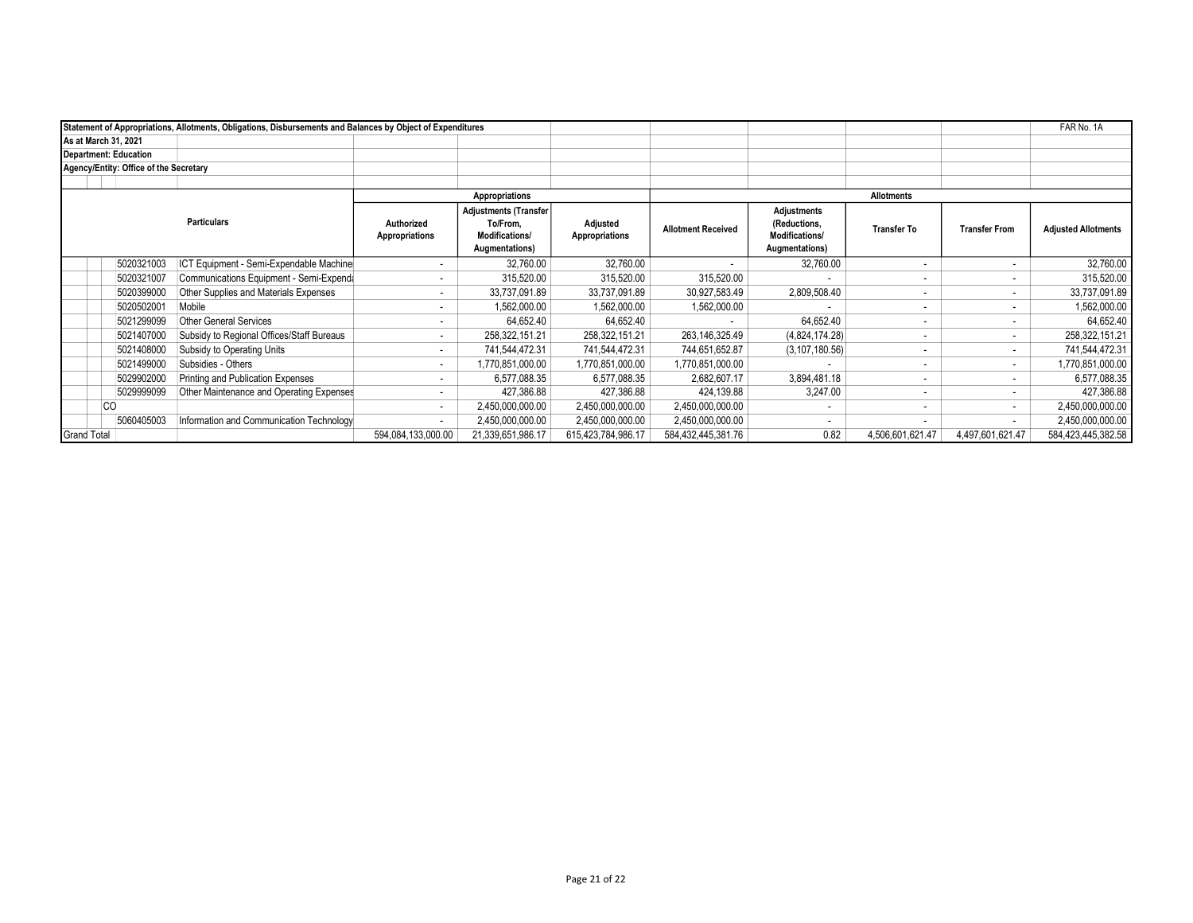|                    |                                        | Statement of Appropriations, Allotments, Obligations, Disbursements and Balances by Object of Expenditures |                                                                                     |                            |                           |                                                                 |                    |                          |                            | FAR No. 1A         |
|--------------------|----------------------------------------|------------------------------------------------------------------------------------------------------------|-------------------------------------------------------------------------------------|----------------------------|---------------------------|-----------------------------------------------------------------|--------------------|--------------------------|----------------------------|--------------------|
|                    | As at March 31, 2021                   |                                                                                                            |                                                                                     |                            |                           |                                                                 |                    |                          |                            |                    |
|                    | <b>Department: Education</b>           |                                                                                                            |                                                                                     |                            |                           |                                                                 |                    |                          |                            |                    |
|                    | Agency/Entity: Office of the Secretary |                                                                                                            |                                                                                     |                            |                           |                                                                 |                    |                          |                            |                    |
|                    |                                        |                                                                                                            |                                                                                     |                            |                           |                                                                 |                    |                          |                            |                    |
|                    |                                        |                                                                                                            | Appropriations                                                                      |                            |                           |                                                                 |                    | <b>Allotments</b>        |                            |                    |
| <b>Particulars</b> |                                        | Authorized<br>Appropriations                                                                               | <b>Adjustments (Transfer</b><br>To/From,<br><b>Modifications/</b><br>Augmentations) | Adjusted<br>Appropriations | <b>Allotment Received</b> | Adjustments<br>(Reductions,<br>Modifications/<br>Augmentations) | <b>Transfer To</b> | <b>Transfer From</b>     | <b>Adjusted Allotments</b> |                    |
|                    | 5020321003                             | ICT Equipment - Semi-Expendable Machine                                                                    |                                                                                     | 32.760.00                  | 32,760.00                 |                                                                 | 32,760.00          | $\overline{\phantom{a}}$ |                            | 32,760.00          |
|                    | 5020321007                             | Communications Equipment - Semi-Expenda                                                                    | ٠                                                                                   | 315,520.00                 | 315,520.00                | 315,520.00                                                      |                    | ۰                        |                            | 315,520.00         |
|                    | 5020399000                             | Other Supplies and Materials Expenses                                                                      | $\overline{\phantom{a}}$                                                            | 33,737,091.89              | 33,737,091.89             | 30,927,583.49                                                   | 2,809,508.40       | $\overline{\phantom{a}}$ | . .                        | 33,737,091.89      |
|                    | 5020502001                             | Mobile                                                                                                     |                                                                                     | 1,562,000.00               | 1,562,000.00              | 1,562,000.00                                                    |                    | ۰                        |                            | 1,562,000.00       |
|                    | 5021299099                             | <b>Other General Services</b>                                                                              | $\overline{\phantom{a}}$                                                            | 64,652.40                  | 64,652.40                 |                                                                 | 64,652.40          | $\overline{\phantom{a}}$ |                            | 64,652.40          |
|                    | 5021407000                             | Subsidy to Regional Offices/Staff Bureaus                                                                  | ۰                                                                                   | 258,322,151.21             | 258,322,151.21            | 263,146,325.49                                                  | (4,824,174.28)     | $\overline{\phantom{a}}$ | $\sim$                     | 258,322,151.21     |
|                    | 5021408000                             | Subsidy to Operating Units                                                                                 | $\sim$                                                                              | 741,544,472.31             | 741,544,472.31            | 744,651,652.87                                                  | (3, 107, 180.56)   | $\overline{\phantom{a}}$ | $\sim$                     | 741,544,472.31     |
|                    | 5021499000                             | Subsidies - Others                                                                                         | $\sim$                                                                              | 1,770,851,000.00           | 1,770,851,000.00          | 1,770,851,000.00                                                |                    | ٠                        | <b>1999</b>                | 1,770,851,000.00   |
|                    | 5029902000                             | Printing and Publication Expenses                                                                          | ٠                                                                                   | 6.577.088.35               | 6.577.088.35              | 2.682.607.17                                                    | 3.894.481.18       | $\overline{\phantom{a}}$ |                            | 6,577,088.35       |
|                    | 5029999099                             | Other Maintenance and Operating Expenses                                                                   |                                                                                     | 427,386.88                 | 427,386.88                | 424,139.88                                                      | 3,247.00           | ٠                        |                            | 427,386.88         |
|                    | CО                                     |                                                                                                            | $\sim$                                                                              | 2,450,000,000.00           | 2,450,000,000.00          | 2,450,000,000.00                                                |                    | ٠                        |                            | 2,450,000,000.00   |
|                    | 5060405003                             | Information and Communication Technology                                                                   |                                                                                     | 2,450,000,000.00           | 2,450,000,000.00          | 2,450,000,000.00                                                |                    | $\overline{\phantom{a}}$ |                            | 2,450,000,000.00   |
| <b>Grand Total</b> |                                        |                                                                                                            | 594,084,133,000.00                                                                  | 21,339,651,986.17          | 615,423,784,986.17        | 584,432,445,381.76                                              | 0.82               | 4,506,601,621.47         | 4,497,601,621.47           | 584,423,445,382.58 |